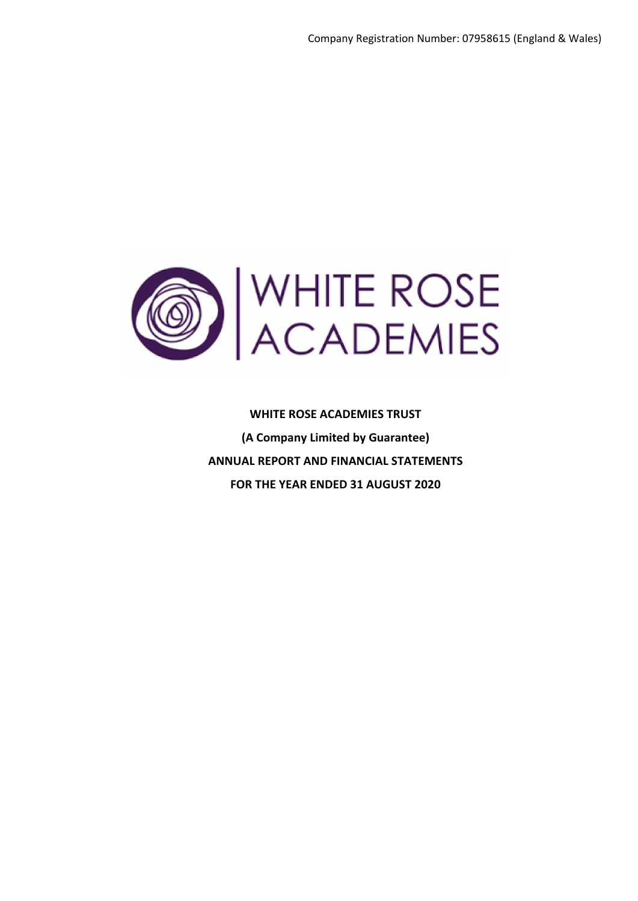

**WHITE ROSE ACADEMIES TRUST (A Company Limited by Guarantee) ANNUAL REPORT AND FINANCIAL STATEMENTS FOR THE YEAR ENDED 31 AUGUST 2020**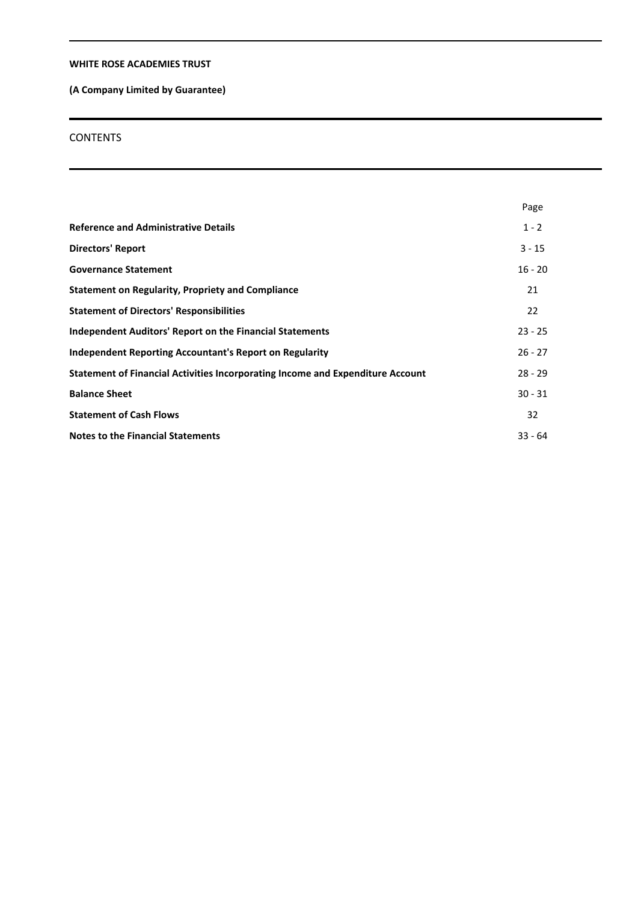# **(A Company Limited by Guarantee)**

# **CONTENTS**

| Page      |
|-----------|
| $1 - 2$   |
| $3 - 15$  |
| $16 - 20$ |
| 21        |
| 22        |
| $23 - 25$ |
| $26 - 27$ |
| $28 - 29$ |
| $30 - 31$ |
| 32        |
| $33 - 64$ |
|           |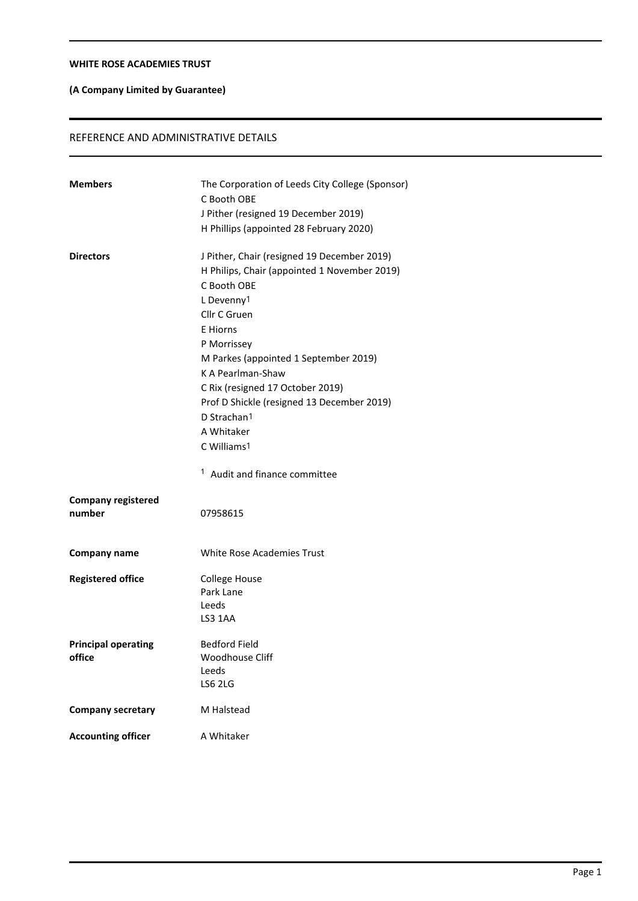# **(A Company Limited by Guarantee)**

# REFERENCE AND ADMINISTRATIVE DETAILS

| <b>Members</b>                       | The Corporation of Leeds City College (Sponsor)<br>C Booth OBE<br>J Pither (resigned 19 December 2019)<br>H Phillips (appointed 28 February 2020)                                                                                                                                                                                                                                                               |
|--------------------------------------|-----------------------------------------------------------------------------------------------------------------------------------------------------------------------------------------------------------------------------------------------------------------------------------------------------------------------------------------------------------------------------------------------------------------|
| <b>Directors</b>                     | J Pither, Chair (resigned 19 December 2019)<br>H Philips, Chair (appointed 1 November 2019)<br>C Booth OBE<br>L Devenny <sup>1</sup><br>Cllr C Gruen<br>E Hiorns<br>P Morrissey<br>M Parkes (appointed 1 September 2019)<br>K A Pearlman-Shaw<br>C Rix (resigned 17 October 2019)<br>Prof D Shickle (resigned 13 December 2019)<br>D Strachan1<br>A Whitaker<br>C Williams1<br>Audit and finance committee<br>1 |
|                                      |                                                                                                                                                                                                                                                                                                                                                                                                                 |
| <b>Company registered</b><br>number  | 07958615                                                                                                                                                                                                                                                                                                                                                                                                        |
| Company name                         | White Rose Academies Trust                                                                                                                                                                                                                                                                                                                                                                                      |
| <b>Registered office</b>             | <b>College House</b><br>Park Lane<br>Leeds<br>LS3 1AA                                                                                                                                                                                                                                                                                                                                                           |
| <b>Principal operating</b><br>office | <b>Bedford Field</b><br><b>Woodhouse Cliff</b><br>Leeds<br><b>LS6 2LG</b>                                                                                                                                                                                                                                                                                                                                       |
| <b>Company secretary</b>             | M Halstead                                                                                                                                                                                                                                                                                                                                                                                                      |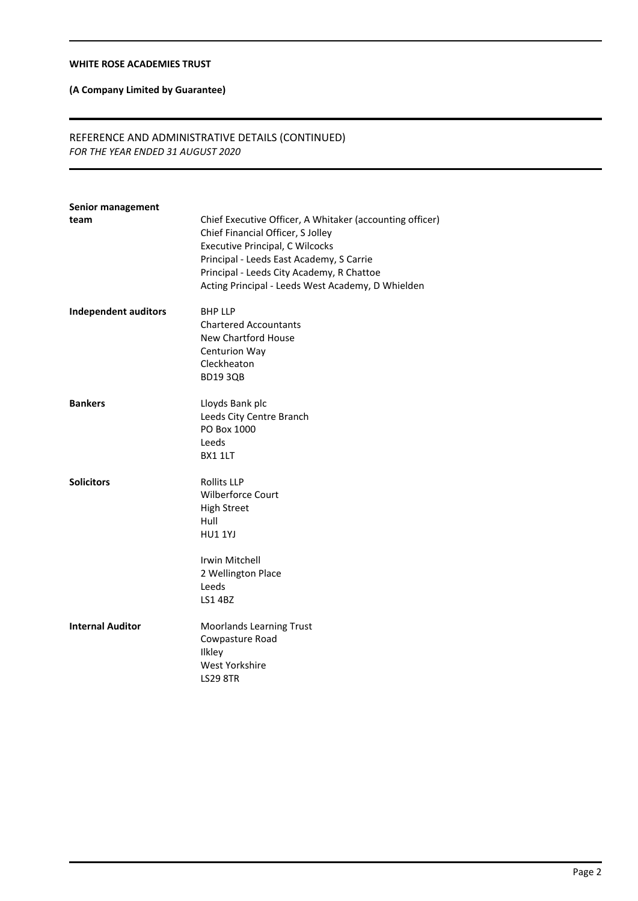# **(A Company Limited by Guarantee)**

# REFERENCE AND ADMINISTRATIVE DETAILS (CONTINUED) *FOR THE YEAR ENDED 31 AUGUST 2020*

| Senior management           |                                                                                                                                                                                                                                                                                       |
|-----------------------------|---------------------------------------------------------------------------------------------------------------------------------------------------------------------------------------------------------------------------------------------------------------------------------------|
| team                        | Chief Executive Officer, A Whitaker (accounting officer)<br>Chief Financial Officer, S Jolley<br><b>Executive Principal, C Wilcocks</b><br>Principal - Leeds East Academy, S Carrie<br>Principal - Leeds City Academy, R Chattoe<br>Acting Principal - Leeds West Academy, D Whielden |
| <b>Independent auditors</b> | <b>BHP LLP</b><br><b>Chartered Accountants</b><br>New Chartford House<br>Centurion Way<br>Cleckheaton<br><b>BD193QB</b>                                                                                                                                                               |
| <b>Bankers</b>              | Lloyds Bank plc<br>Leeds City Centre Branch<br>PO Box 1000<br>Leeds<br>BX1 1LT                                                                                                                                                                                                        |
| <b>Solicitors</b>           | <b>Rollits LLP</b><br>Wilberforce Court<br><b>High Street</b><br>Hull<br><b>HU1 1YJ</b><br>Irwin Mitchell<br>2 Wellington Place<br>Leeds                                                                                                                                              |
| <b>Internal Auditor</b>     | <b>LS1 4BZ</b><br><b>Moorlands Learning Trust</b><br>Cowpasture Road<br><b>Ilkley</b><br><b>West Yorkshire</b><br><b>LS29 8TR</b>                                                                                                                                                     |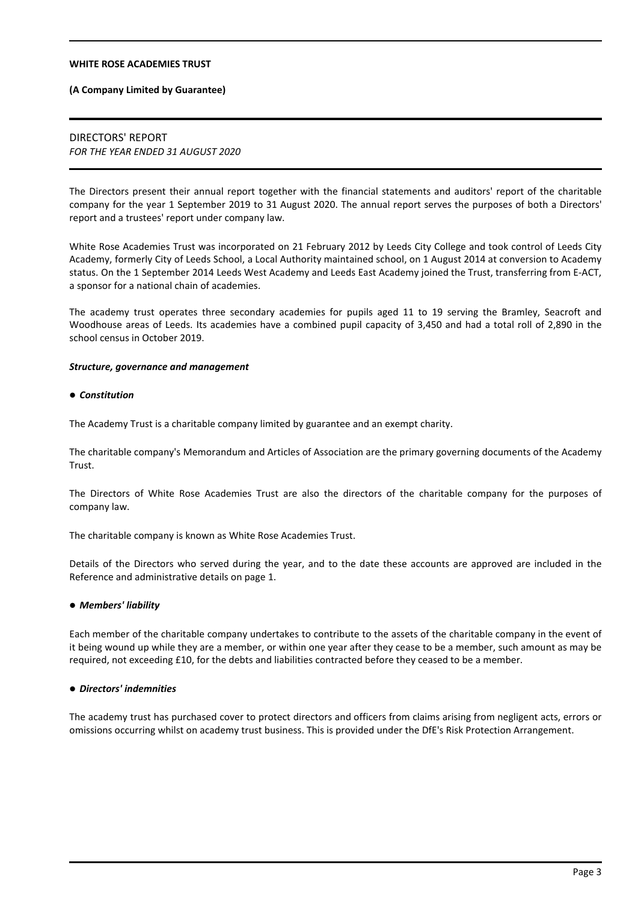#### **(A Company Limited by Guarantee)**

### DIRECTORS' REPORT *FOR THE YEAR ENDED 31 AUGUST 2020*

The Directors present their annual report together with the financial statements and auditors' report of the charitable company for the year 1 September 2019 to 31 August 2020. The annual report serves the purposes of both a Directors' report and a trustees' report under company law.

White Rose Academies Trust was incorporated on 21 February 2012 by Leeds City College and took control of Leeds City Academy, formerly City of Leeds School, a Local Authority maintained school, on 1 August 2014 at conversion to Academy status. On the 1 September 2014 Leeds West Academy and Leeds East Academy joined the Trust, transferring from E-ACT, a sponsor for a national chain of academies.

The academy trust operates three secondary academies for pupils aged 11 to 19 serving the Bramley, Seacroft and Woodhouse areas of Leeds. Its academies have a combined pupil capacity of 3,450 and had a total roll of 2,890 in the school census in October 2019.

#### *Structure, governance and management*

#### *Constitution*

The Academy Trust is a charitable company limited by guarantee and an exempt charity.

The charitable company's Memorandum and Articles of Association are the primary governing documents of the Academy Trust.

The Directors of White Rose Academies Trust are also the directors of the charitable company for the purposes of company law.

The charitable company is known as White Rose Academies Trust.

Details of the Directors who served during the year, and to the date these accounts are approved are included in the Reference and administrative details on page 1.

#### *Members' liability*

Each member of the charitable company undertakes to contribute to the assets of the charitable company in the event of it being wound up while they are a member, or within one year after they cease to be a member, such amount as may be required, not exceeding £10, for the debts and liabilities contracted before they ceased to be a member.

#### *Directors' indemnities*

The academy trust has purchased cover to protect directors and officers from claims arising from negligent acts, errors or omissions occurring whilst on academy trust business. This is provided under the DfE's Risk Protection Arrangement.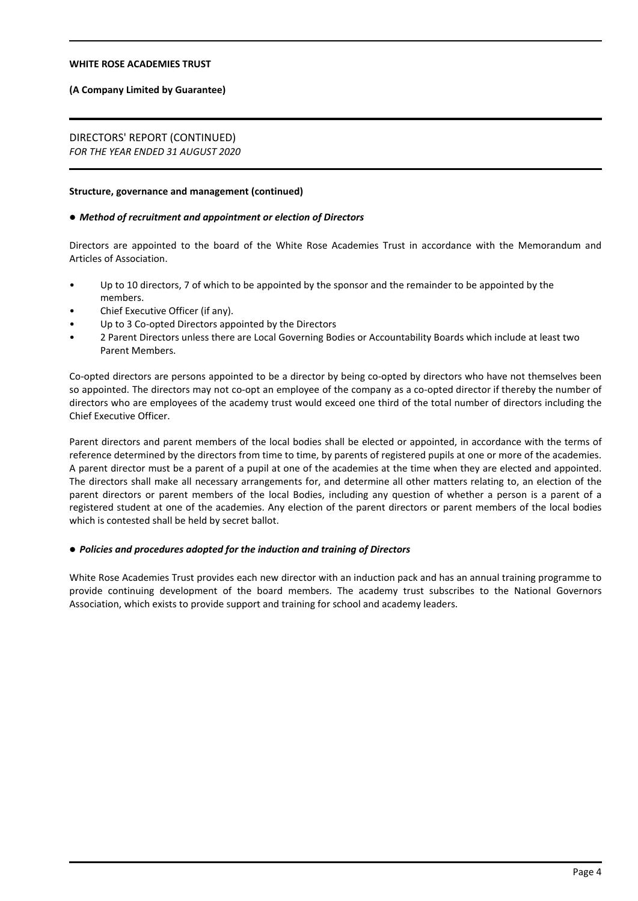#### **(A Company Limited by Guarantee)**

#### DIRECTORS' REPORT (CONTINUED) *FOR THE YEAR ENDED 31 AUGUST 2020*

#### **Structure, governance and management (continued)**

#### *Method of recruitment and appointment or election of Directors*

Directors are appointed to the board of the White Rose Academies Trust in accordance with the Memorandum and Articles of Association.

- Up to 10 directors, 7 of which to be appointed by the sponsor and the remainder to be appointed by the members.
- Chief Executive Officer (if any).
- Up to 3 Co-opted Directors appointed by the Directors
- 2 Parent Directors unless there are Local Governing Bodies or Accountability Boards which include at least two Parent Members.

Co-opted directors are persons appointed to be a director by being co-opted by directors who have not themselves been so appointed. The directors may not co-opt an employee of the company as a co-opted director if thereby the number of directors who are employees of the academy trust would exceed one third of the total number of directors including the Chief Executive Officer.

Parent directors and parent members of the local bodies shall be elected or appointed, in accordance with the terms of reference determined by the directors from time to time, by parents of registered pupils at one or more of the academies. A parent director must be a parent of a pupil at one of the academies at the time when they are elected and appointed. The directors shall make all necessary arrangements for, and determine all other matters relating to, an election of the parent directors or parent members of the local Bodies, including any question of whether a person is a parent of a registered student at one of the academies. Any election of the parent directors or parent members of the local bodies which is contested shall be held by secret ballot.

#### *Policies and procedures adopted for the induction and training of Directors*

White Rose Academies Trust provides each new director with an induction pack and has an annual training programme to provide continuing development of the board members. The academy trust subscribes to the National Governors Association, which exists to provide support and training for school and academy leaders.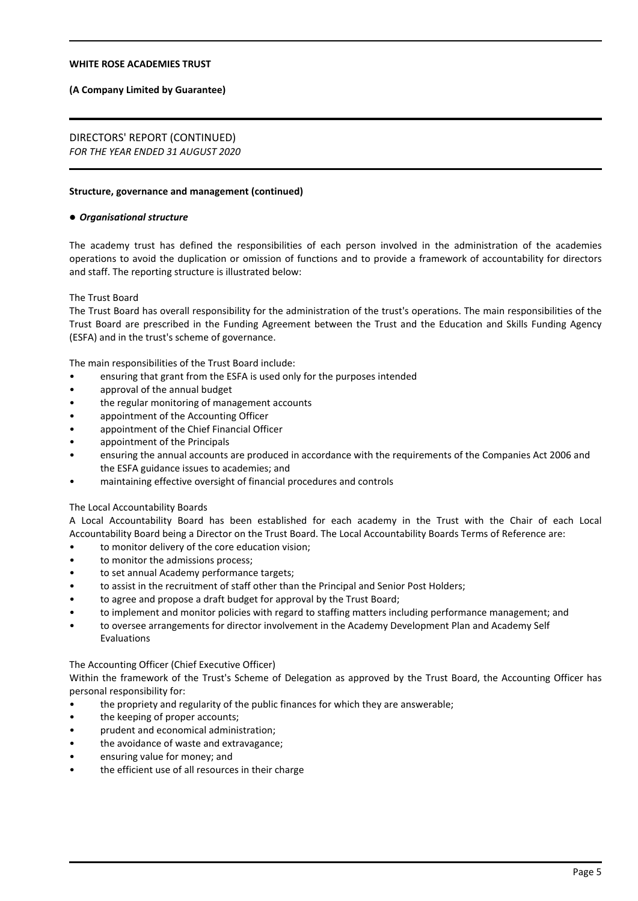#### **(A Company Limited by Guarantee)**

#### DIRECTORS' REPORT (CONTINUED) *FOR THE YEAR ENDED 31 AUGUST 2020*

#### **Structure, governance and management (continued)**

#### *Organisational structure*

The academy trust has defined the responsibilities of each person involved in the administration of the academies operations to avoid the duplication or omission of functions and to provide a framework of accountability for directors and staff. The reporting structure is illustrated below:

#### The Trust Board

The Trust Board has overall responsibility for the administration of the trust's operations. The main responsibilities of the Trust Board are prescribed in the Funding Agreement between the Trust and the Education and Skills Funding Agency (ESFA) and in the trust's scheme of governance.

The main responsibilities of the Trust Board include:

- ensuring that grant from the ESFA is used only for the purposes intended
- approval of the annual budget
- the regular monitoring of management accounts
- appointment of the Accounting Officer
- appointment of the Chief Financial Officer
- appointment of the Principals
- ensuring the annual accounts are produced in accordance with the requirements of the Companies Act 2006 and the ESFA guidance issues to academies; and
- maintaining effective oversight of financial procedures and controls

#### The Local Accountability Boards

A Local Accountability Board has been established for each academy in the Trust with the Chair of each Local Accountability Board being a Director on the Trust Board. The Local Accountability Boards Terms of Reference are:

- to monitor delivery of the core education vision:
- to monitor the admissions process:
- to set annual Academy performance targets;
- to assist in the recruitment of staff other than the Principal and Senior Post Holders;
- to agree and propose a draft budget for approval by the Trust Board;
- to implement and monitor policies with regard to staffing matters including performance management; and
- to oversee arrangements for director involvement in the Academy Development Plan and Academy Self Evaluations

#### The Accounting Officer (Chief Executive Officer)

Within the framework of the Trust's Scheme of Delegation as approved by the Trust Board, the Accounting Officer has personal responsibility for:

- the propriety and regularity of the public finances for which they are answerable;
- the keeping of proper accounts;
- prudent and economical administration;
- the avoidance of waste and extravagance;
- ensuring value for money; and
- the efficient use of all resources in their charge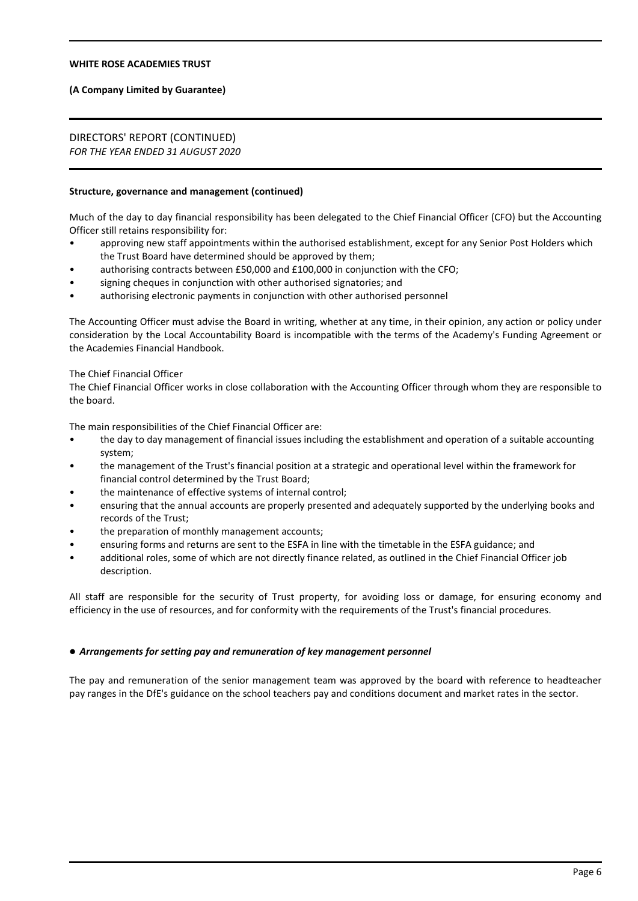#### **(A Company Limited by Guarantee)**

#### DIRECTORS' REPORT (CONTINUED) *FOR THE YEAR ENDED 31 AUGUST 2020*

#### **Structure, governance and management (continued)**

Much of the day to day financial responsibility has been delegated to the Chief Financial Officer (CFO) but the Accounting Officer still retains responsibility for:

- approving new staff appointments within the authorised establishment, except for any Senior Post Holders which the Trust Board have determined should be approved by them;
- authorising contracts between £50,000 and £100,000 in conjunction with the CFO;
- signing cheques in conjunction with other authorised signatories; and
- authorising electronic payments in conjunction with other authorised personnel

The Accounting Officer must advise the Board in writing, whether at any time, in their opinion, any action or policy under consideration by the Local Accountability Board is incompatible with the terms of the Academy's Funding Agreement or the Academies Financial Handbook.

#### The Chief Financial Officer

The Chief Financial Officer works in close collaboration with the Accounting Officer through whom they are responsible to the board.

The main responsibilities of the Chief Financial Officer are:

- the day to day management of financial issues including the establishment and operation of a suitable accounting system;
- the management of the Trust's financial position at a strategic and operational level within the framework for financial control determined by the Trust Board;
- the maintenance of effective systems of internal control;
- ensuring that the annual accounts are properly presented and adequately supported by the underlying books and records of the Trust;
- the preparation of monthly management accounts;
- ensuring forms and returns are sent to the ESFA in line with the timetable in the ESFA guidance; and
- additional roles, some of which are not directly finance related, as outlined in the Chief Financial Officer job description.

All staff are responsible for the security of Trust property, for avoiding loss or damage, for ensuring economy and efficiency in the use of resources, and for conformity with the requirements of the Trust's financial procedures.

#### *Arrangements for setting pay and remuneration of key management personnel*

The pay and remuneration of the senior management team was approved by the board with reference to headteacher pay ranges in the DfE's guidance on the school teachers pay and conditions document and market rates in the sector.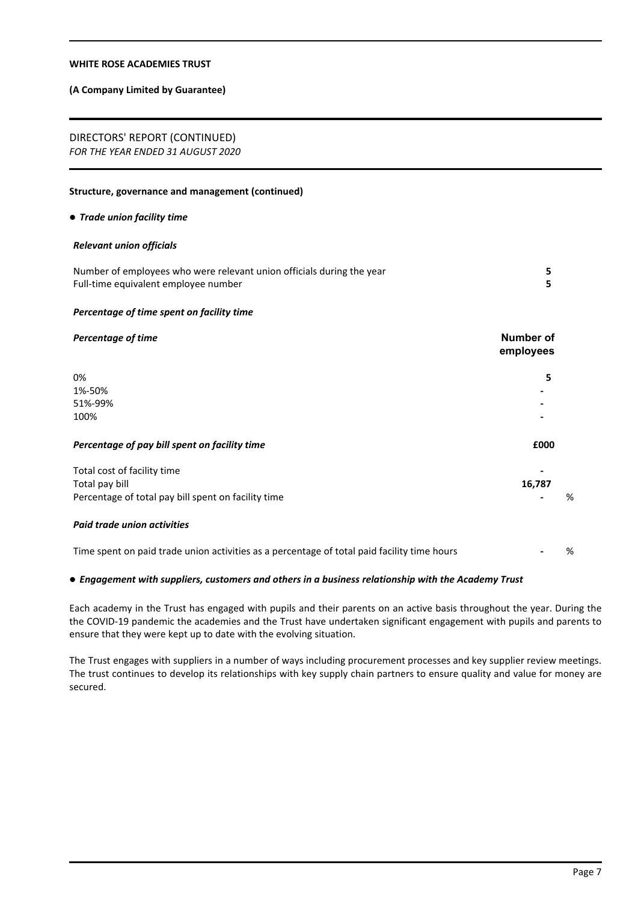#### **(A Company Limited by Guarantee)**

#### DIRECTORS' REPORT (CONTINUED) *FOR THE YEAR ENDED 31 AUGUST 2020*

# **Structure, governance and management (continued)**

#### *Trade union facility time*

#### *Relevant union officials*

| Number of employees who were relevant union officials during the year |  |
|-----------------------------------------------------------------------|--|
| Full-time equivalent employee number                                  |  |

#### *Percentage of time spent on facility time*

| Percentage of time                                                                          | Number of<br>employees |   |
|---------------------------------------------------------------------------------------------|------------------------|---|
| 0%                                                                                          | 5                      |   |
| 1%-50%                                                                                      |                        |   |
| 51%-99%                                                                                     |                        |   |
| 100%                                                                                        |                        |   |
| Percentage of pay bill spent on facility time                                               | £000                   |   |
| Total cost of facility time                                                                 |                        |   |
| Total pay bill                                                                              | 16,787                 |   |
| Percentage of total pay bill spent on facility time                                         |                        | % |
| <b>Paid trade union activities</b>                                                          |                        |   |
| Time spent on paid trade union activities as a percentage of total paid facility time hours |                        | % |

#### *Engagement with suppliers, customers and others in a business relationship with the Academy Trust*

Each academy in the Trust has engaged with pupils and their parents on an active basis throughout the year. During the the COVID-19 pandemic the academies and the Trust have undertaken significant engagement with pupils and parents to ensure that they were kept up to date with the evolving situation.

The Trust engages with suppliers in a number of ways including procurement processes and key supplier review meetings. The trust continues to develop its relationships with key supply chain partners to ensure quality and value for money are secured.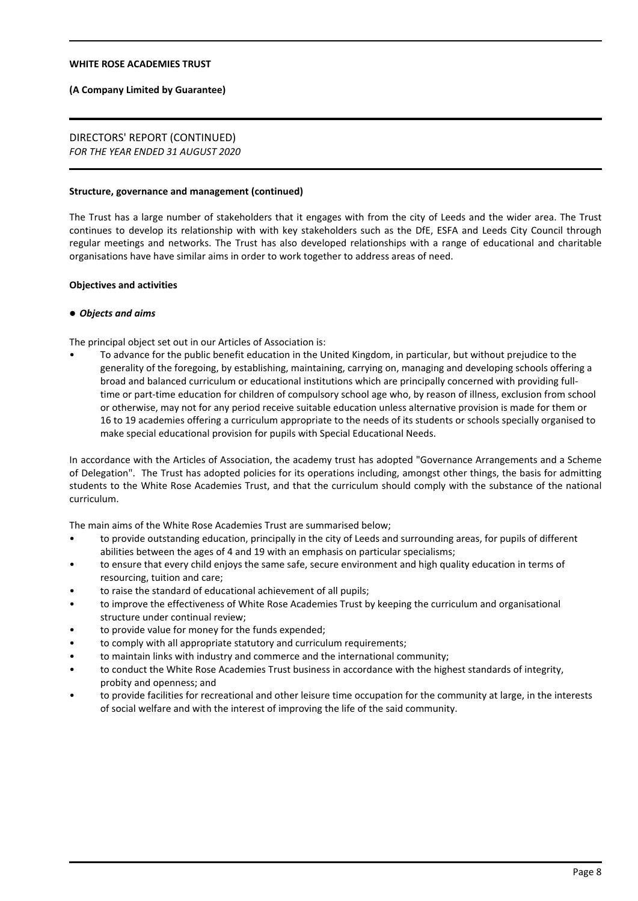#### **(A Company Limited by Guarantee)**

#### DIRECTORS' REPORT (CONTINUED) *FOR THE YEAR ENDED 31 AUGUST 2020*

#### **Structure, governance and management (continued)**

The Trust has a large number of stakeholders that it engages with from the city of Leeds and the wider area. The Trust continues to develop its relationship with with key stakeholders such as the DfE, ESFA and Leeds City Council through regular meetings and networks. The Trust has also developed relationships with a range of educational and charitable organisations have have similar aims in order to work together to address areas of need.

#### **Objectives and activities**

#### *Objects and aims*

The principal object set out in our Articles of Association is:

• To advance for the public benefit education in the United Kingdom, in particular, but without prejudice to the generality of the foregoing, by establishing, maintaining, carrying on, managing and developing schools offering a broad and balanced curriculum or educational institutions which are principally concerned with providing fulltime or part-time education for children of compulsory school age who, by reason of illness, exclusion from school or otherwise, may not for any period receive suitable education unless alternative provision is made for them or 16 to 19 academies offering a curriculum appropriate to the needs of its students or schools specially organised to make special educational provision for pupils with Special Educational Needs.

In accordance with the Articles of Association, the academy trust has adopted "Governance Arrangements and a Scheme of Delegation". The Trust has adopted policies for its operations including, amongst other things, the basis for admitting students to the White Rose Academies Trust, and that the curriculum should comply with the substance of the national curriculum.

The main aims of the White Rose Academies Trust are summarised below;

- to provide outstanding education, principally in the city of Leeds and surrounding areas, for pupils of different abilities between the ages of 4 and 19 with an emphasis on particular specialisms;
- to ensure that every child enjoys the same safe, secure environment and high quality education in terms of resourcing, tuition and care;
- to raise the standard of educational achievement of all pupils;
- to improve the effectiveness of White Rose Academies Trust by keeping the curriculum and organisational structure under continual review;
- to provide value for money for the funds expended;
- to comply with all appropriate statutory and curriculum requirements;
- to maintain links with industry and commerce and the international community;
- to conduct the White Rose Academies Trust business in accordance with the highest standards of integrity, probity and openness; and
- to provide facilities for recreational and other leisure time occupation for the community at large, in the interests of social welfare and with the interest of improving the life of the said community.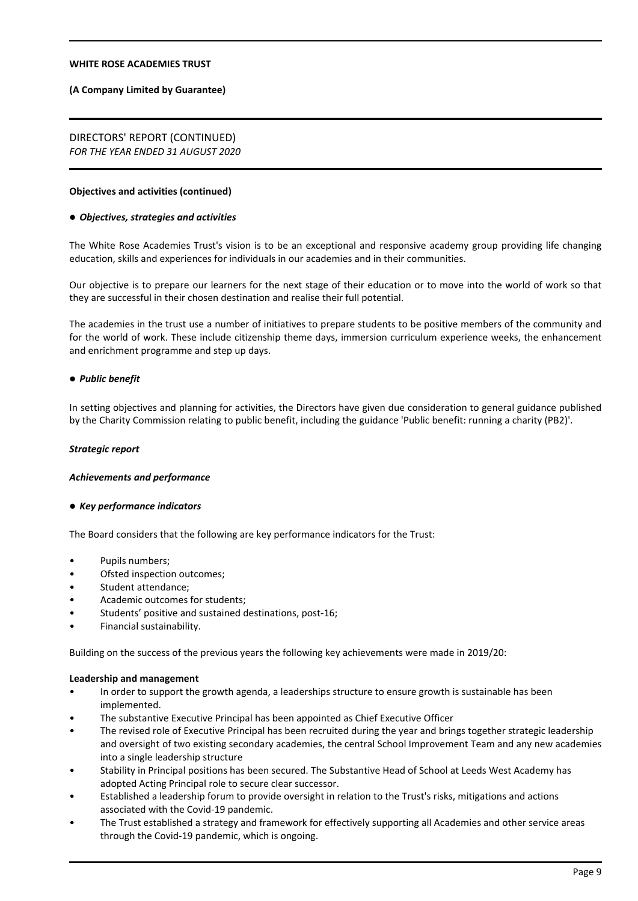#### **(A Company Limited by Guarantee)**

#### DIRECTORS' REPORT (CONTINUED) *FOR THE YEAR ENDED 31 AUGUST 2020*

#### **Objectives and activities (continued)**

#### *Objectives, strategies and activities*

The White Rose Academies Trust's vision is to be an exceptional and responsive academy group providing life changing education, skills and experiences for individuals in our academies and in their communities.

Our objective is to prepare our learners for the next stage of their education or to move into the world of work so that they are successful in their chosen destination and realise their full potential.

The academies in the trust use a number of initiatives to prepare students to be positive members of the community and for the world of work. These include citizenship theme days, immersion curriculum experience weeks, the enhancement and enrichment programme and step up days.

#### *Public benefit*

In setting objectives and planning for activities, the Directors have given due consideration to general guidance published by the Charity Commission relating to public benefit, including the guidance 'Public benefit: running a charity (PB2)'.

#### *Strategic report*

#### *Achievements and performance*

#### *Key performance indicators*

The Board considers that the following are key performance indicators for the Trust:

- Pupils numbers;
- Ofsted inspection outcomes;
- Student attendance;
- Academic outcomes for students;
- Students' positive and sustained destinations, post-16;
- Financial sustainability.

Building on the success of the previous years the following key achievements were made in 2019/20:

#### **Leadership and management**

- In order to support the growth agenda, a leaderships structure to ensure growth is sustainable has been implemented.
- The substantive Executive Principal has been appointed as Chief Executive Officer
- The revised role of Executive Principal has been recruited during the year and brings together strategic leadership and oversight of two existing secondary academies, the central School Improvement Team and any new academies into a single leadership structure
- Stability in Principal positions has been secured. The Substantive Head of School at Leeds West Academy has adopted Acting Principal role to secure clear successor.
- Established a leadership forum to provide oversight in relation to the Trust's risks, mitigations and actions associated with the Covid-19 pandemic.
- The Trust established a strategy and framework for effectively supporting all Academies and other service areas through the Covid-19 pandemic, which is ongoing.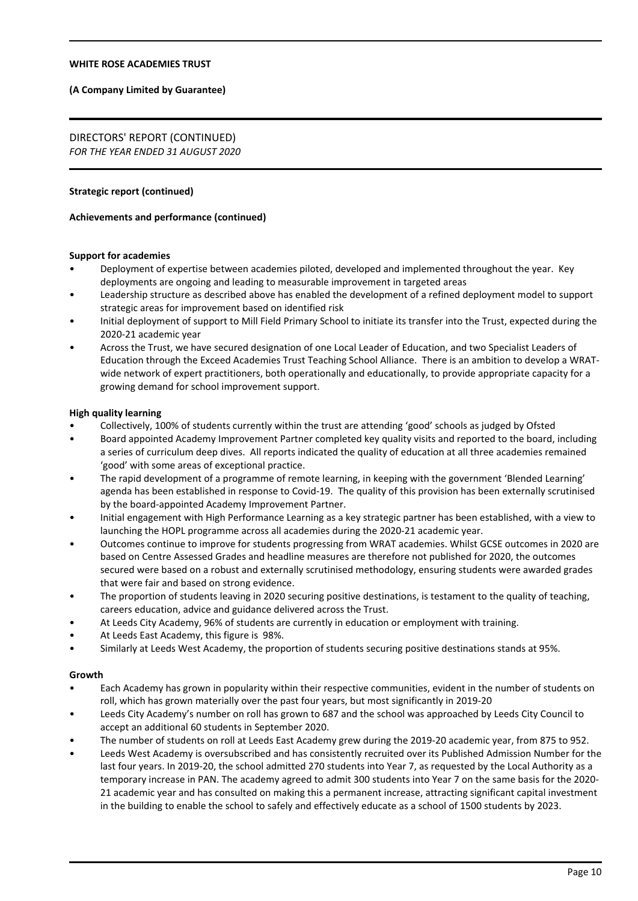#### **(A Company Limited by Guarantee)**

#### DIRECTORS' REPORT (CONTINUED) *FOR THE YEAR ENDED 31 AUGUST 2020*

#### **Strategic report (continued)**

#### **Achievements and performance (continued)**

#### **Support for academies**

- Deployment of expertise between academies piloted, developed and implemented throughout the year. Key deployments are ongoing and leading to measurable improvement in targeted areas
- Leadership structure as described above has enabled the development of a refined deployment model to support strategic areas for improvement based on identified risk
- Initial deployment of support to Mill Field Primary School to initiate its transfer into the Trust, expected during the 2020-21 academic year
- Across the Trust, we have secured designation of one Local Leader of Education, and two Specialist Leaders of Education through the Exceed Academies Trust Teaching School Alliance. There is an ambition to develop a WRATwide network of expert practitioners, both operationally and educationally, to provide appropriate capacity for a growing demand for school improvement support.

#### **High quality learning**

- Collectively, 100% of students currently within the trust are attending 'good' schools as judged by Ofsted
- Board appointed Academy Improvement Partner completed key quality visits and reported to the board, including a series of curriculum deep dives. All reports indicated the quality of education at all three academies remained 'good' with some areas of exceptional practice.
- The rapid development of a programme of remote learning, in keeping with the government 'Blended Learning' agenda has been established in response to Covid-19. The quality of this provision has been externally scrutinised by the board-appointed Academy Improvement Partner.
- Initial engagement with High Performance Learning as a key strategic partner has been established, with a view to launching the HOPL programme across all academies during the 2020-21 academic year.
- Outcomes continue to improve for students progressing from WRAT academies. Whilst GCSE outcomes in 2020 are based on Centre Assessed Grades and headline measures are therefore not published for 2020, the outcomes secured were based on a robust and externally scrutinised methodology, ensuring students were awarded grades that were fair and based on strong evidence.
- The proportion of students leaving in 2020 securing positive destinations, is testament to the quality of teaching, careers education, advice and guidance delivered across the Trust.
- At Leeds City Academy, 96% of students are currently in education or employment with training.
- At Leeds East Academy, this figure is 98%.
- Similarly at Leeds West Academy, the proportion of students securing positive destinations stands at 95%.

#### **Growth**

- Each Academy has grown in popularity within their respective communities, evident in the number of students on roll, which has grown materially over the past four years, but most significantly in 2019-20
- Leeds City Academy's number on roll has grown to 687 and the school was approached by Leeds City Council to accept an additional 60 students in September 2020.
- The number of students on roll at Leeds East Academy grew during the 2019-20 academic year, from 875 to 952.
- Leeds West Academy is oversubscribed and has consistently recruited over its Published Admission Number for the last four years. In 2019-20, the school admitted 270 students into Year 7, as requested by the Local Authority as a temporary increase in PAN. The academy agreed to admit 300 students into Year 7 on the same basis for the 2020- 21 academic year and has consulted on making this a permanent increase, attracting significant capital investment in the building to enable the school to safely and effectively educate as a school of 1500 students by 2023.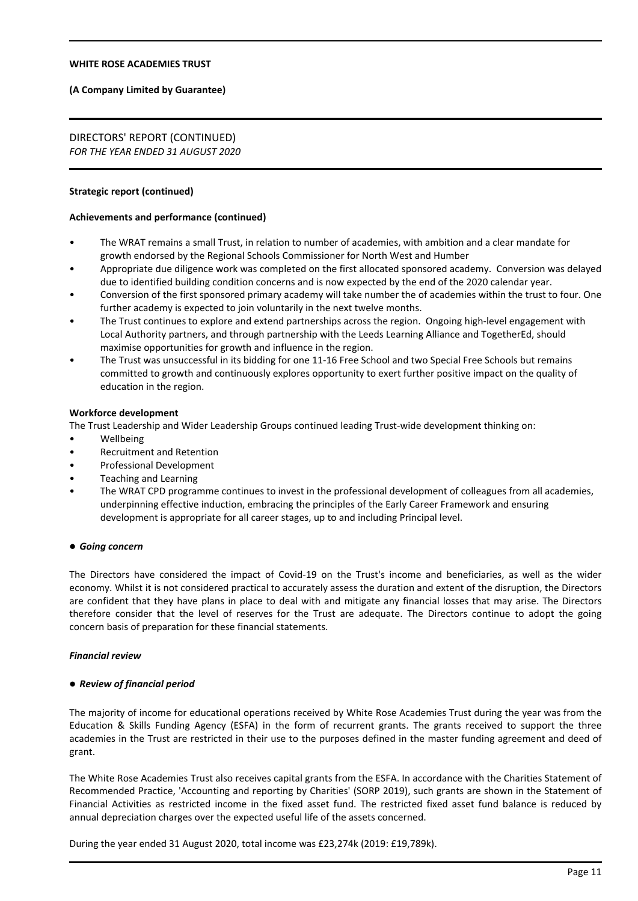#### **(A Company Limited by Guarantee)**

#### DIRECTORS' REPORT (CONTINUED) *FOR THE YEAR ENDED 31 AUGUST 2020*

#### **Strategic report (continued)**

#### **Achievements and performance (continued)**

- The WRAT remains a small Trust, in relation to number of academies, with ambition and a clear mandate for growth endorsed by the Regional Schools Commissioner for North West and Humber
- Appropriate due diligence work was completed on the first allocated sponsored academy. Conversion was delayed due to identified building condition concerns and is now expected by the end of the 2020 calendar year.
- Conversion of the first sponsored primary academy will take number the of academies within the trust to four. One further academy is expected to join voluntarily in the next twelve months.
- The Trust continues to explore and extend partnerships across the region. Ongoing high-level engagement with Local Authority partners, and through partnership with the Leeds Learning Alliance and TogetherEd, should maximise opportunities for growth and influence in the region.
- The Trust was unsuccessful in its bidding for one 11-16 Free School and two Special Free Schools but remains committed to growth and continuously explores opportunity to exert further positive impact on the quality of education in the region.

#### **Workforce development**

The Trust Leadership and Wider Leadership Groups continued leading Trust-wide development thinking on:

- Wellbeing
- Recruitment and Retention
- Professional Development
- Teaching and Learning
- The WRAT CPD programme continues to invest in the professional development of colleagues from all academies, underpinning effective induction, embracing the principles of the Early Career Framework and ensuring development is appropriate for all career stages, up to and including Principal level.

#### *Going concern*

The Directors have considered the impact of Covid-19 on the Trust's income and beneficiaries, as well as the wider economy. Whilst it is not considered practical to accurately assess the duration and extent of the disruption, the Directors are confident that they have plans in place to deal with and mitigate any financial losses that may arise. The Directors therefore consider that the level of reserves for the Trust are adequate. The Directors continue to adopt the going concern basis of preparation for these financial statements.

#### *Financial review*

#### *Review of financial period*

The majority of income for educational operations received by White Rose Academies Trust during the year was from the Education & Skills Funding Agency (ESFA) in the form of recurrent grants. The grants received to support the three academies in the Trust are restricted in their use to the purposes defined in the master funding agreement and deed of grant.

The White Rose Academies Trust also receives capital grants from the ESFA. In accordance with the Charities Statement of Recommended Practice, 'Accounting and reporting by Charities' (SORP 2019), such grants are shown in the Statement of Financial Activities as restricted income in the fixed asset fund. The restricted fixed asset fund balance is reduced by annual depreciation charges over the expected useful life of the assets concerned.

During the year ended 31 August 2020, total income was £23,274k (2019: £19,789k).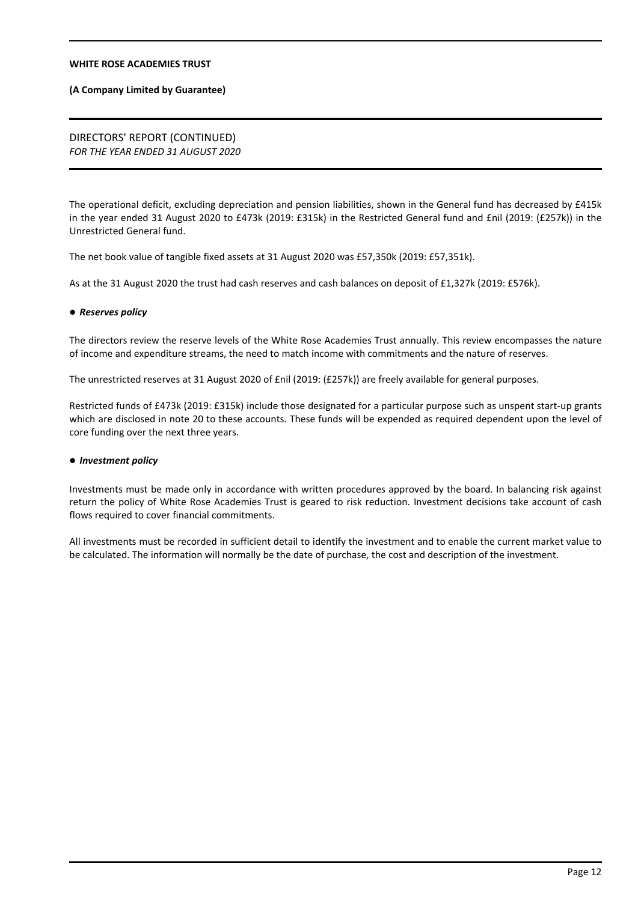#### **(A Company Limited by Guarantee)**

### DIRECTORS' REPORT (CONTINUED) *FOR THE YEAR ENDED 31 AUGUST 2020*

The operational deficit, excluding depreciation and pension liabilities, shown in the General fund has decreased by £415k in the year ended 31 August 2020 to £473k (2019: £315k) in the Restricted General fund and £nil (2019: (£257k)) in the Unrestricted General fund.

The net book value of tangible fixed assets at 31 August 2020 was £57,350k (2019: £57,351k).

As at the 31 August 2020 the trust had cash reserves and cash balances on deposit of £1,327k (2019: £576k).

#### *Reserves policy*

The directors review the reserve levels of the White Rose Academies Trust annually. This review encompasses the nature of income and expenditure streams, the need to match income with commitments and the nature of reserves.

The unrestricted reserves at 31 August 2020 of £nil (2019: (£257k)) are freely available for general purposes.

Restricted funds of £473k (2019: £315k) include those designated for a particular purpose such as unspent start-up grants which are disclosed in note 20 to these accounts. These funds will be expended as required dependent upon the level of core funding over the next three years.

#### *Investment policy*

Investments must be made only in accordance with written procedures approved by the board. In balancing risk against return the policy of White Rose Academies Trust is geared to risk reduction. Investment decisions take account of cash flows required to cover financial commitments.

All investments must be recorded in sufficient detail to identify the investment and to enable the current market value to be calculated. The information will normally be the date of purchase, the cost and description of the investment.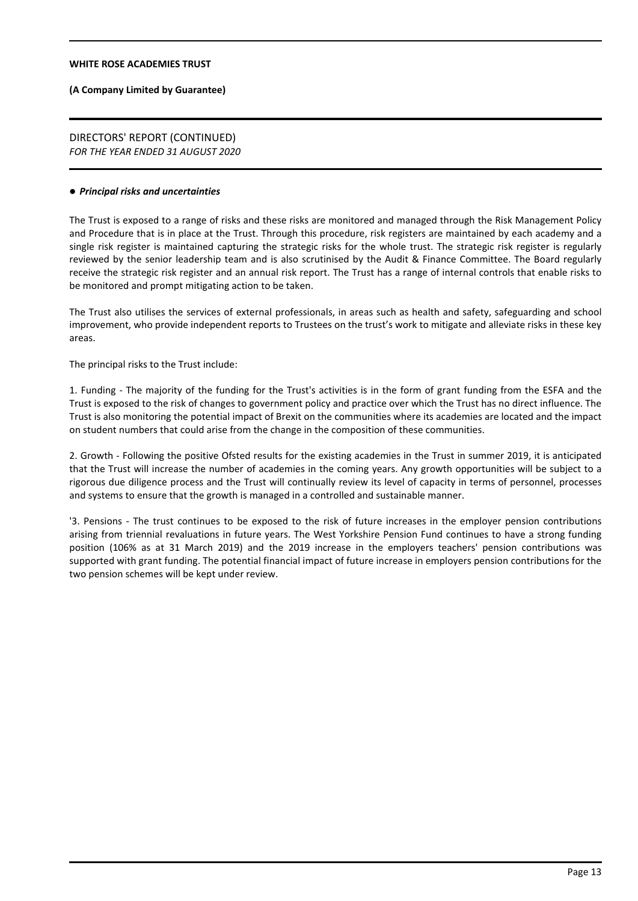#### **(A Company Limited by Guarantee)**

#### DIRECTORS' REPORT (CONTINUED) *FOR THE YEAR ENDED 31 AUGUST 2020*

#### *Principal risks and uncertainties*

The Trust is exposed to a range of risks and these risks are monitored and managed through the Risk Management Policy and Procedure that is in place at the Trust. Through this procedure, risk registers are maintained by each academy and a single risk register is maintained capturing the strategic risks for the whole trust. The strategic risk register is regularly reviewed by the senior leadership team and is also scrutinised by the Audit & Finance Committee. The Board regularly receive the strategic risk register and an annual risk report. The Trust has a range of internal controls that enable risks to be monitored and prompt mitigating action to be taken.

The Trust also utilises the services of external professionals, in areas such as health and safety, safeguarding and school improvement, who provide independent reports to Trustees on the trust's work to mitigate and alleviate risks in these key areas.

The principal risks to the Trust include:

1. Funding - The majority of the funding for the Trust's activities is in the form of grant funding from the ESFA and the Trust is exposed to the risk of changes to government policy and practice over which the Trust has no direct influence. The Trust is also monitoring the potential impact of Brexit on the communities where its academies are located and the impact on student numbers that could arise from the change in the composition of these communities.

2. Growth - Following the positive Ofsted results for the existing academies in the Trust in summer 2019, it is anticipated that the Trust will increase the number of academies in the coming years. Any growth opportunities will be subject to a rigorous due diligence process and the Trust will continually review its level of capacity in terms of personnel, processes and systems to ensure that the growth is managed in a controlled and sustainable manner.

'3. Pensions - The trust continues to be exposed to the risk of future increases in the employer pension contributions arising from triennial revaluations in future years. The West Yorkshire Pension Fund continues to have a strong funding position (106% as at 31 March 2019) and the 2019 increase in the employers teachers' pension contributions was supported with grant funding. The potential financial impact of future increase in employers pension contributions for the two pension schemes will be kept under review.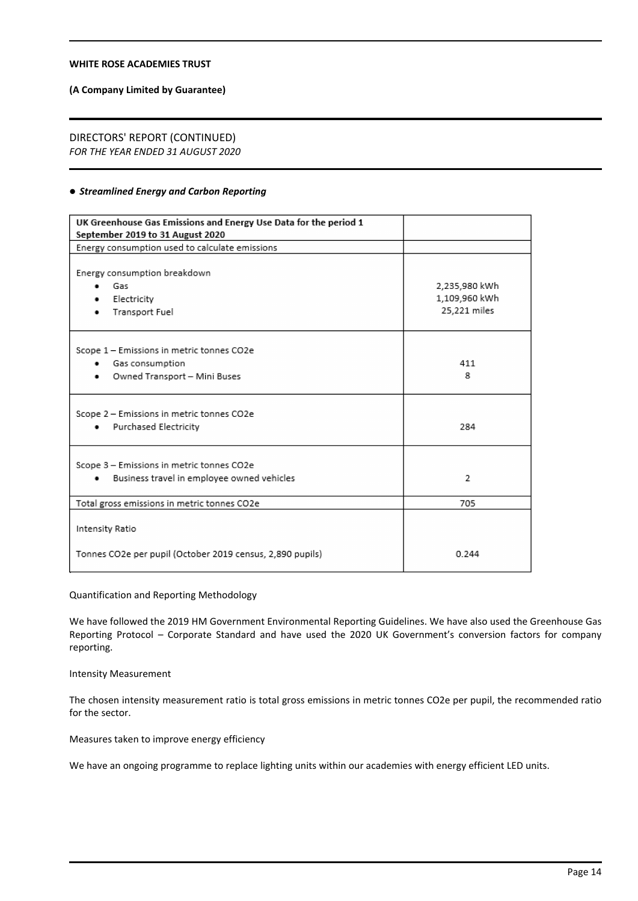#### **(A Company Limited by Guarantee)**

#### DIRECTORS' REPORT (CONTINUED) *FOR THE YEAR ENDED 31 AUGUST 2020*

#### *Streamlined Energy and Carbon Reporting*

| UK Greenhouse Gas Emissions and Energy Use Data for the period 1                                       |                                                |
|--------------------------------------------------------------------------------------------------------|------------------------------------------------|
| September 2019 to 31 August 2020                                                                       |                                                |
| Energy consumption used to calculate emissions                                                         |                                                |
| Energy consumption breakdown<br>Gas<br>٠.<br>Electricity<br><b>Transport Fuel</b>                      | 2,235,980 kWh<br>1,109,960 kWh<br>25,221 miles |
| Scope 1 - Emissions in metric tonnes CO2e<br>Gas consumption<br>٠<br>Owned Transport - Mini Buses<br>۰ | 411<br>8.                                      |
| Scope 2 - Emissions in metric tonnes CO2e<br><b>Purchased Electricity</b>                              | 284                                            |
| Scope 3 - Emissions in metric tonnes CO2e<br>Business travel in employee owned vehicles<br>٠           | 2                                              |
| Total gross emissions in metric tonnes CO2e                                                            | 705                                            |
| Intensity Ratio<br>Tonnes CO2e per pupil (October 2019 census, 2,890 pupils)                           | 0.244                                          |

#### Quantification and Reporting Methodology

We have followed the 2019 HM Government Environmental Reporting Guidelines. We have also used the Greenhouse Gas Reporting Protocol – Corporate Standard and have used the 2020 UK Government's conversion factors for company reporting.

#### Intensity Measurement

The chosen intensity measurement ratio is total gross emissions in metric tonnes CO2e per pupil, the recommended ratio for the sector.

Measures taken to improve energy efficiency

We have an ongoing programme to replace lighting units within our academies with energy efficient LED units.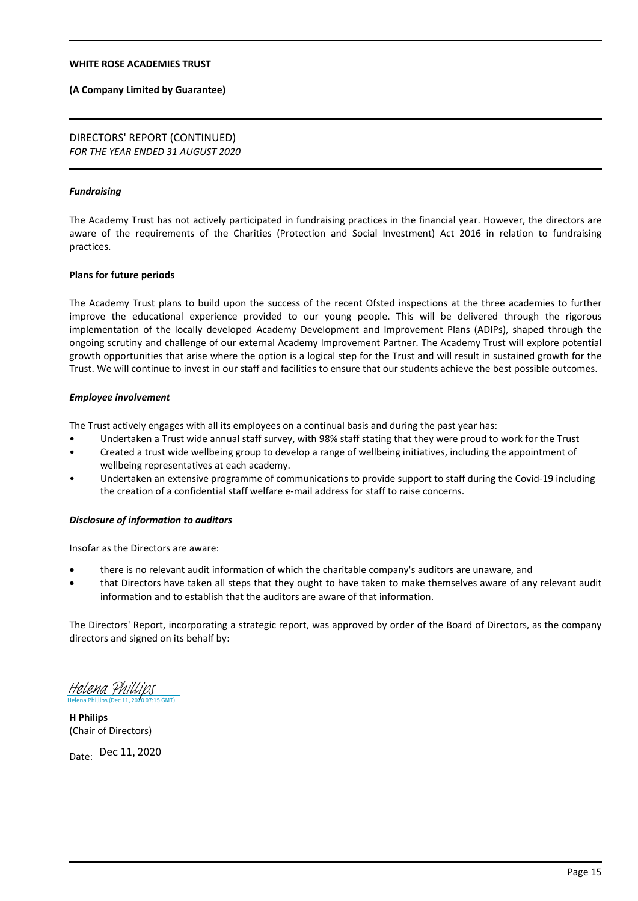#### **(A Company Limited by Guarantee)**

#### DIRECTORS' REPORT (CONTINUED) *FOR THE YEAR ENDED 31 AUGUST 2020*

#### *Fundraising*

The Academy Trust has not actively participated in fundraising practices in the financial year. However, the directors are aware of the requirements of the Charities (Protection and Social Investment) Act 2016 in relation to fundraising practices.

#### **Plans for future periods**

The Academy Trust plans to build upon the success of the recent Ofsted inspections at the three academies to further improve the educational experience provided to our young people. This will be delivered through the rigorous implementation of the locally developed Academy Development and Improvement Plans (ADIPs), shaped through the ongoing scrutiny and challenge of our external Academy Improvement Partner. The Academy Trust will explore potential growth opportunities that arise where the option is a logical step for the Trust and will result in sustained growth for the Trust. We will continue to invest in our staff and facilities to ensure that our students achieve the best possible outcomes.

#### *Employee involvement*

The Trust actively engages with all its employees on a continual basis and during the past year has:

- Undertaken a Trust wide annual staff survey, with 98% staff stating that they were proud to work for the Trust
- Created a trust wide wellbeing group to develop a range of wellbeing initiatives, including the appointment of wellbeing representatives at each academy.
- Undertaken an extensive programme of communications to provide support to staff during the Covid-19 including the creation of a confidential staff welfare e-mail address for staff to raise concerns.

#### *Disclosure of information to auditors*

Insofar as the Directors are aware:

- there is no relevant audit information of which the charitable company's auditors are unaware, and
- that Directors have taken all steps that they ought to have taken to make themselves aware of any relevant audit information and to establish that the auditors are aware of that information.

The Directors' Report, incorporating a strategic report, was approved by order of the Board of Directors, as the company directors and signed on its behalf by:

Helena Phillips (Dec 11, 2020 07:15 GMT) [Helena Phillips](https://eu1.documents.adobe.com/verifier?tx=CBJCHBCAABAArSP-qXSLJZqF54sfDlzbK2Hylk9BMLPu)

**H Philips** (Chair of Directors)

Date: Dec 11, 2020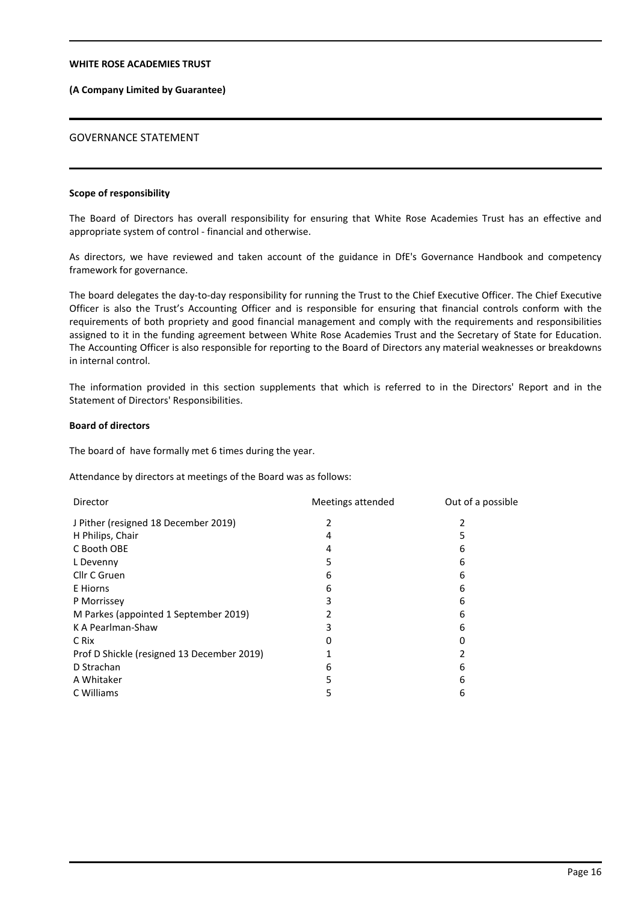#### **(A Company Limited by Guarantee)**

#### GOVERNANCE STATEMENT

#### **Scope of responsibility**

The Board of Directors has overall responsibility for ensuring that White Rose Academies Trust has an effective and appropriate system of control - financial and otherwise.

As directors, we have reviewed and taken account of the guidance in DfE's Governance Handbook and competency framework for governance.

The board delegates the day-to-day responsibility for running the Trust to the Chief Executive Officer. The Chief Executive Officer is also the Trust's Accounting Officer and is responsible for ensuring that financial controls conform with the requirements of both propriety and good financial management and comply with the requirements and responsibilities assigned to it in the funding agreement between White Rose Academies Trust and the Secretary of State for Education. The Accounting Officer is also responsible for reporting to the Board of Directors any material weaknesses or breakdowns in internal control.

The information provided in this section supplements that which is referred to in the Directors' Report and in the Statement of Directors' Responsibilities.

#### **Board of directors**

The board of have formally met 6 times during the year.

Attendance by directors at meetings of the Board was as follows:

| Director                                   | Meetings attended | Out of a possible |
|--------------------------------------------|-------------------|-------------------|
| J Pither (resigned 18 December 2019)       | 2                 |                   |
| H Philips, Chair                           | 4                 |                   |
| C Booth OBE                                | 4                 | 6                 |
| L Devenny                                  | 5                 | 6                 |
| Cllr C Gruen                               | 6                 | 6                 |
| E Hiorns                                   | 6                 | 6                 |
| P Morrissey                                | 3                 | 6                 |
| M Parkes (appointed 1 September 2019)      | 2                 | 6                 |
| K A Pearlman-Shaw                          |                   | 6                 |
| C Rix                                      |                   |                   |
| Prof D Shickle (resigned 13 December 2019) |                   |                   |
| D Strachan                                 | 6                 | 6                 |
| A Whitaker                                 | 5                 | 6                 |
| C Williams                                 | 5                 | 6                 |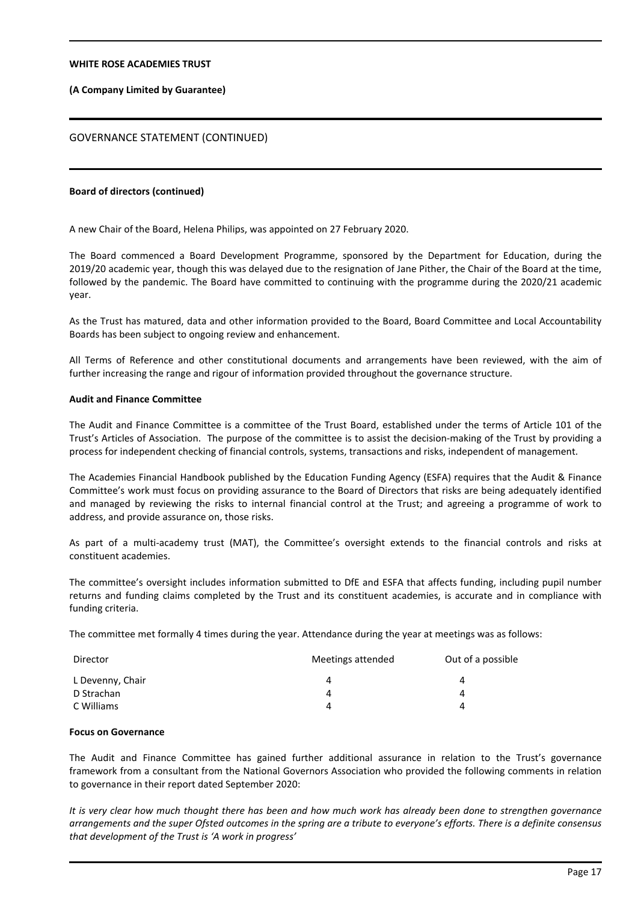#### **(A Company Limited by Guarantee)**

# GOVERNANCE STATEMENT (CONTINUED)

#### **Board of directors (continued)**

A new Chair of the Board, Helena Philips, was appointed on 27 February 2020.

The Board commenced a Board Development Programme, sponsored by the Department for Education, during the 2019/20 academic year, though this was delayed due to the resignation of Jane Pither, the Chair of the Board at the time, followed by the pandemic. The Board have committed to continuing with the programme during the 2020/21 academic year.

As the Trust has matured, data and other information provided to the Board, Board Committee and Local Accountability Boards has been subject to ongoing review and enhancement.

All Terms of Reference and other constitutional documents and arrangements have been reviewed, with the aim of further increasing the range and rigour of information provided throughout the governance structure.

#### **Audit and Finance Committee**

The Audit and Finance Committee is a committee of the Trust Board, established under the terms of Article 101 of the Trust's Articles of Association. The purpose of the committee is to assist the decision-making of the Trust by providing a process for independent checking of financial controls, systems, transactions and risks, independent of management.

The Academies Financial Handbook published by the Education Funding Agency (ESFA) requires that the Audit & Finance Committee's work must focus on providing assurance to the Board of Directors that risks are being adequately identified and managed by reviewing the risks to internal financial control at the Trust; and agreeing a programme of work to address, and provide assurance on, those risks.

As part of a multi-academy trust (MAT), the Committee's oversight extends to the financial controls and risks at constituent academies.

The committee's oversight includes information submitted to DfE and ESFA that affects funding, including pupil number returns and funding claims completed by the Trust and its constituent academies, is accurate and in compliance with funding criteria.

The committee met formally 4 times during the year. Attendance during the year at meetings was as follows:

| Meetings attended | Out of a possible |  |  |
|-------------------|-------------------|--|--|
|                   |                   |  |  |
| Д                 |                   |  |  |
| Д                 |                   |  |  |
|                   |                   |  |  |

#### **Focus on Governance**

The Audit and Finance Committee has gained further additional assurance in relation to the Trust's governance framework from a consultant from the National Governors Association who provided the following comments in relation to governance in their report dated September 2020:

*It is very clear how much thought there has been and how much work has already been done to strengthen governance arrangements and the super Ofsted outcomes in the spring are a tribute to everyone's efforts. There is a definite consensus that development of the Trust is 'A work in progress'*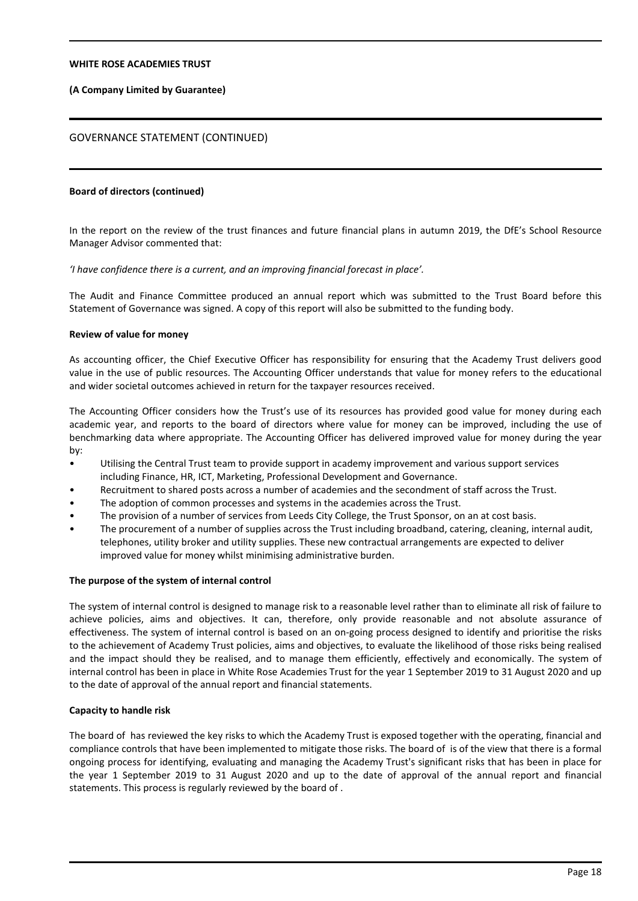#### **(A Company Limited by Guarantee)**

# GOVERNANCE STATEMENT (CONTINUED)

#### **Board of directors (continued)**

In the report on the review of the trust finances and future financial plans in autumn 2019, the DfE's School Resource Manager Advisor commented that:

*'I have confidence there is a current, and an improving financial forecast in place'.* 

The Audit and Finance Committee produced an annual report which was submitted to the Trust Board before this Statement of Governance was signed. A copy of this report will also be submitted to the funding body.

#### **Review of value for money**

As accounting officer, the Chief Executive Officer has responsibility for ensuring that the Academy Trust delivers good value in the use of public resources. The Accounting Officer understands that value for money refers to the educational and wider societal outcomes achieved in return for the taxpayer resources received.

The Accounting Officer considers how the Trust's use of its resources has provided good value for money during each academic year, and reports to the board of directors where value for money can be improved, including the use of benchmarking data where appropriate. The Accounting Officer has delivered improved value for money during the year by:

- Utilising the Central Trust team to provide support in academy improvement and various support services including Finance, HR, ICT, Marketing, Professional Development and Governance.
- Recruitment to shared posts across a number of academies and the secondment of staff across the Trust.
- The adoption of common processes and systems in the academies across the Trust.
- The provision of a number of services from Leeds City College, the Trust Sponsor, on an at cost basis.
- The procurement of a number of supplies across the Trust including broadband, catering, cleaning, internal audit, telephones, utility broker and utility supplies. These new contractual arrangements are expected to deliver improved value for money whilst minimising administrative burden.

#### **The purpose of the system of internal control**

The system of internal control is designed to manage risk to a reasonable level rather than to eliminate all risk of failure to achieve policies, aims and objectives. It can, therefore, only provide reasonable and not absolute assurance of effectiveness. The system of internal control is based on an on-going process designed to identify and prioritise the risks to the achievement of Academy Trust policies, aims and objectives, to evaluate the likelihood of those risks being realised and the impact should they be realised, and to manage them efficiently, effectively and economically. The system of internal control has been in place in White Rose Academies Trust for the year 1 September 2019 to 31 August 2020 and up to the date of approval of the annual report and financial statements.

#### **Capacity to handle risk**

The board of has reviewed the key risks to which the Academy Trust is exposed together with the operating, financial and compliance controls that have been implemented to mitigate those risks. The board of is of the view that there is a formal ongoing process for identifying, evaluating and managing the Academy Trust's significant risks that has been in place for the year 1 September 2019 to 31 August 2020 and up to the date of approval of the annual report and financial statements. This process is regularly reviewed by the board of .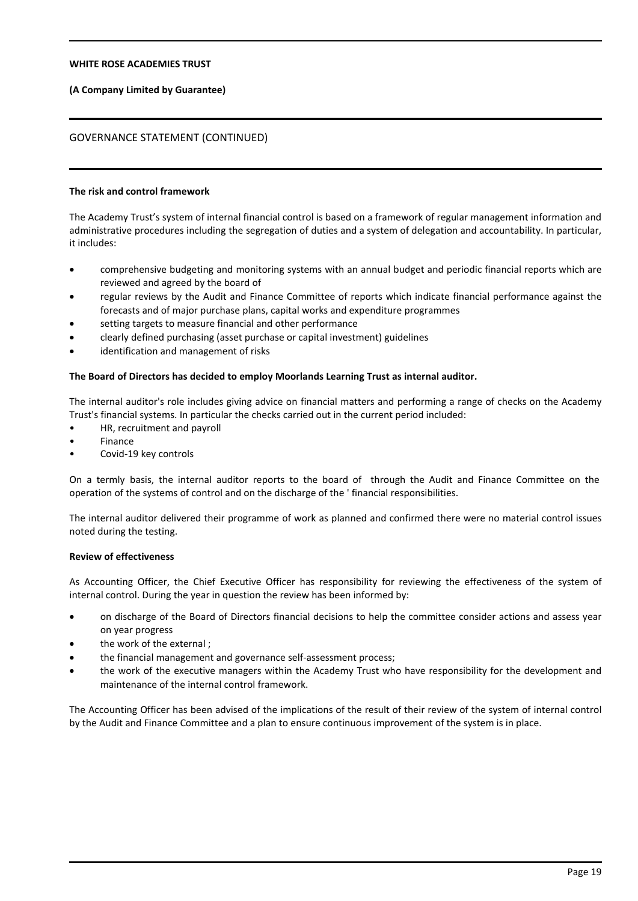#### **(A Company Limited by Guarantee)**

# GOVERNANCE STATEMENT (CONTINUED)

#### **The risk and control framework**

The Academy Trust's system of internal financial control is based on a framework of regular management information and administrative procedures including the segregation of duties and a system of delegation and accountability. In particular, it includes:

- comprehensive budgeting and monitoring systems with an annual budget and periodic financial reports which are reviewed and agreed by the board of
- regular reviews by the Audit and Finance Committee of reports which indicate financial performance against the forecasts and of major purchase plans, capital works and expenditure programmes
- setting targets to measure financial and other performance
- clearly defined purchasing (asset purchase or capital investment) guidelines
- identification and management of risks

#### **The Board of Directors has decided to employ Moorlands Learning Trust as internal auditor.**

The internal auditor's role includes giving advice on financial matters and performing a range of checks on the Academy Trust's financial systems. In particular the checks carried out in the current period included:

- HR, recruitment and payroll
- **Finance**
- Covid-19 key controls

On a termly basis, the internal auditor reports to the board of through the Audit and Finance Committee on the operation of the systems of control and on the discharge of the ' financial responsibilities.

The internal auditor delivered their programme of work as planned and confirmed there were no material control issues noted during the testing.

#### **Review of effectiveness**

As Accounting Officer, the Chief Executive Officer has responsibility for reviewing the effectiveness of the system of internal control. During the year in question the review has been informed by:

- on discharge of the Board of Directors financial decisions to help the committee consider actions and assess year on year progress
- the work of the external ;
- the financial management and governance self-assessment process;
- the work of the executive managers within the Academy Trust who have responsibility for the development and maintenance of the internal control framework.

The Accounting Officer has been advised of the implications of the result of their review of the system of internal control by the Audit and Finance Committee and a plan to ensure continuous improvement of the system is in place.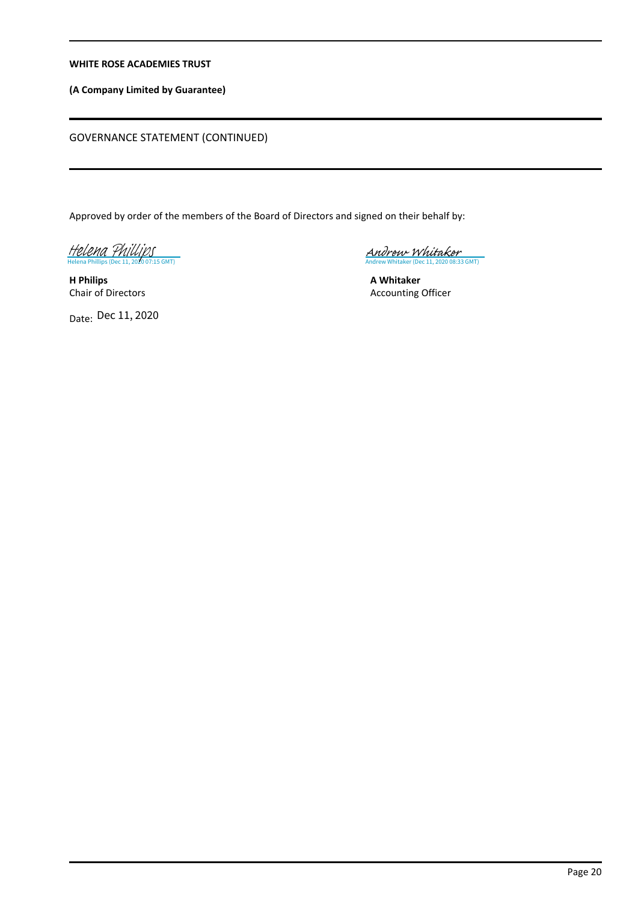**(A Company Limited by Guarantee)**

# GOVERNANCE STATEMENT (CONTINUED)

Approved by order of the members of the Board of Directors and signed on their behalf by:

Helena Phillips (Dec 11, 2020 07:15 GMT) [Helena Phillips](https://eu1.documents.adobe.com/verifier?tx=CBJCHBCAABAArSP-qXSLJZqF54sfDlzbK2Hylk9BMLPu)

**H Philips** Chair of Directors

Date: Dec 11, 2020

 $\overline{\text{GMT}}}$ [Andrew Whitaker](https://eu1.documents.adobe.com/verifier?tx=CBJCHBCAABAArSP-qXSLJZqF54sfDlzbK2Hylk9BMLPu)

**A Whitaker** Accounting Officer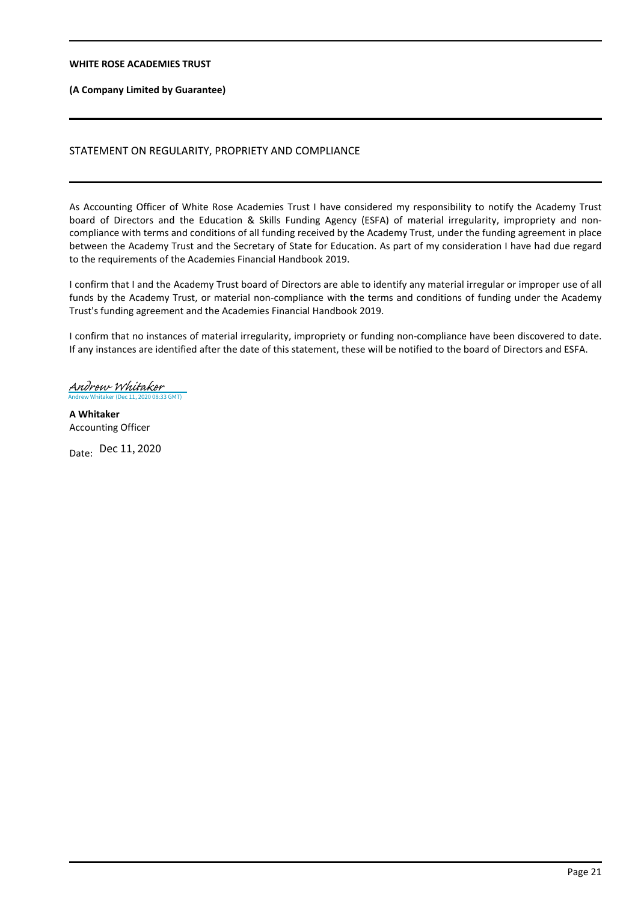**(A Company Limited by Guarantee)**

# STATEMENT ON REGULARITY, PROPRIETY AND COMPLIANCE

As Accounting Officer of White Rose Academies Trust I have considered my responsibility to notify the Academy Trust board of Directors and the Education & Skills Funding Agency (ESFA) of material irregularity, impropriety and noncompliance with terms and conditions of all funding received by the Academy Trust, under the funding agreement in place between the Academy Trust and the Secretary of State for Education. As part of my consideration I have had due regard to the requirements of the Academies Financial Handbook 2019.

I confirm that I and the Academy Trust board of Directors are able to identify any material irregular or improper use of all funds by the Academy Trust, or material non-compliance with the terms and conditions of funding under the Academy Trust's funding agreement and the Academies Financial Handbook 2019.

I confirm that no instances of material irregularity, impropriety or funding non-compliance have been discovered to date. If any instances are identified after the date of this statement, these will be notified to the board of Directors and ESFA.

Andrew Whitaker (Dec 11, 2020 08:33 GMT) [Andrew Whitaker](https://eu1.documents.adobe.com/verifier?tx=CBJCHBCAABAArSP-qXSLJZqF54sfDlzbK2Hylk9BMLPu)

**A Whitaker** Accounting Officer

Date: Dec 11, 2020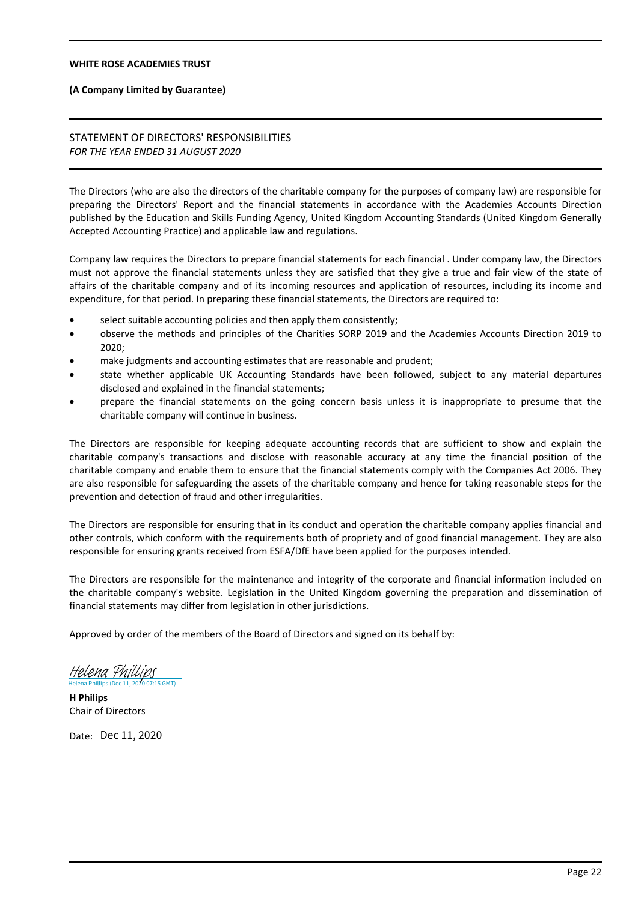#### **(A Company Limited by Guarantee)**

### STATEMENT OF DIRECTORS' RESPONSIBILITIES *FOR THE YEAR ENDED 31 AUGUST 2020*

The Directors (who are also the directors of the charitable company for the purposes of company law) are responsible for preparing the Directors' Report and the financial statements in accordance with the Academies Accounts Direction published by the Education and Skills Funding Agency, United Kingdom Accounting Standards (United Kingdom Generally Accepted Accounting Practice) and applicable law and regulations.

Company law requires the Directors to prepare financial statements for each financial . Under company law, the Directors must not approve the financial statements unless they are satisfied that they give a true and fair view of the state of affairs of the charitable company and of its incoming resources and application of resources, including its income and expenditure, for that period. In preparing these financial statements, the Directors are required to:

- select suitable accounting policies and then apply them consistently;
- observe the methods and principles of the Charities SORP 2019 and the Academies Accounts Direction 2019 to 2020;
- make judgments and accounting estimates that are reasonable and prudent;
- state whether applicable UK Accounting Standards have been followed, subject to any material departures disclosed and explained in the financial statements;
- prepare the financial statements on the going concern basis unless it is inappropriate to presume that the charitable company will continue in business.

The Directors are responsible for keeping adequate accounting records that are sufficient to show and explain the charitable company's transactions and disclose with reasonable accuracy at any time the financial position of the charitable company and enable them to ensure that the financial statements comply with the Companies Act 2006. They are also responsible for safeguarding the assets of the charitable company and hence for taking reasonable steps for the prevention and detection of fraud and other irregularities.

The Directors are responsible for ensuring that in its conduct and operation the charitable company applies financial and other controls, which conform with the requirements both of propriety and of good financial management. They are also responsible for ensuring grants received from ESFA/DfE have been applied for the purposes intended.

The Directors are responsible for the maintenance and integrity of the corporate and financial information included on the charitable company's website. Legislation in the United Kingdom governing the preparation and dissemination of financial statements may differ from legislation in other jurisdictions.

Approved by order of the members of the Board of Directors and signed on its behalf by:

[Helena Phillips](https://eu1.documents.adobe.com/verifier?tx=CBJCHBCAABAArSP-qXSLJZqF54sfDlzbK2Hylk9BMLPu) (Dec 11, 2020 07:15 GMT)

**H Philips** Chair of Directors

Date: Dec 11, 2020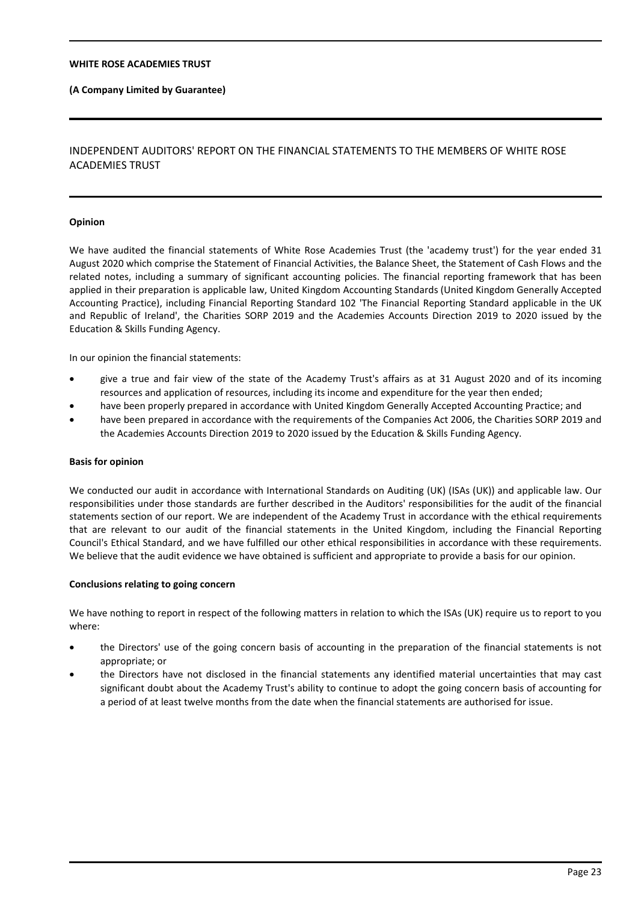#### **(A Company Limited by Guarantee)**

# INDEPENDENT AUDITORS' REPORT ON THE FINANCIAL STATEMENTS TO THE MEMBERS OF WHITE ROSE ACADEMIES TRUST

#### **Opinion**

We have audited the financial statements of White Rose Academies Trust (the 'academy trust') for the year ended 31 August 2020 which comprise the Statement of Financial Activities, the Balance Sheet, the Statement of Cash Flows and the related notes, including a summary of significant accounting policies. The financial reporting framework that has been applied in their preparation is applicable law, United Kingdom Accounting Standards (United Kingdom Generally Accepted Accounting Practice), including Financial Reporting Standard 102 'The Financial Reporting Standard applicable in the UK and Republic of Ireland', the Charities SORP 2019 and the Academies Accounts Direction 2019 to 2020 issued by the Education & Skills Funding Agency.

In our opinion the financial statements:

- give a true and fair view of the state of the Academy Trust's affairs as at 31 August 2020 and of its incoming resources and application of resources, including its income and expenditure for the year then ended;
- have been properly prepared in accordance with United Kingdom Generally Accepted Accounting Practice; and
- have been prepared in accordance with the requirements of the Companies Act 2006, the Charities SORP 2019 and the Academies Accounts Direction 2019 to 2020 issued by the Education & Skills Funding Agency.

#### **Basis for opinion**

We conducted our audit in accordance with International Standards on Auditing (UK) (ISAs (UK)) and applicable law. Our responsibilities under those standards are further described in the Auditors' responsibilities for the audit of the financial statements section of our report. We are independent of the Academy Trust in accordance with the ethical requirements that are relevant to our audit of the financial statements in the United Kingdom, including the Financial Reporting Council's Ethical Standard, and we have fulfilled our other ethical responsibilities in accordance with these requirements. We believe that the audit evidence we have obtained is sufficient and appropriate to provide a basis for our opinion.

#### **Conclusions relating to going concern**

We have nothing to report in respect of the following matters in relation to which the ISAs (UK) require us to report to you where:

- the Directors' use of the going concern basis of accounting in the preparation of the financial statements is not appropriate; or
- the Directors have not disclosed in the financial statements any identified material uncertainties that may cast significant doubt about the Academy Trust's ability to continue to adopt the going concern basis of accounting for a period of at least twelve months from the date when the financial statements are authorised for issue.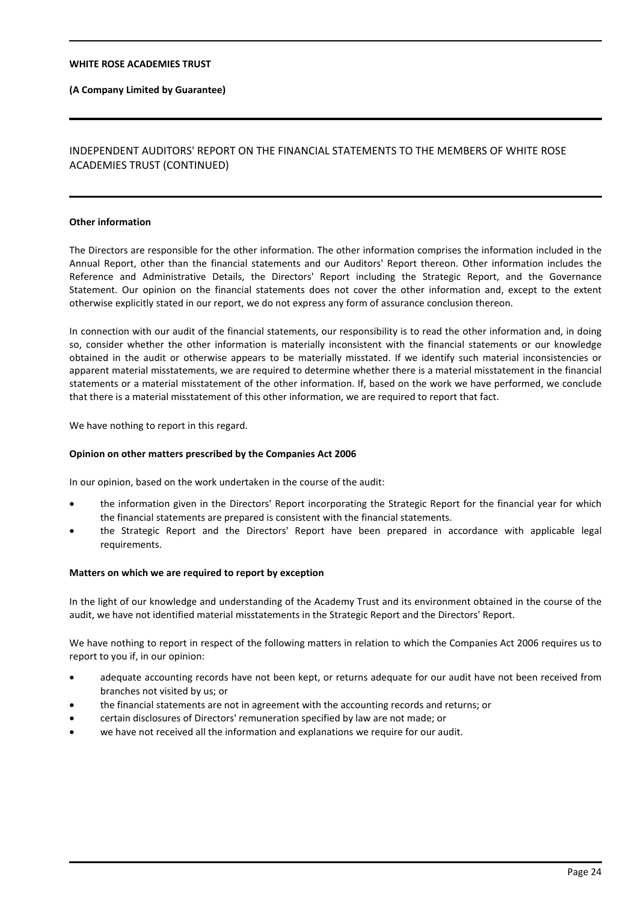#### **(A Company Limited by Guarantee)**

# INDEPENDENT AUDITORS' REPORT ON THE FINANCIAL STATEMENTS TO THE MEMBERS OF WHITE ROSE ACADEMIES TRUST (CONTINUED)

#### **Other information**

The Directors are responsible for the other information. The other information comprises the information included in the Annual Report, other than the financial statements and our Auditors' Report thereon. Other information includes the Reference and Administrative Details, the Directors' Report including the Strategic Report, and the Governance Statement. Our opinion on the financial statements does not cover the other information and, except to the extent otherwise explicitly stated in our report, we do not express any form of assurance conclusion thereon.

In connection with our audit of the financial statements, our responsibility is to read the other information and, in doing so, consider whether the other information is materially inconsistent with the financial statements or our knowledge obtained in the audit or otherwise appears to be materially misstated. If we identify such material inconsistencies or apparent material misstatements, we are required to determine whether there is a material misstatement in the financial statements or a material misstatement of the other information. If, based on the work we have performed, we conclude that there is a material misstatement of this other information, we are required to report that fact.

We have nothing to report in this regard.

#### **Opinion on other matters prescribed by the Companies Act 2006**

In our opinion, based on the work undertaken in the course of the audit:

- the information given in the Directors' Report incorporating the Strategic Report for the financial year for which the financial statements are prepared is consistent with the financial statements.
- the Strategic Report and the Directors' Report have been prepared in accordance with applicable legal requirements.

#### **Matters on which we are required to report by exception**

In the light of our knowledge and understanding of the Academy Trust and its environment obtained in the course of the audit, we have not identified material misstatements in the Strategic Report and the Directors' Report.

We have nothing to report in respect of the following matters in relation to which the Companies Act 2006 requires us to report to you if, in our opinion:

- adequate accounting records have not been kept, or returns adequate for our audit have not been received from branches not visited by us; or
- the financial statements are not in agreement with the accounting records and returns; or
- certain disclosures of Directors' remuneration specified by law are not made; or
- we have not received all the information and explanations we require for our audit.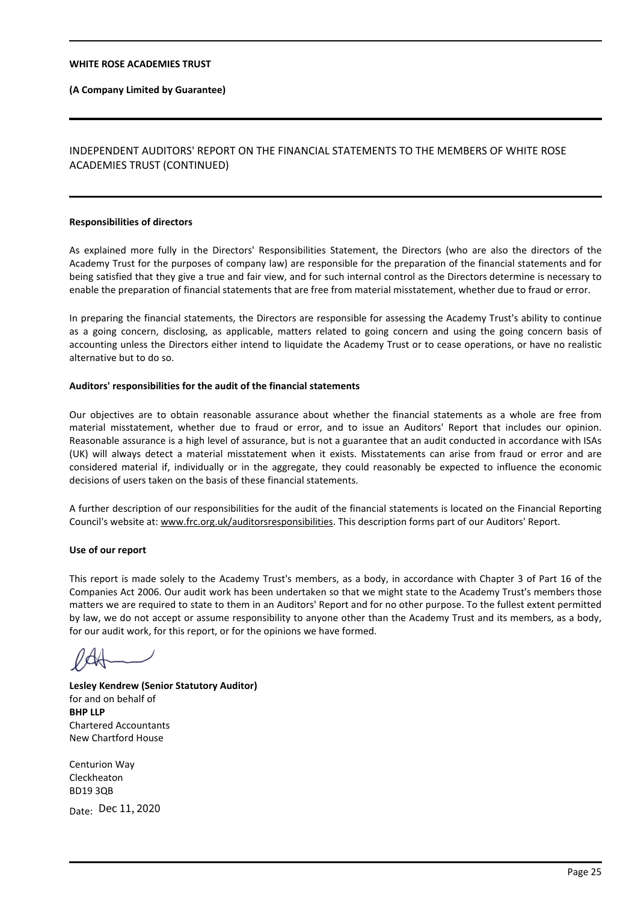#### **(A Company Limited by Guarantee)**

# INDEPENDENT AUDITORS' REPORT ON THE FINANCIAL STATEMENTS TO THE MEMBERS OF WHITE ROSE ACADEMIES TRUST (CONTINUED)

#### **Responsibilities of directors**

As explained more fully in the Directors' Responsibilities Statement, the Directors (who are also the directors of the Academy Trust for the purposes of company law) are responsible for the preparation of the financial statements and for being satisfied that they give a true and fair view, and for such internal control as the Directors determine is necessary to enable the preparation of financial statements that are free from material misstatement, whether due to fraud or error.

In preparing the financial statements, the Directors are responsible for assessing the Academy Trust's ability to continue as a going concern, disclosing, as applicable, matters related to going concern and using the going concern basis of accounting unless the Directors either intend to liquidate the Academy Trust or to cease operations, or have no realistic alternative but to do so.

#### **Auditors' responsibilities for the audit of the financial statements**

Our objectives are to obtain reasonable assurance about whether the financial statements as a whole are free from material misstatement, whether due to fraud or error, and to issue an Auditors' Report that includes our opinion. Reasonable assurance is a high level of assurance, but is not a guarantee that an audit conducted in accordance with ISAs (UK) will always detect a material misstatement when it exists. Misstatements can arise from fraud or error and are considered material if, individually or in the aggregate, they could reasonably be expected to influence the economic decisions of users taken on the basis of these financial statements.

A further description of our responsibilities for the audit of the financial statements is located on the Financial Reporting Council's website at: www.frc.org.uk/auditorsresponsibilities. This description forms part of our Auditors' Report.

#### **Use of our report**

This report is made solely to the Academy Trust's members, as a body, in accordance with Chapter 3 of Part 16 of the Companies Act 2006. Our audit work has been undertaken so that we might state to the Academy Trust's members those matters we are required to state to them in an Auditors' Report and for no other purpose. To the fullest extent permitted by law, we do not accept or assume responsibility to anyone other than the Academy Trust and its members, as a body, for our audit work, for this report, or for the opinions we have formed.

**Lesley Kendrew (Senior Statutory Auditor)** for and on behalf of **BHP LLP** Chartered Accountants New Chartford House

Centurion Way Cleckheaton BD19 3QB

Date: Dec 11, 2020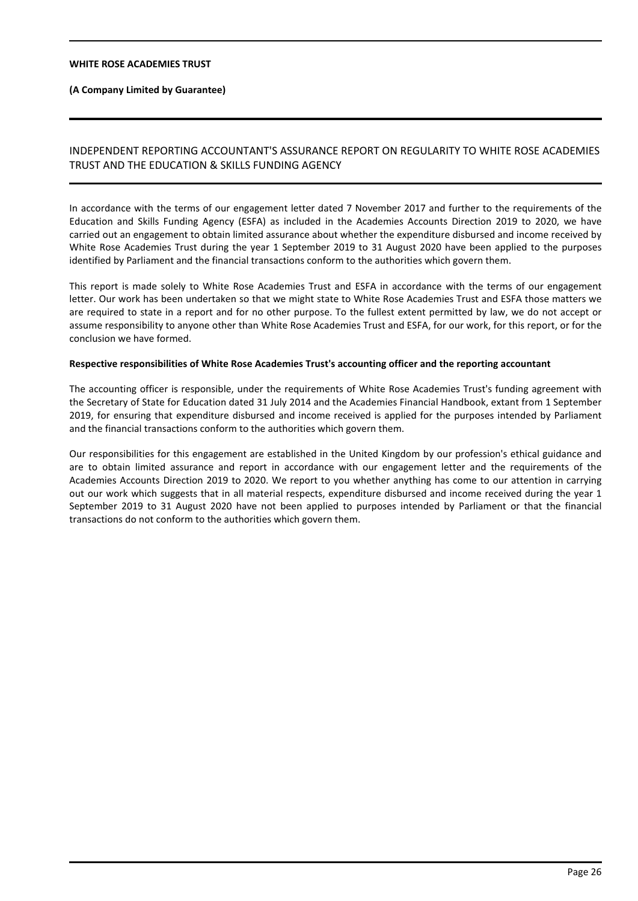#### **(A Company Limited by Guarantee)**

# INDEPENDENT REPORTING ACCOUNTANT'S ASSURANCE REPORT ON REGULARITY TO WHITE ROSE ACADEMIES TRUST AND THE EDUCATION & SKILLS FUNDING AGENCY

In accordance with the terms of our engagement letter dated 7 November 2017 and further to the requirements of the Education and Skills Funding Agency (ESFA) as included in the Academies Accounts Direction 2019 to 2020, we have carried out an engagement to obtain limited assurance about whether the expenditure disbursed and income received by White Rose Academies Trust during the year 1 September 2019 to 31 August 2020 have been applied to the purposes identified by Parliament and the financial transactions conform to the authorities which govern them.

This report is made solely to White Rose Academies Trust and ESFA in accordance with the terms of our engagement letter. Our work has been undertaken so that we might state to White Rose Academies Trust and ESFA those matters we are required to state in a report and for no other purpose. To the fullest extent permitted by law, we do not accept or assume responsibility to anyone other than White Rose Academies Trust and ESFA, for our work, for this report, or for the conclusion we have formed.

#### **Respective responsibilities of White Rose Academies Trust's accounting officer and the reporting accountant**

The accounting officer is responsible, under the requirements of White Rose Academies Trust's funding agreement with the Secretary of State for Education dated 31 July 2014 and the Academies Financial Handbook, extant from 1 September 2019, for ensuring that expenditure disbursed and income received is applied for the purposes intended by Parliament and the financial transactions conform to the authorities which govern them.

Our responsibilities for this engagement are established in the United Kingdom by our profession's ethical guidance and are to obtain limited assurance and report in accordance with our engagement letter and the requirements of the Academies Accounts Direction 2019 to 2020. We report to you whether anything has come to our attention in carrying out our work which suggests that in all material respects, expenditure disbursed and income received during the year 1 September 2019 to 31 August 2020 have not been applied to purposes intended by Parliament or that the financial transactions do not conform to the authorities which govern them.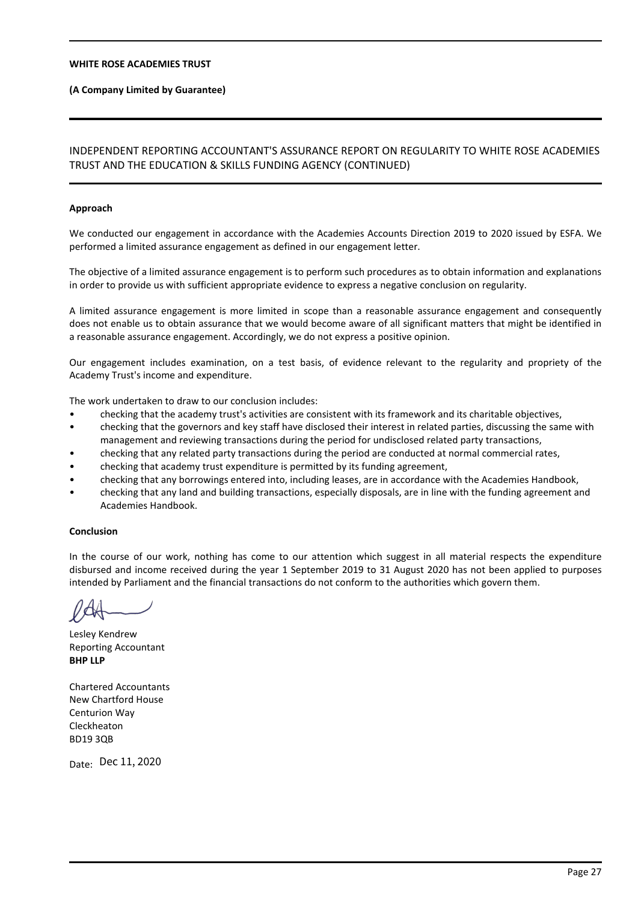#### **(A Company Limited by Guarantee)**

# INDEPENDENT REPORTING ACCOUNTANT'S ASSURANCE REPORT ON REGULARITY TO WHITE ROSE ACADEMIES TRUST AND THE EDUCATION & SKILLS FUNDING AGENCY (CONTINUED)

#### **Approach**

We conducted our engagement in accordance with the Academies Accounts Direction 2019 to 2020 issued by ESFA. We performed a limited assurance engagement as defined in our engagement letter.

The objective of a limited assurance engagement is to perform such procedures as to obtain information and explanations in order to provide us with sufficient appropriate evidence to express a negative conclusion on regularity.

A limited assurance engagement is more limited in scope than a reasonable assurance engagement and consequently does not enable us to obtain assurance that we would become aware of all significant matters that might be identified in a reasonable assurance engagement. Accordingly, we do not express a positive opinion.

Our engagement includes examination, on a test basis, of evidence relevant to the regularity and propriety of the Academy Trust's income and expenditure.

The work undertaken to draw to our conclusion includes:

- checking that the academy trust's activities are consistent with its framework and its charitable objectives,
- checking that the governors and key staff have disclosed their interest in related parties, discussing the same with management and reviewing transactions during the period for undisclosed related party transactions,
- checking that any related party transactions during the period are conducted at normal commercial rates,
- checking that academy trust expenditure is permitted by its funding agreement,
- checking that any borrowings entered into, including leases, are in accordance with the Academies Handbook,
- checking that any land and building transactions, especially disposals, are in line with the funding agreement and Academies Handbook.

#### **Conclusion**

In the course of our work, nothing has come to our attention which suggest in all material respects the expenditure disbursed and income received during the year 1 September 2019 to 31 August 2020 has not been applied to purposes intended by Parliament and the financial transactions do not conform to the authorities which govern them.

Lesley Kendrew Reporting Accountant **BHP LLP**

Chartered Accountants New Chartford House Centurion Way Cleckheaton BD19 3QB

Date: Dec 11, 2020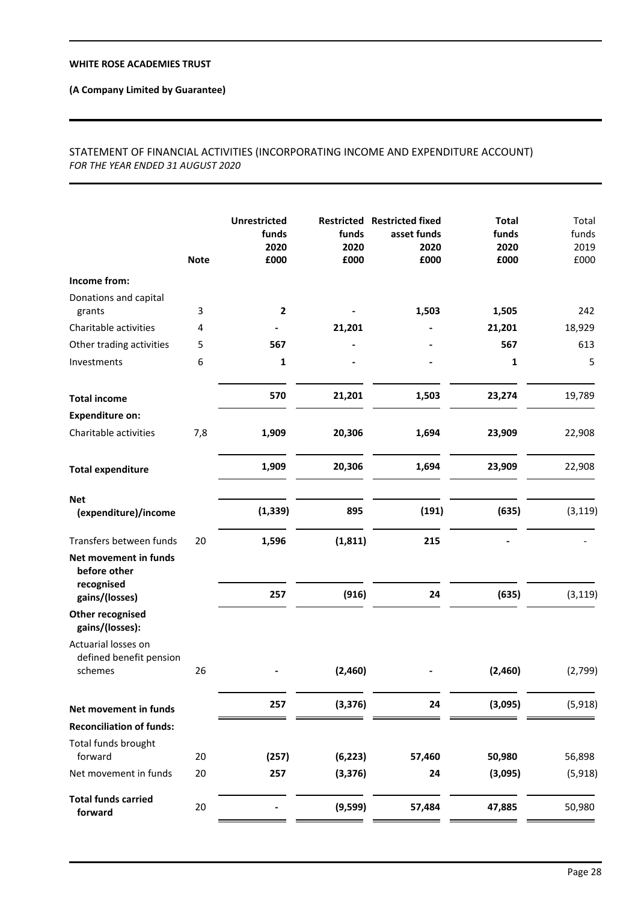# **(A Company Limited by Guarantee)**

# STATEMENT OF FINANCIAL ACTIVITIES (INCORPORATING INCOME AND EXPENDITURE ACCOUNT) *FOR THE YEAR ENDED 31 AUGUST 2020*

|                                                     | <b>Note</b> | <b>Unrestricted</b><br>funds<br>2020<br>£000 | funds<br>2020<br>£000 | <b>Restricted Restricted fixed</b><br>asset funds<br>2020<br>£000 | <b>Total</b><br>funds<br>2020<br>£000 | Total<br>funds<br>2019<br>£000 |
|-----------------------------------------------------|-------------|----------------------------------------------|-----------------------|-------------------------------------------------------------------|---------------------------------------|--------------------------------|
| Income from:                                        |             |                                              |                       |                                                                   |                                       |                                |
| Donations and capital<br>grants                     | 3           | $\mathbf{2}$                                 |                       | 1,503                                                             | 1,505                                 | 242                            |
| Charitable activities                               | 4           |                                              | 21,201                |                                                                   | 21,201                                | 18,929                         |
| Other trading activities                            | 5           | 567                                          |                       |                                                                   | 567                                   | 613                            |
| Investments                                         | 6           | 1                                            |                       |                                                                   | 1                                     | 5                              |
| <b>Total income</b>                                 |             | 570                                          | 21,201                | 1,503                                                             | 23,274                                | 19,789                         |
| <b>Expenditure on:</b>                              |             |                                              |                       |                                                                   |                                       |                                |
| Charitable activities                               | 7,8         | 1,909                                        | 20,306                | 1,694                                                             | 23,909                                | 22,908                         |
| <b>Total expenditure</b>                            |             | 1,909                                        | 20,306                | 1,694                                                             | 23,909                                | 22,908                         |
| <b>Net</b><br>(expenditure)/income                  |             | (1, 339)                                     | 895                   | (191)                                                             | (635)                                 | (3, 119)                       |
| Transfers between funds                             | 20          | 1,596                                        | (1, 811)              | 215                                                               |                                       |                                |
| Net movement in funds<br>before other<br>recognised |             |                                              |                       |                                                                   |                                       |                                |
| gains/(losses)                                      |             | 257                                          | (916)                 | 24                                                                | (635)                                 | (3, 119)                       |
| Other recognised<br>gains/(losses):                 |             |                                              |                       |                                                                   |                                       |                                |
| Actuarial losses on                                 |             |                                              |                       |                                                                   |                                       |                                |
| defined benefit pension<br>schemes                  | 26          |                                              | (2,460)               |                                                                   | (2,460)                               | (2,799)                        |
| Net movement in funds                               |             | 257                                          | (3, 376)              | 24                                                                | (3,095)                               | (5, 918)                       |
| <b>Reconciliation of funds:</b>                     |             |                                              |                       |                                                                   |                                       |                                |
| Total funds brought<br>forward                      | 20          | (257)                                        | (6, 223)              | 57,460                                                            | 50,980                                | 56,898                         |
| Net movement in funds                               | 20          | 257                                          | (3, 376)              | 24                                                                | (3,095)                               | (5, 918)                       |
| <b>Total funds carried</b><br>forward               | 20          |                                              | (9,599)               | 57,484                                                            | 47,885                                | 50,980                         |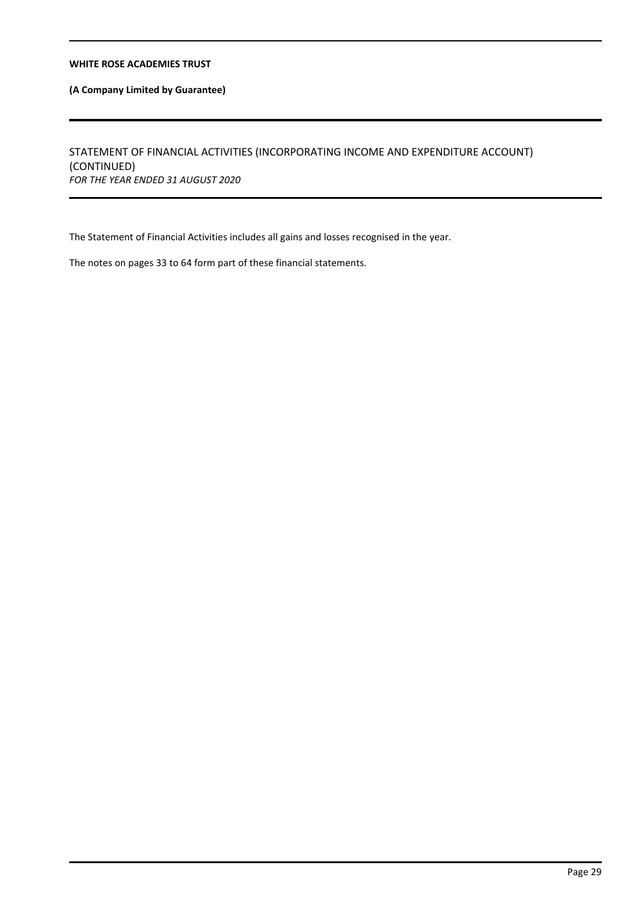**(A Company Limited by Guarantee)**

# STATEMENT OF FINANCIAL ACTIVITIES (INCORPORATING INCOME AND EXPENDITURE ACCOUNT) (CONTINUED) *FOR THE YEAR ENDED 31 AUGUST 2020*

The Statement of Financial Activities includes all gains and losses recognised in the year.

The notes on pages 33 to 64 form part of these financial statements.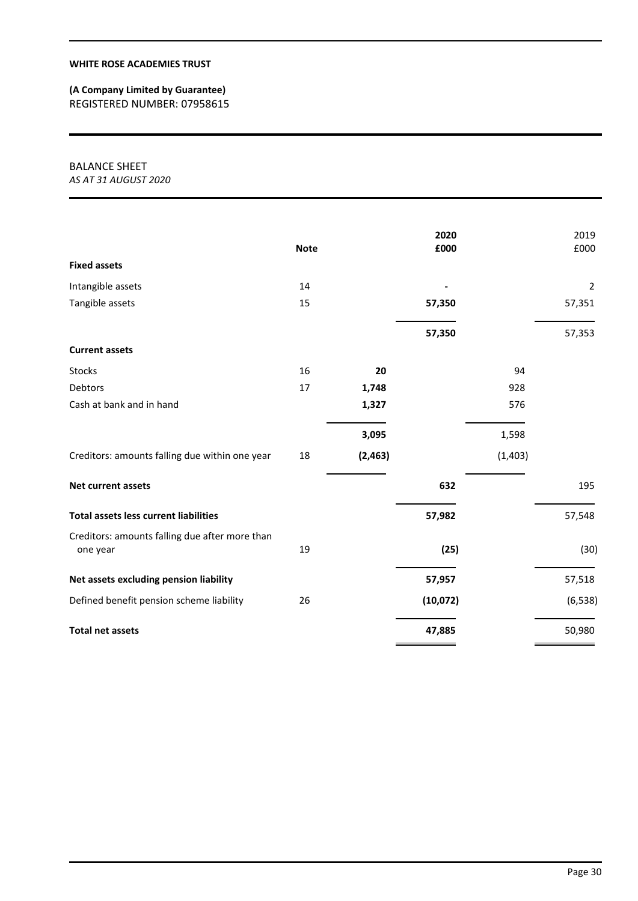# **(A Company Limited by Guarantee)**

REGISTERED NUMBER: 07958615

# BALANCE SHEET *AS AT 31 AUGUST 2020*

| <b>Note</b> |          | 2020<br>£000 |         | 2019<br>£000 |
|-------------|----------|--------------|---------|--------------|
|             |          |              |         |              |
| 14          |          |              |         | 2            |
| 15          |          | 57,350       |         | 57,351       |
|             |          | 57,350       |         | 57,353       |
|             |          |              |         |              |
| 16          | 20       |              | 94      |              |
| 17          | 1,748    |              | 928     |              |
|             | 1,327    |              | 576     |              |
|             | 3,095    |              | 1,598   |              |
| 18          | (2, 463) |              | (1,403) |              |
|             |          | 632          |         | 195          |
|             |          | 57,982       |         | 57,548       |
| 19          |          | (25)         |         | (30)         |
|             |          | 57,957       |         | 57,518       |
| 26          |          | (10,072)     |         | (6, 538)     |
|             |          | 47,885       |         | 50,980       |
|             |          |              |         |              |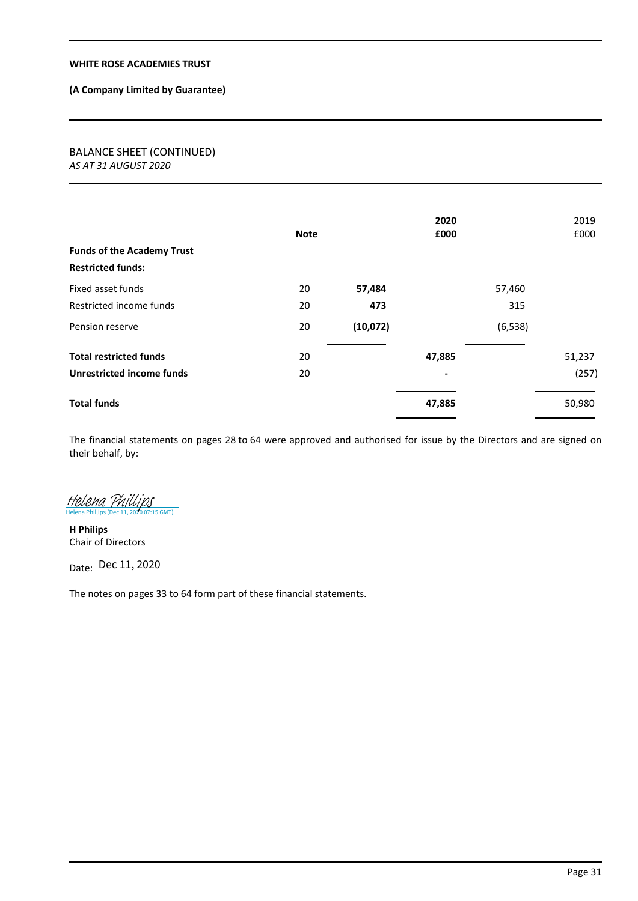#### **(A Company Limited by Guarantee)**

# BALANCE SHEET (CONTINUED) *AS AT 31 AUGUST 2020*

| <b>Funds of the Academy Trust</b> | <b>Note</b> |          | 2020<br>£000             |          | 2019<br>£000 |
|-----------------------------------|-------------|----------|--------------------------|----------|--------------|
| <b>Restricted funds:</b>          |             |          |                          |          |              |
| Fixed asset funds                 | 20          | 57,484   |                          | 57,460   |              |
| Restricted income funds           | 20          | 473      |                          | 315      |              |
| Pension reserve                   | 20          | (10,072) |                          | (6, 538) |              |
| <b>Total restricted funds</b>     | 20          |          | 47,885                   |          | 51,237       |
| Unrestricted income funds         | 20          |          | $\overline{\phantom{a}}$ |          | (257)        |
| <b>Total funds</b>                |             |          | 47,885                   |          | 50,980       |

The financial statements on pages 28 to 64 were approved and authorised for issue by the Directors and are signed on their behalf, by:

[Helena Phillips](https://eu1.documents.adobe.com/verifier?tx=CBJCHBCAABAArSP-qXSLJZqF54sfDlzbK2Hylk9BMLPu) (Dec 11, 2020 07:15 GMT)

**H Philips** Chair of Directors

Date: Dec 11, 2020

The notes on pages 33 to 64 form part of these financial statements.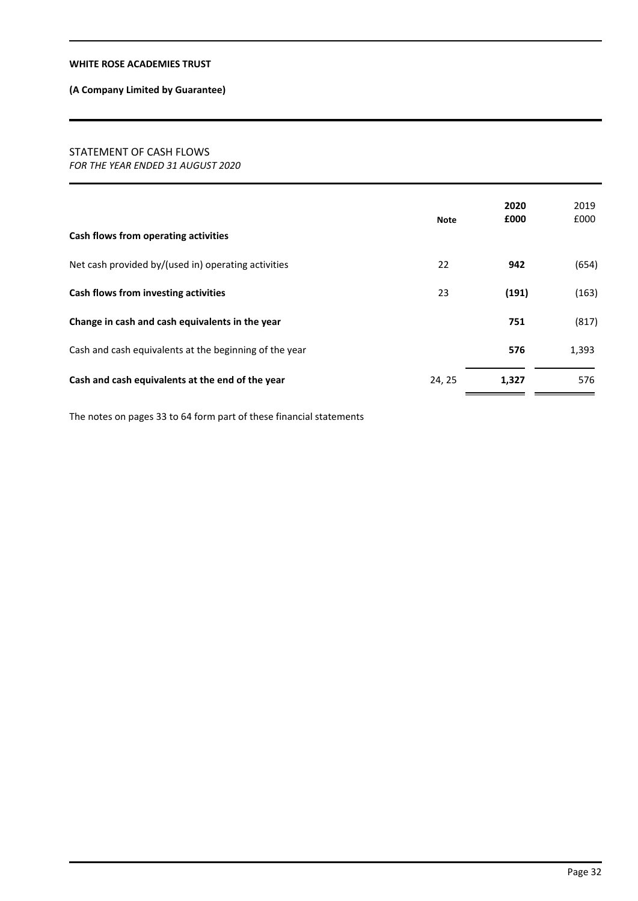# **(A Company Limited by Guarantee)**

# STATEMENT OF CASH FLOWS

*FOR THE YEAR ENDED 31 AUGUST 2020*

| Cash flows from operating activities                   | <b>Note</b> | 2020<br>£000 | 2019<br>£000 |
|--------------------------------------------------------|-------------|--------------|--------------|
| Net cash provided by/(used in) operating activities    | 22          | 942          | (654)        |
| Cash flows from investing activities                   | 23          | (191)        | (163)        |
| Change in cash and cash equivalents in the year        |             | 751          | (817)        |
| Cash and cash equivalents at the beginning of the year |             | 576          | 1,393        |
| Cash and cash equivalents at the end of the year       | 24, 25      | 1,327        | 576          |

The notes on pages 33 to 64 form part of these financial statements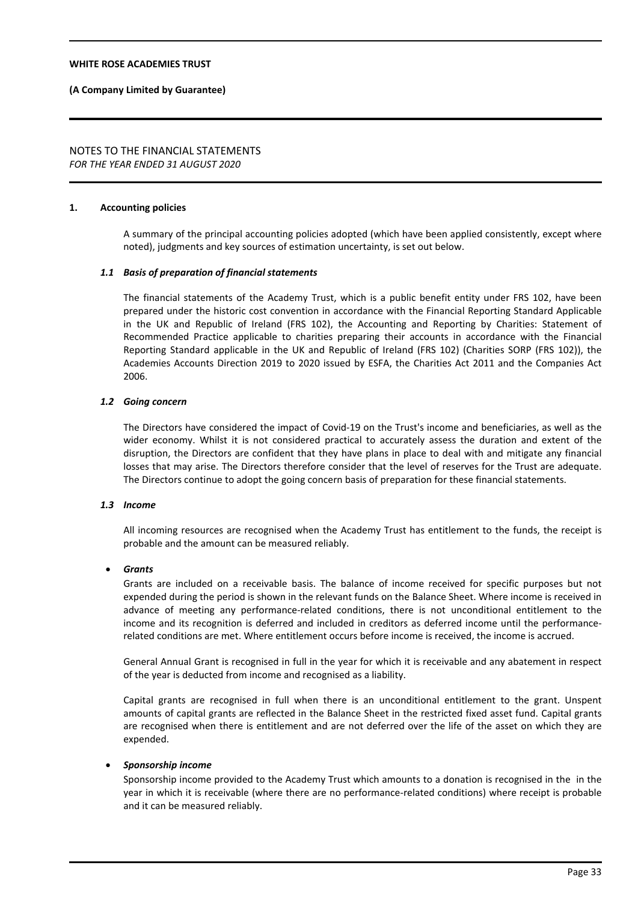#### **(A Company Limited by Guarantee)**

### NOTES TO THE FINANCIAL STATEMENTS *FOR THE YEAR ENDED 31 AUGUST 2020*

#### **1. Accounting policies**

A summary of the principal accounting policies adopted (which have been applied consistently, except where noted), judgments and key sources of estimation uncertainty, is set out below.

#### *1.1 Basis of preparation of financial statements*

The financial statements of the Academy Trust, which is a public benefit entity under FRS 102, have been prepared under the historic cost convention in accordance with the Financial Reporting Standard Applicable in the UK and Republic of Ireland (FRS 102), the Accounting and Reporting by Charities: Statement of Recommended Practice applicable to charities preparing their accounts in accordance with the Financial Reporting Standard applicable in the UK and Republic of Ireland (FRS 102) (Charities SORP (FRS 102)), the Academies Accounts Direction 2019 to 2020 issued by ESFA, the Charities Act 2011 and the Companies Act 2006.

#### *1.2 Going concern*

The Directors have considered the impact of Covid-19 on the Trust's income and beneficiaries, as well as the wider economy. Whilst it is not considered practical to accurately assess the duration and extent of the disruption, the Directors are confident that they have plans in place to deal with and mitigate any financial losses that may arise. The Directors therefore consider that the level of reserves for the Trust are adequate. The Directors continue to adopt the going concern basis of preparation for these financial statements.

#### *1.3 Income*

All incoming resources are recognised when the Academy Trust has entitlement to the funds, the receipt is probable and the amount can be measured reliably.

#### *Grants*

Grants are included on a receivable basis. The balance of income received for specific purposes but not expended during the period is shown in the relevant funds on the Balance Sheet. Where income is received in advance of meeting any performance-related conditions, there is not unconditional entitlement to the income and its recognition is deferred and included in creditors as deferred income until the performancerelated conditions are met. Where entitlement occurs before income is received, the income is accrued.

General Annual Grant is recognised in full in the year for which it is receivable and any abatement in respect of the year is deducted from income and recognised as a liability.

Capital grants are recognised in full when there is an unconditional entitlement to the grant. Unspent amounts of capital grants are reflected in the Balance Sheet in the restricted fixed asset fund. Capital grants are recognised when there is entitlement and are not deferred over the life of the asset on which they are expended.

#### *Sponsorship income*

Sponsorship income provided to the Academy Trust which amounts to a donation is recognised in the in the year in which it is receivable (where there are no performance-related conditions) where receipt is probable and it can be measured reliably.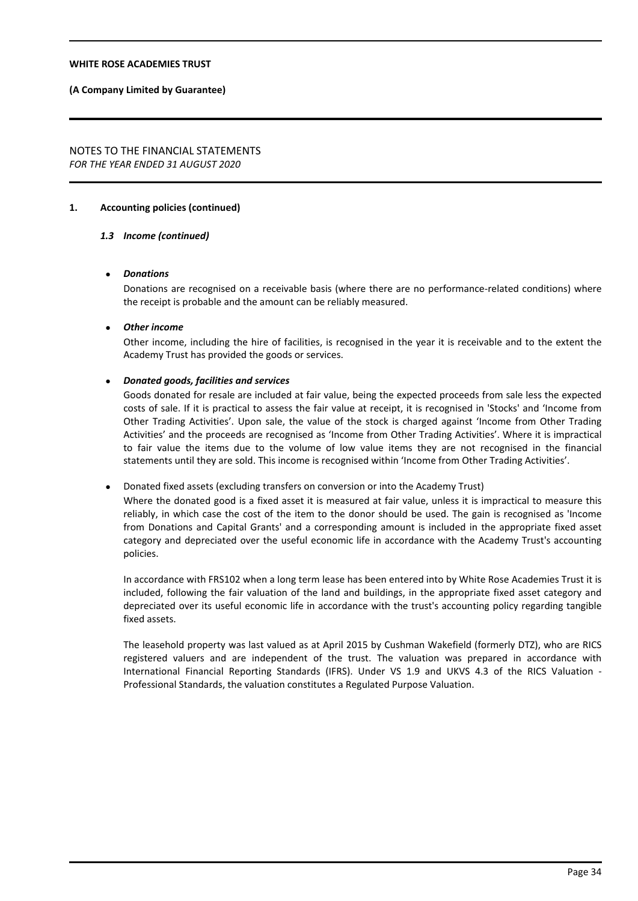#### **(A Company Limited by Guarantee)**

NOTES TO THE FINANCIAL STATEMENTS *FOR THE YEAR ENDED 31 AUGUST 2020*

#### **1. Accounting policies (continued)**

#### *1.3 Income (continued)*

#### *Donations*

Donations are recognised on a receivable basis (where there are no performance-related conditions) where the receipt is probable and the amount can be reliably measured.

#### *Other income*

Other income, including the hire of facilities, is recognised in the year it is receivable and to the extent the Academy Trust has provided the goods or services.

#### *Donated goods, facilities and services*

Goods donated for resale are included at fair value, being the expected proceeds from sale less the expected costs of sale. If it is practical to assess the fair value at receipt, it is recognised in 'Stocks' and 'Income from Other Trading Activities'. Upon sale, the value of the stock is charged against 'Income from Other Trading Activities' and the proceeds are recognised as 'Income from Other Trading Activities'. Where it is impractical to fair value the items due to the volume of low value items they are not recognised in the financial statements until they are sold. This income is recognised within 'Income from Other Trading Activities'.

#### Donated fixed assets (excluding transfers on conversion or into the Academy Trust)

Where the donated good is a fixed asset it is measured at fair value, unless it is impractical to measure this reliably, in which case the cost of the item to the donor should be used. The gain is recognised as 'Income from Donations and Capital Grants' and a corresponding amount is included in the appropriate fixed asset category and depreciated over the useful economic life in accordance with the Academy Trust's accounting policies.

In accordance with FRS102 when a long term lease has been entered into by White Rose Academies Trust it is included, following the fair valuation of the land and buildings, in the appropriate fixed asset category and depreciated over its useful economic life in accordance with the trust's accounting policy regarding tangible fixed assets.

The leasehold property was last valued as at April 2015 by Cushman Wakefield (formerly DTZ), who are RICS registered valuers and are independent of the trust. The valuation was prepared in accordance with International Financial Reporting Standards (IFRS). Under VS 1.9 and UKVS 4.3 of the RICS Valuation - Professional Standards, the valuation constitutes a Regulated Purpose Valuation.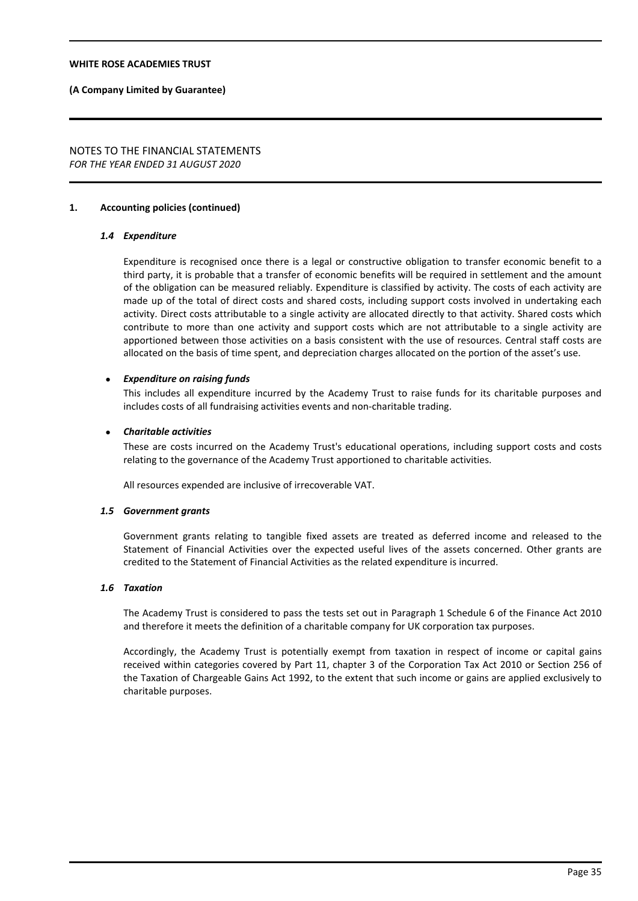#### **(A Company Limited by Guarantee)**

NOTES TO THE FINANCIAL STATEMENTS *FOR THE YEAR ENDED 31 AUGUST 2020*

#### **1. Accounting policies (continued)**

#### *1.4 Expenditure*

Expenditure is recognised once there is a legal or constructive obligation to transfer economic benefit to a third party, it is probable that a transfer of economic benefits will be required in settlement and the amount of the obligation can be measured reliably. Expenditure is classified by activity. The costs of each activity are made up of the total of direct costs and shared costs, including support costs involved in undertaking each activity. Direct costs attributable to a single activity are allocated directly to that activity. Shared costs which contribute to more than one activity and support costs which are not attributable to a single activity are apportioned between those activities on a basis consistent with the use of resources. Central staff costs are allocated on the basis of time spent, and depreciation charges allocated on the portion of the asset's use.

#### *Expenditure on raising funds*

This includes all expenditure incurred by the Academy Trust to raise funds for its charitable purposes and includes costs of all fundraising activities events and non-charitable trading.

#### *Charitable activities*

These are costs incurred on the Academy Trust's educational operations, including support costs and costs relating to the governance of the Academy Trust apportioned to charitable activities.

All resources expended are inclusive of irrecoverable VAT.

#### *1.5 Government grants*

Government grants relating to tangible fixed assets are treated as deferred income and released to the Statement of Financial Activities over the expected useful lives of the assets concerned. Other grants are credited to the Statement of Financial Activities as the related expenditure is incurred.

#### *1.6 Taxation*

The Academy Trust is considered to pass the tests set out in Paragraph 1 Schedule 6 of the Finance Act 2010 and therefore it meets the definition of a charitable company for UK corporation tax purposes.

Accordingly, the Academy Trust is potentially exempt from taxation in respect of income or capital gains received within categories covered by Part 11, chapter 3 of the Corporation Tax Act 2010 or Section 256 of the Taxation of Chargeable Gains Act 1992, to the extent that such income or gains are applied exclusively to charitable purposes.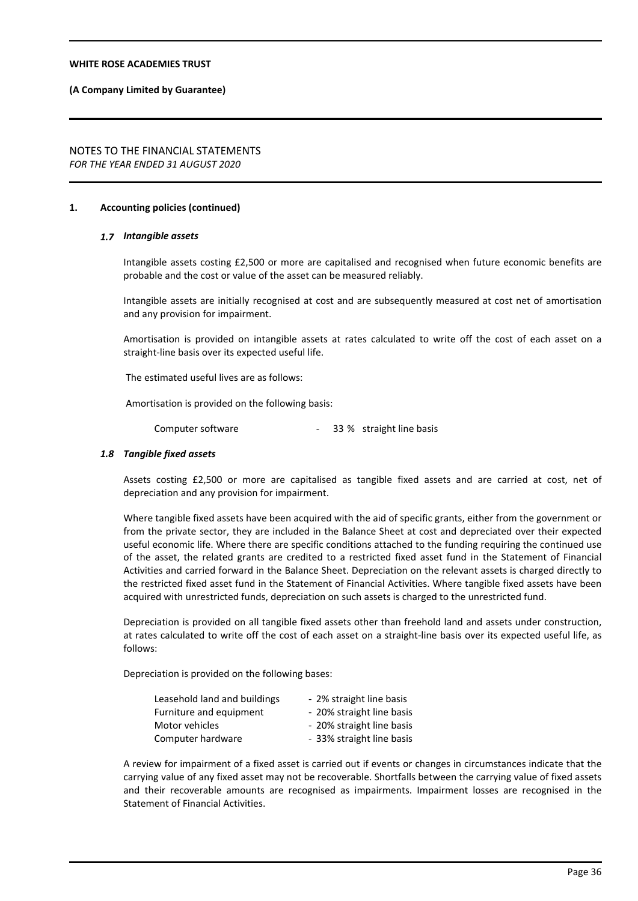#### **(A Company Limited by Guarantee)**

### NOTES TO THE FINANCIAL STATEMENTS *FOR THE YEAR ENDED 31 AUGUST 2020*

#### **1. Accounting policies (continued)**

#### *1.7 Intangible assets*

Intangible assets costing £2,500 or more are capitalised and recognised when future economic benefits are probable and the cost or value of the asset can be measured reliably.

Intangible assets are initially recognised at cost and are subsequently measured at cost net of amortisation and any provision for impairment.

Amortisation is provided on intangible assets at rates calculated to write off the cost of each asset on a straight-line basis over its expected useful life.

The estimated useful lives are as follows:

Amortisation is provided on the following basis:

Computer software The Computer software and the straight line basis

#### *1.8 Tangible fixed assets*

Assets costing £2,500 or more are capitalised as tangible fixed assets and are carried at cost, net of depreciation and any provision for impairment.

Where tangible fixed assets have been acquired with the aid of specific grants, either from the government or from the private sector, they are included in the Balance Sheet at cost and depreciated over their expected useful economic life. Where there are specific conditions attached to the funding requiring the continued use of the asset, the related grants are credited to a restricted fixed asset fund in the Statement of Financial Activities and carried forward in the Balance Sheet. Depreciation on the relevant assets is charged directly to the restricted fixed asset fund in the Statement of Financial Activities. Where tangible fixed assets have been acquired with unrestricted funds, depreciation on such assets is charged to the unrestricted fund.

Depreciation is provided on all tangible fixed assets other than freehold land and assets under construction, at rates calculated to write off the cost of each asset on a straight-line basis over its expected useful life, as follows:

Depreciation is provided on the following bases:

| Leasehold land and buildings | - 2% straight line basis  |
|------------------------------|---------------------------|
| Furniture and equipment      | - 20% straight line basis |
| Motor vehicles               | - 20% straight line basis |
| Computer hardware            | - 33% straight line basis |

A review for impairment of a fixed asset is carried out if events or changes in circumstances indicate that the carrying value of any fixed asset may not be recoverable. Shortfalls between the carrying value of fixed assets and their recoverable amounts are recognised as impairments. Impairment losses are recognised in the Statement of Financial Activities.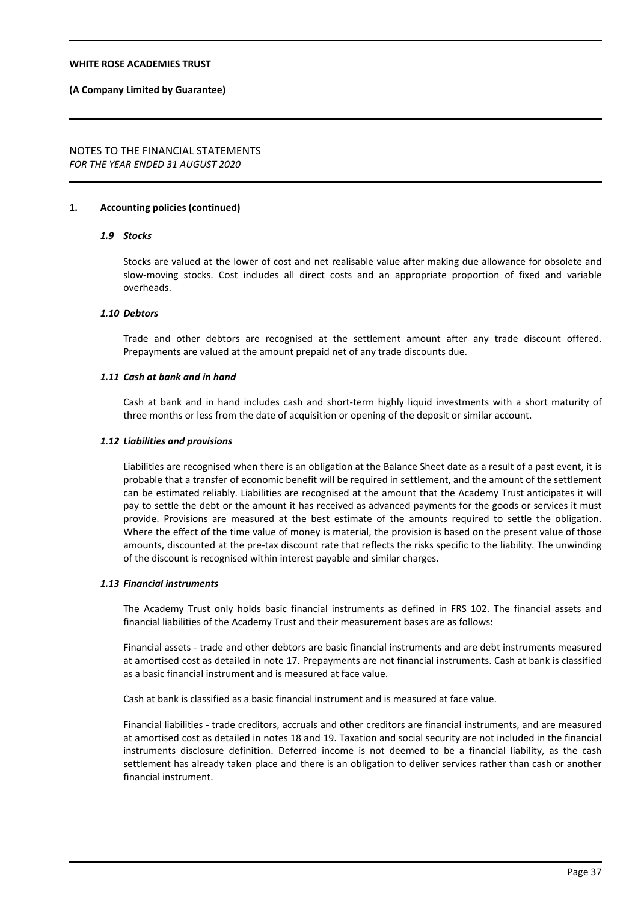#### **(A Company Limited by Guarantee)**

### NOTES TO THE FINANCIAL STATEMENTS *FOR THE YEAR ENDED 31 AUGUST 2020*

#### **1. Accounting policies (continued)**

#### *1.9 Stocks*

Stocks are valued at the lower of cost and net realisable value after making due allowance for obsolete and slow-moving stocks. Cost includes all direct costs and an appropriate proportion of fixed and variable overheads.

#### *1.10 Debtors*

Trade and other debtors are recognised at the settlement amount after any trade discount offered. Prepayments are valued at the amount prepaid net of any trade discounts due.

#### *1.11 Cash at bank and in hand*

Cash at bank and in hand includes cash and short-term highly liquid investments with a short maturity of three months or less from the date of acquisition or opening of the deposit or similar account.

#### *1.12 Liabilities and provisions*

Liabilities are recognised when there is an obligation at the Balance Sheet date as a result of a past event, it is probable that a transfer of economic benefit will be required in settlement, and the amount of the settlement can be estimated reliably. Liabilities are recognised at the amount that the Academy Trust anticipates it will pay to settle the debt or the amount it has received as advanced payments for the goods or services it must provide. Provisions are measured at the best estimate of the amounts required to settle the obligation. Where the effect of the time value of money is material, the provision is based on the present value of those amounts, discounted at the pre-tax discount rate that reflects the risks specific to the liability. The unwinding of the discount is recognised within interest payable and similar charges.

#### *1.13 Financial instruments*

The Academy Trust only holds basic financial instruments as defined in FRS 102. The financial assets and financial liabilities of the Academy Trust and their measurement bases are as follows:

Financial assets - trade and other debtors are basic financial instruments and are debt instruments measured at amortised cost as detailed in note 17. Prepayments are not financial instruments. Cash at bank is classified as a basic financial instrument and is measured at face value.

Cash at bank is classified as a basic financial instrument and is measured at face value.

Financial liabilities - trade creditors, accruals and other creditors are financial instruments, and are measured at amortised cost as detailed in notes 18 and 19. Taxation and social security are not included in the financial instruments disclosure definition. Deferred income is not deemed to be a financial liability, as the cash settlement has already taken place and there is an obligation to deliver services rather than cash or another financial instrument.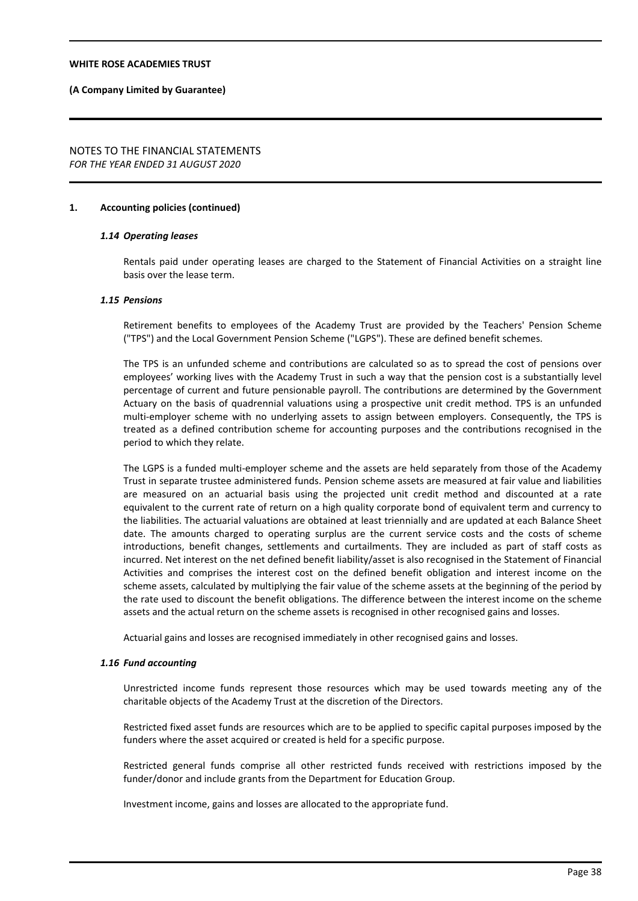#### **(A Company Limited by Guarantee)**

### NOTES TO THE FINANCIAL STATEMENTS *FOR THE YEAR ENDED 31 AUGUST 2020*

#### **1. Accounting policies (continued)**

#### *1.14 Operating leases*

Rentals paid under operating leases are charged to the Statement of Financial Activities on a straight line basis over the lease term.

#### *1.15 Pensions*

Retirement benefits to employees of the Academy Trust are provided by the Teachers' Pension Scheme ("TPS") and the Local Government Pension Scheme ("LGPS"). These are defined benefit schemes.

The TPS is an unfunded scheme and contributions are calculated so as to spread the cost of pensions over employees' working lives with the Academy Trust in such a way that the pension cost is a substantially level percentage of current and future pensionable payroll. The contributions are determined by the Government Actuary on the basis of quadrennial valuations using a prospective unit credit method. TPS is an unfunded multi-employer scheme with no underlying assets to assign between employers. Consequently, the TPS is treated as a defined contribution scheme for accounting purposes and the contributions recognised in the period to which they relate.

The LGPS is a funded multi-employer scheme and the assets are held separately from those of the Academy Trust in separate trustee administered funds. Pension scheme assets are measured at fair value and liabilities are measured on an actuarial basis using the projected unit credit method and discounted at a rate equivalent to the current rate of return on a high quality corporate bond of equivalent term and currency to the liabilities. The actuarial valuations are obtained at least triennially and are updated at each Balance Sheet date. The amounts charged to operating surplus are the current service costs and the costs of scheme introductions, benefit changes, settlements and curtailments. They are included as part of staff costs as incurred. Net interest on the net defined benefit liability/asset is also recognised in the Statement of Financial Activities and comprises the interest cost on the defined benefit obligation and interest income on the scheme assets, calculated by multiplying the fair value of the scheme assets at the beginning of the period by the rate used to discount the benefit obligations. The difference between the interest income on the scheme assets and the actual return on the scheme assets is recognised in other recognised gains and losses.

Actuarial gains and losses are recognised immediately in other recognised gains and losses.

#### *1.16 Fund accounting*

Unrestricted income funds represent those resources which may be used towards meeting any of the charitable objects of the Academy Trust at the discretion of the Directors.

Restricted fixed asset funds are resources which are to be applied to specific capital purposes imposed by the funders where the asset acquired or created is held for a specific purpose.

Restricted general funds comprise all other restricted funds received with restrictions imposed by the funder/donor and include grants from the Department for Education Group.

Investment income, gains and losses are allocated to the appropriate fund.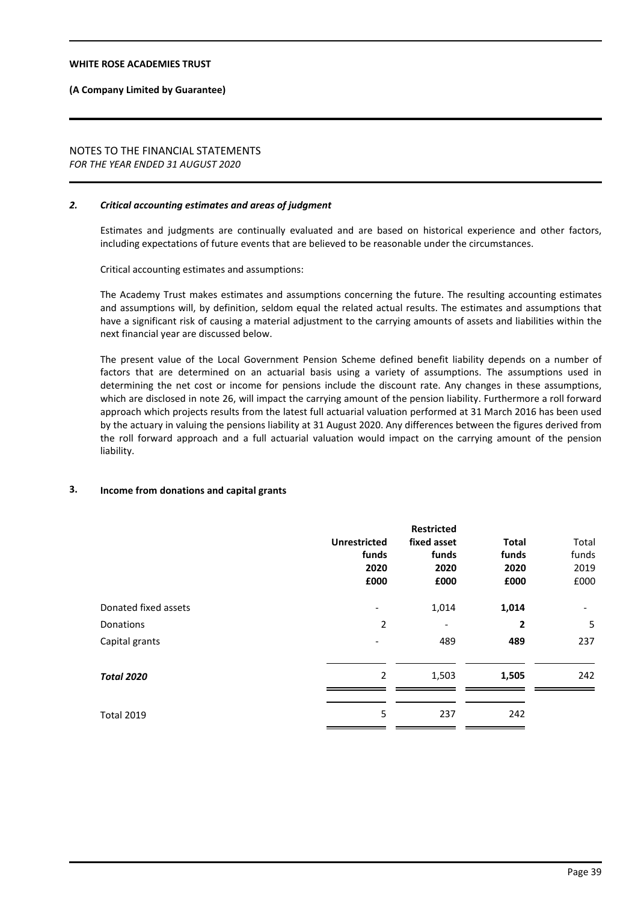#### **(A Company Limited by Guarantee)**

# NOTES TO THE FINANCIAL STATEMENTS *FOR THE YEAR ENDED 31 AUGUST 2020*

#### *2. Critical accounting estimates and areas of judgment*

Estimates and judgments are continually evaluated and are based on historical experience and other factors, including expectations of future events that are believed to be reasonable under the circumstances.

Critical accounting estimates and assumptions:

The Academy Trust makes estimates and assumptions concerning the future. The resulting accounting estimates and assumptions will, by definition, seldom equal the related actual results. The estimates and assumptions that have a significant risk of causing a material adjustment to the carrying amounts of assets and liabilities within the next financial year are discussed below.

The present value of the Local Government Pension Scheme defined benefit liability depends on a number of factors that are determined on an actuarial basis using a variety of assumptions. The assumptions used in determining the net cost or income for pensions include the discount rate. Any changes in these assumptions, which are disclosed in note 26, will impact the carrying amount of the pension liability. Furthermore a roll forward approach which projects results from the latest full actuarial valuation performed at 31 March 2016 has been used by the actuary in valuing the pensions liability at 31 August 2020. Any differences between the figures derived from the roll forward approach and a full actuarial valuation would impact on the carrying amount of the pension liability.

### **3. Income from donations and capital grants**

|                      |                     | <b>Restricted</b>        |              |       |
|----------------------|---------------------|--------------------------|--------------|-------|
|                      | <b>Unrestricted</b> | fixed asset              | <b>Total</b> | Total |
|                      | funds               | funds                    | funds        | funds |
|                      | 2020                | 2020                     | 2020         | 2019  |
|                      | £000                | £000                     | £000         | £000  |
| Donated fixed assets |                     | 1,014                    | 1,014        |       |
| <b>Donations</b>     | $\overline{2}$      | $\overline{\phantom{a}}$ | 2            | 5     |
| Capital grants       |                     | 489                      | 489          | 237   |
| <b>Total 2020</b>    | 2                   | 1,503                    | 1,505        | 242   |
|                      |                     |                          |              |       |
| <b>Total 2019</b>    | 5                   | 237                      | 242          |       |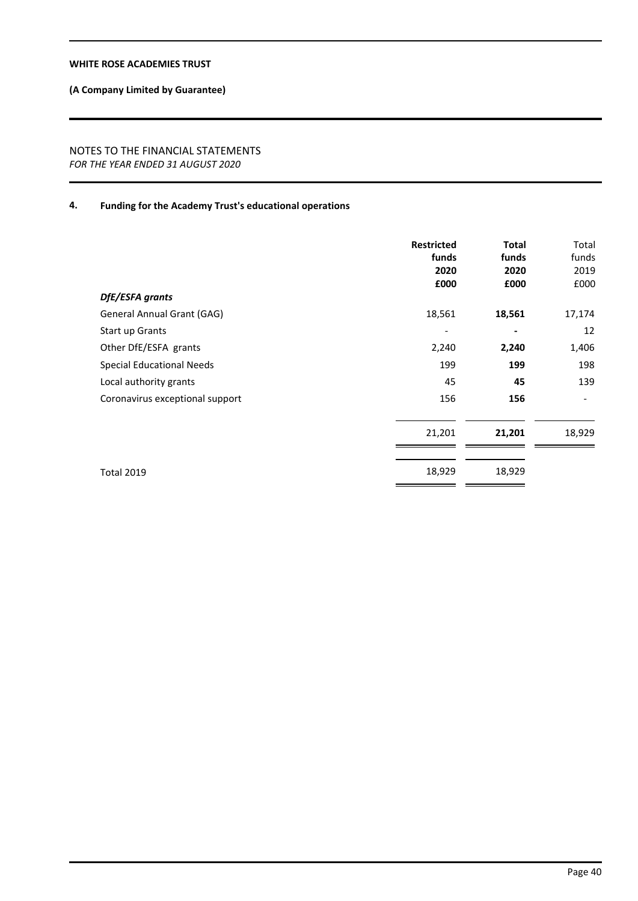**(A Company Limited by Guarantee)**

# NOTES TO THE FINANCIAL STATEMENTS *FOR THE YEAR ENDED 31 AUGUST 2020*

# **4. Funding for the Academy Trust's educational operations**

|                                   | <b>Restricted</b><br>funds<br>2020<br>£000 | <b>Total</b><br>funds<br>2020<br>£000 | Total<br>funds<br>2019<br>£000 |
|-----------------------------------|--------------------------------------------|---------------------------------------|--------------------------------|
| DfE/ESFA grants                   |                                            |                                       |                                |
| <b>General Annual Grant (GAG)</b> | 18,561                                     | 18,561                                | 17,174                         |
| Start up Grants                   | -                                          | $\qquad \qquad \blacksquare$          | 12                             |
| Other DfE/ESFA grants             | 2,240                                      | 2,240                                 | 1,406                          |
| <b>Special Educational Needs</b>  | 199                                        | 199                                   | 198                            |
| Local authority grants            | 45                                         | 45                                    | 139                            |
| Coronavirus exceptional support   | 156                                        | 156                                   |                                |
|                                   | 21,201                                     | 21,201                                | 18,929                         |
| <b>Total 2019</b>                 | 18,929                                     | 18,929                                |                                |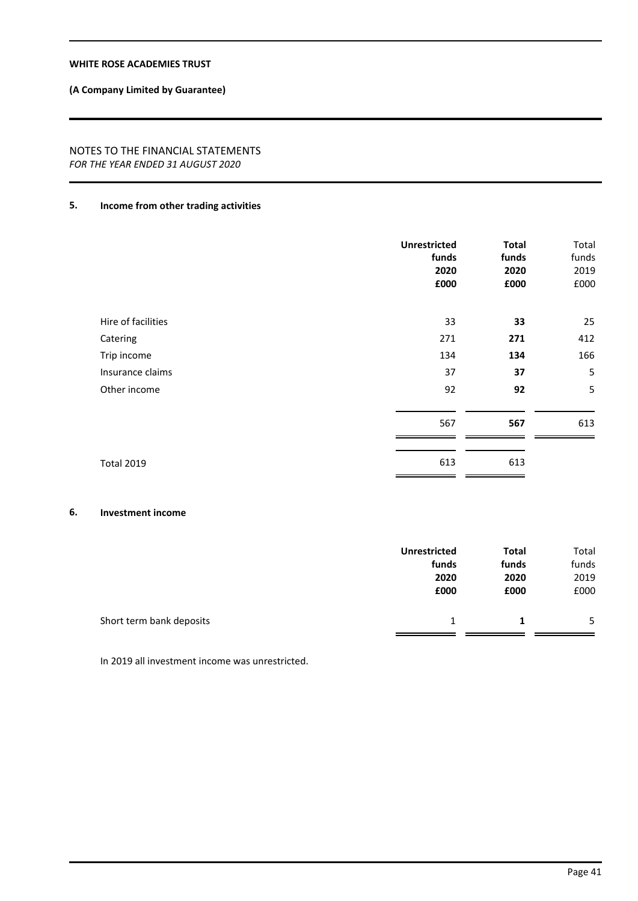**(A Company Limited by Guarantee)**

# NOTES TO THE FINANCIAL STATEMENTS *FOR THE YEAR ENDED 31 AUGUST 2020*

# **5. Income from other trading activities**

|                    | <b>Unrestricted</b><br>funds<br>2020<br>£000 | <b>Total</b><br>funds<br>2020<br>£000 | Total<br>funds<br>2019<br>£000 |
|--------------------|----------------------------------------------|---------------------------------------|--------------------------------|
| Hire of facilities | 33                                           | 33                                    | 25                             |
| Catering           | 271                                          | 271                                   | 412                            |
| Trip income        | 134                                          | 134                                   | 166                            |
| Insurance claims   | 37                                           | 37                                    | 5                              |
| Other income       | 92                                           | 92                                    | 5                              |
|                    | 567                                          | 567                                   | 613                            |
| <b>Total 2019</b>  | 613                                          | 613                                   |                                |

# **6. Investment income**

|                          | Unrestricted | Total | Total |
|--------------------------|--------------|-------|-------|
|                          | funds        | funds | funds |
|                          | 2020         | 2020  | 2019  |
|                          | £000         | £000  | £000  |
| Short term bank deposits | 1            | 1     | 5     |

In 2019 all investment income was unrestricted.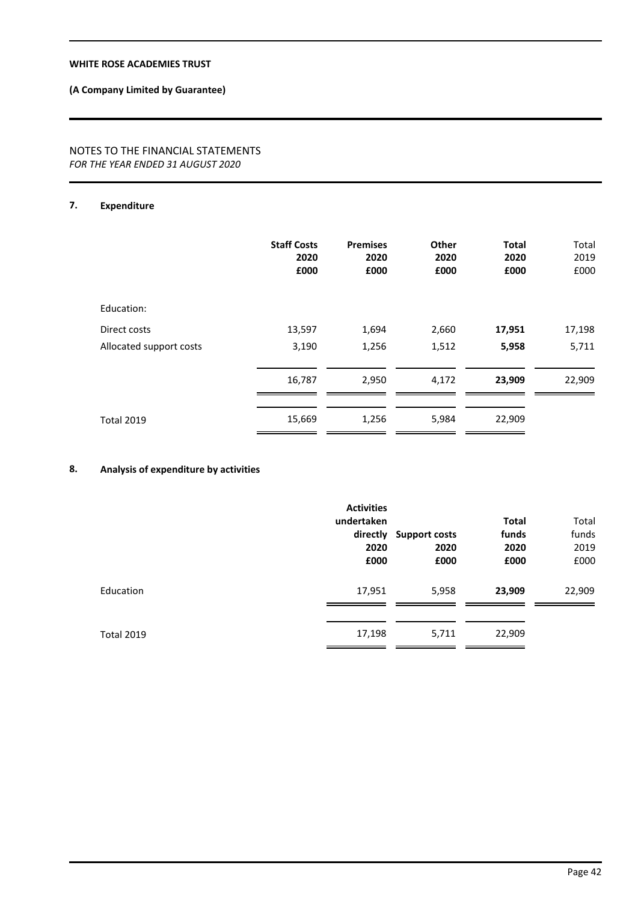# **(A Company Limited by Guarantee)**

### NOTES TO THE FINANCIAL STATEMENTS *FOR THE YEAR ENDED 31 AUGUST 2020*

# **7. Expenditure**

|                         | <b>Staff Costs</b><br>2020<br>£000 | <b>Premises</b><br>2020<br>£000 | Other<br>2020<br>£000 | <b>Total</b><br>2020<br>£000 | Total<br>2019<br>£000 |
|-------------------------|------------------------------------|---------------------------------|-----------------------|------------------------------|-----------------------|
| Education:              |                                    |                                 |                       |                              |                       |
| Direct costs            | 13,597                             | 1,694                           | 2,660                 | 17,951                       | 17,198                |
| Allocated support costs | 3,190                              | 1,256                           | 1,512                 | 5,958                        | 5,711                 |
|                         | 16,787                             | 2,950                           | 4,172                 | 23,909                       | 22,909                |
| <b>Total 2019</b>       | 15,669                             | 1,256                           | 5,984                 | 22,909                       |                       |

# **8. Analysis of expenditure by activities**

|                   | <b>Activities</b><br>undertaken<br>2020<br>£000 | directly Support costs<br>2020<br>£000 | <b>Total</b><br>funds<br>2020<br>£000 | Total<br>funds<br>2019<br>£000 |
|-------------------|-------------------------------------------------|----------------------------------------|---------------------------------------|--------------------------------|
| Education         | 17,951                                          | 5,958                                  | 23,909                                | 22,909                         |
| <b>Total 2019</b> | 17,198                                          | 5,711                                  | 22,909                                |                                |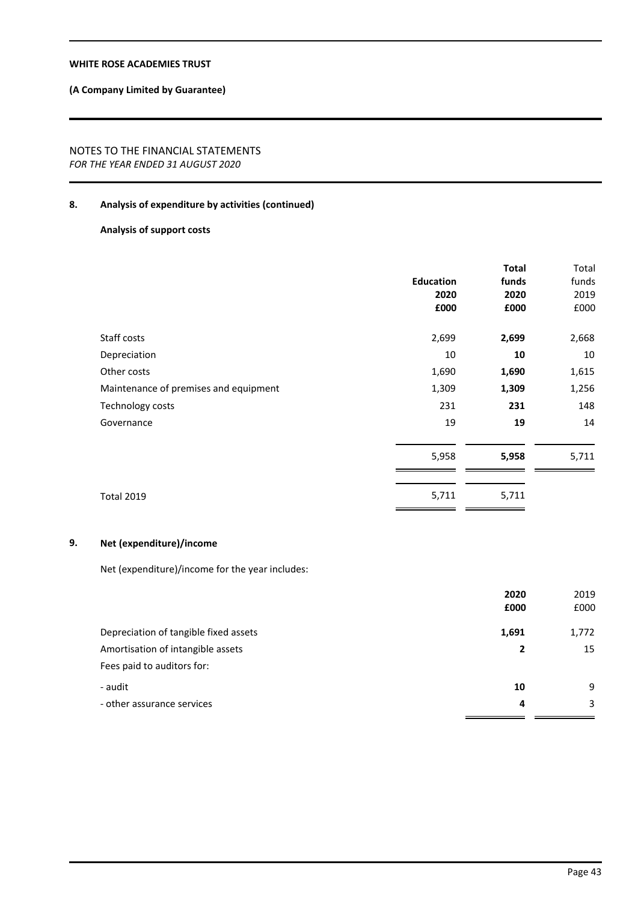### **(A Company Limited by Guarantee)**

# NOTES TO THE FINANCIAL STATEMENTS *FOR THE YEAR ENDED 31 AUGUST 2020*

### **8. Analysis of expenditure by activities (continued)**

### **Analysis of support costs**

|                                       | <b>Education</b><br>2020<br>£000 | <b>Total</b><br>funds<br>2020<br>£000 | Total<br>funds<br>2019<br>£000 |
|---------------------------------------|----------------------------------|---------------------------------------|--------------------------------|
| Staff costs                           | 2,699                            | 2,699                                 | 2,668                          |
| Depreciation                          | 10                               | 10                                    | 10                             |
| Other costs                           | 1,690                            | 1,690                                 | 1,615                          |
| Maintenance of premises and equipment | 1,309                            | 1,309                                 | 1,256                          |
| Technology costs                      | 231                              | 231                                   | 148                            |
| Governance                            | 19                               | 19                                    | 14                             |
|                                       | 5,958                            | 5,958                                 | 5,711                          |
| <b>Total 2019</b>                     | 5,711                            | 5,711                                 |                                |

 $=$   $=$ 

### **9. Net (expenditure)/income**

Net (expenditure)/income for the year includes:

|                                       | 2020  | 2019  |
|---------------------------------------|-------|-------|
|                                       | £000  | £000  |
| Depreciation of tangible fixed assets | 1,691 | 1,772 |
| Amortisation of intangible assets     | 2     | 15    |
| Fees paid to auditors for:            |       |       |
| - audit                               | 10    | 9     |
| - other assurance services            | 4     | 3     |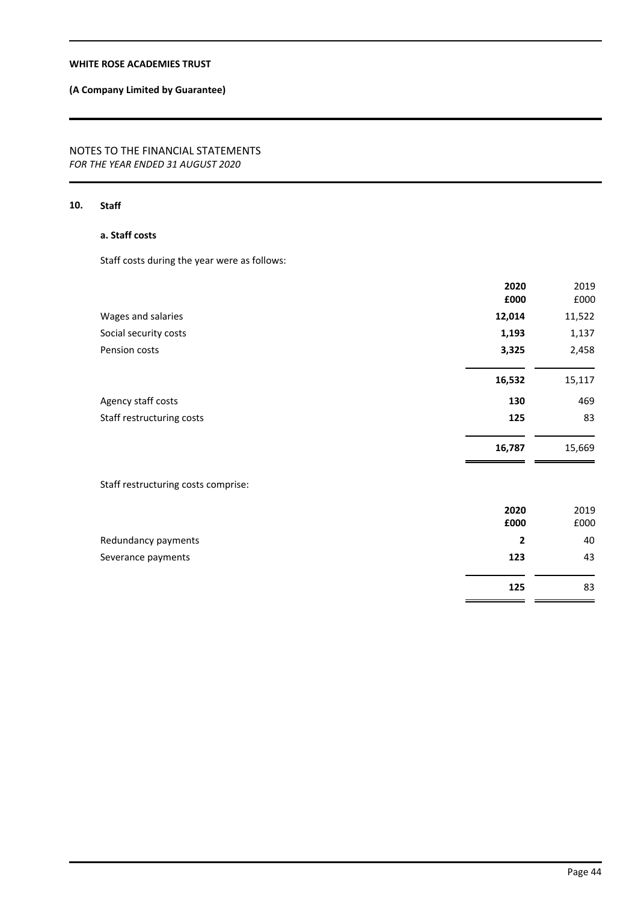# **(A Company Limited by Guarantee)**

### NOTES TO THE FINANCIAL STATEMENTS *FOR THE YEAR ENDED 31 AUGUST 2020*

# **10. Staff**

### **a. Staff costs**

Staff costs during the year were as follows:

|                                     | 2020           | 2019   |
|-------------------------------------|----------------|--------|
|                                     | £000           | £000   |
| Wages and salaries                  | 12,014         | 11,522 |
| Social security costs               | 1,193          | 1,137  |
| Pension costs                       | 3,325          | 2,458  |
|                                     | 16,532         | 15,117 |
| Agency staff costs                  | 130            | 469    |
| Staff restructuring costs           | 125            | 83     |
|                                     | 16,787         | 15,669 |
| Staff restructuring costs comprise: |                |        |
|                                     | 2020           | 2019   |
|                                     | £000           | £000   |
| Redundancy payments                 | $\overline{2}$ | 40     |
| Severance payments                  | 123            | 43     |
|                                     | 125            | 83     |

÷,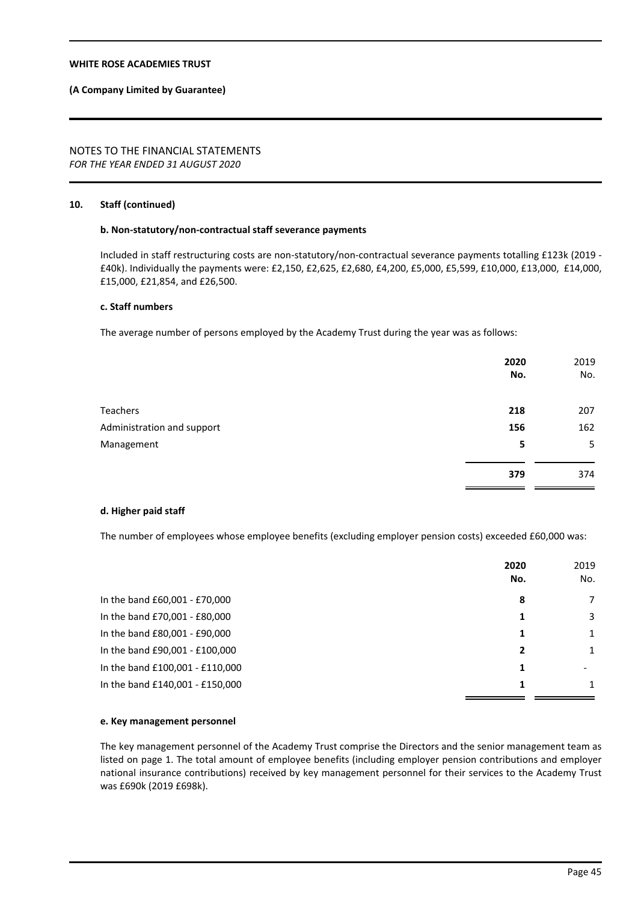#### **(A Company Limited by Guarantee)**

### NOTES TO THE FINANCIAL STATEMENTS *FOR THE YEAR ENDED 31 AUGUST 2020*

#### **10. Staff (continued)**

#### **b. Non-statutory/non-contractual staff severance payments**

Included in staff restructuring costs are non-statutory/non-contractual severance payments totalling £123k (2019 - £40k). Individually the payments were: £2,150, £2,625, £2,680, £4,200, £5,000, £5,599, £10,000, £13,000, £14,000, £15,000, £21,854, and £26,500.

#### **c. Staff numbers**

The average number of persons employed by the Academy Trust during the year was as follows:

|                            | 2020<br>No. | 2019<br>No. |
|----------------------------|-------------|-------------|
|                            |             |             |
| <b>Teachers</b>            | 218         | 207         |
| Administration and support | 156         | 162         |
| Management                 | 5           | 5           |
|                            | 379         | 374         |

#### **d. Higher paid staff**

The number of employees whose employee benefits (excluding employer pension costs) exceeded £60,000 was:

|                                 | 2020<br>No. | 2019<br>No.  |
|---------------------------------|-------------|--------------|
| In the band £60,001 - £70,000   | 8           |              |
| In the band £70,001 - £80,000   |             | 3            |
| In the band £80,001 - £90,000   | 1           | 1            |
| In the band £90,001 - £100,000  | 2           | $\mathbf{1}$ |
| In the band £100,001 - £110,000 | 1           |              |
| In the band £140,001 - £150,000 |             |              |

#### **e. Key management personnel**

The key management personnel of the Academy Trust comprise the Directors and the senior management team as listed on page 1. The total amount of employee benefits (including employer pension contributions and employer national insurance contributions) received by key management personnel for their services to the Academy Trust was £690k (2019 £698k).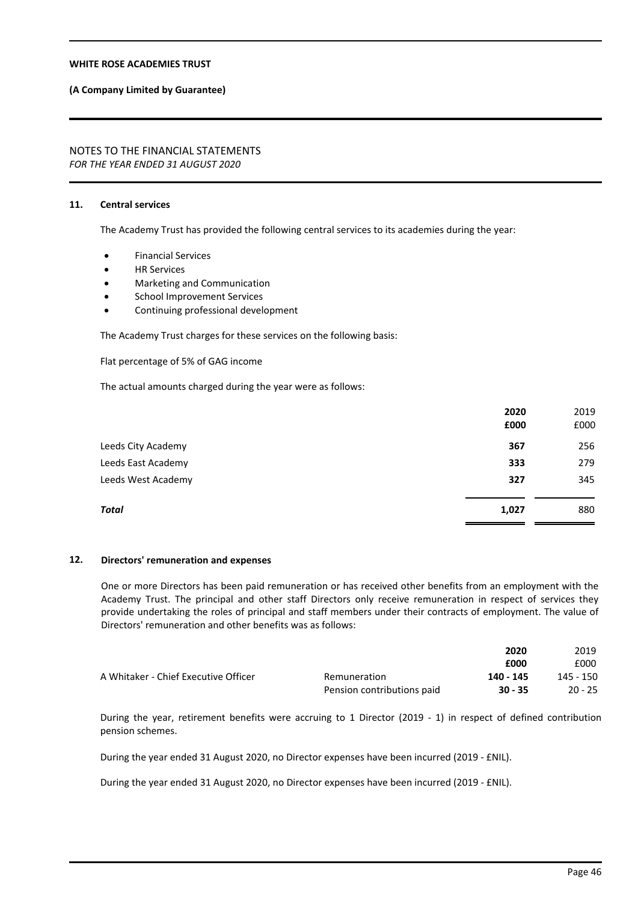#### **(A Company Limited by Guarantee)**

#### NOTES TO THE FINANCIAL STATEMENTS *FOR THE YEAR ENDED 31 AUGUST 2020*

#### **11. Central services**

The Academy Trust has provided the following central services to its academies during the year:

- Financial Services
- HR Services
- Marketing and Communication
- School Improvement Services
- Continuing professional development

The Academy Trust charges for these services on the following basis:

Flat percentage of 5% of GAG income

The actual amounts charged during the year were as follows:

|                    | 2020<br>£000 | 2019<br>£000 |
|--------------------|--------------|--------------|
| Leeds City Academy | 367          | 256          |
| Leeds East Academy | 333          | 279          |
| Leeds West Academy | 327          | 345          |
| Total              | 1,027        | 880          |

### **12. Directors' remuneration and expenses**

One or more Directors has been paid remuneration or has received other benefits from an employment with the Academy Trust. The principal and other staff Directors only receive remuneration in respect of services they provide undertaking the roles of principal and staff members under their contracts of employment. The value of Directors' remuneration and other benefits was as follows:

|                                      |                            | 2020      | 2019      |
|--------------------------------------|----------------------------|-----------|-----------|
|                                      |                            | £000      | £000      |
| A Whitaker - Chief Executive Officer | Remuneration               | 140 - 145 | 145 - 150 |
|                                      | Pension contributions paid | $30 - 35$ | $20 - 25$ |

During the year, retirement benefits were accruing to 1 Director (2019 - 1) in respect of defined contribution pension schemes.

During the year ended 31 August 2020, no Director expenses have been incurred (2019 - £NIL).

During the year ended 31 August 2020, no Director expenses have been incurred (2019 - £NIL).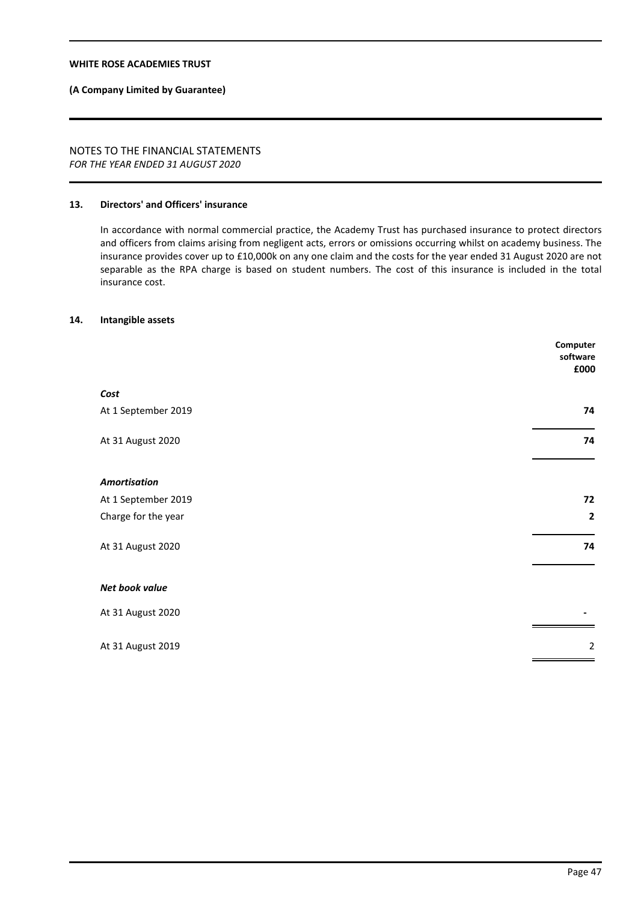**(A Company Limited by Guarantee)**

# NOTES TO THE FINANCIAL STATEMENTS *FOR THE YEAR ENDED 31 AUGUST 2020*

#### **13. Directors' and Officers' insurance**

In accordance with normal commercial practice, the Academy Trust has purchased insurance to protect directors and officers from claims arising from negligent acts, errors or omissions occurring whilst on academy business. The insurance provides cover up to £10,000k on any one claim and the costs for the year ended 31 August 2020 are not separable as the RPA charge is based on student numbers. The cost of this insurance is included in the total insurance cost.

#### **14. Intangible assets**

|                     | Computer<br>software<br>£000 |
|---------------------|------------------------------|
| Cost                |                              |
| At 1 September 2019 | 74                           |
| At 31 August 2020   | 74                           |
| <b>Amortisation</b> |                              |
| At 1 September 2019 | 72                           |
| Charge for the year | $\overline{\mathbf{2}}$      |
| At 31 August 2020   | 74                           |
| Net book value      |                              |
| At 31 August 2020   |                              |
| At 31 August 2019   | $\overline{2}$               |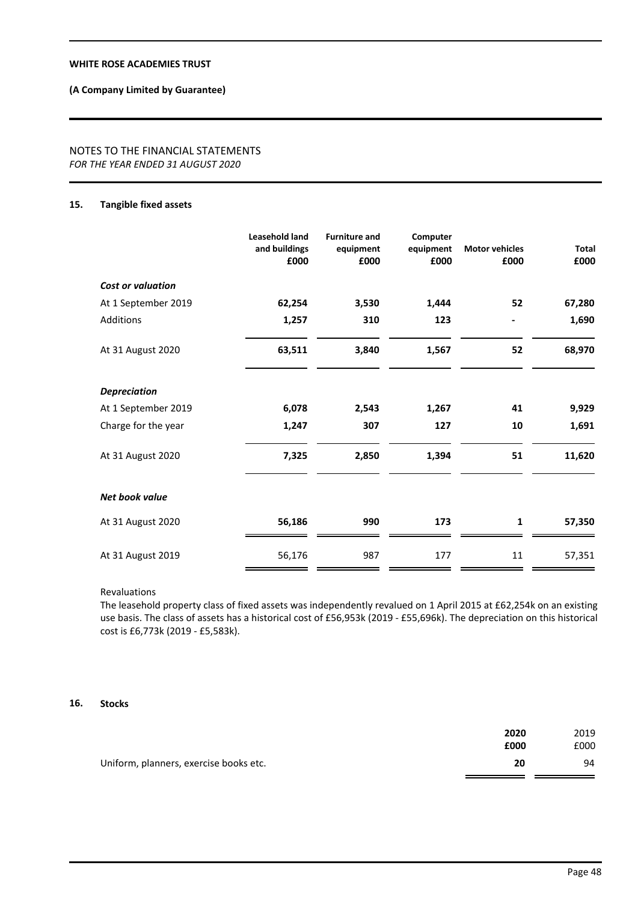**(A Company Limited by Guarantee)**

### NOTES TO THE FINANCIAL STATEMENTS *FOR THE YEAR ENDED 31 AUGUST 2020*

#### **15. Tangible fixed assets**

|                       | <b>Leasehold land</b><br>and buildings<br>£000 | <b>Furniture and</b><br>equipment<br>£000 | Computer<br>equipment<br>£000 | <b>Motor vehicles</b><br>£000 | <b>Total</b><br>£000 |
|-----------------------|------------------------------------------------|-------------------------------------------|-------------------------------|-------------------------------|----------------------|
| Cost or valuation     |                                                |                                           |                               |                               |                      |
| At 1 September 2019   | 62,254                                         | 3,530                                     | 1,444                         | 52                            | 67,280               |
| Additions             | 1,257                                          | 310                                       | 123                           | -                             | 1,690                |
| At 31 August 2020     | 63,511                                         | 3,840                                     | 1,567                         | 52                            | 68,970               |
| <b>Depreciation</b>   |                                                |                                           |                               |                               |                      |
| At 1 September 2019   | 6,078                                          | 2,543                                     | 1,267                         | 41                            | 9,929                |
| Charge for the year   | 1,247                                          | 307                                       | 127                           | 10                            | 1,691                |
| At 31 August 2020     | 7,325                                          | 2,850                                     | 1,394                         | 51                            | 11,620               |
| <b>Net book value</b> |                                                |                                           |                               |                               |                      |
| At 31 August 2020     | 56,186                                         | 990                                       | 173                           | $\mathbf{1}$                  | 57,350               |
| At 31 August 2019     | 56,176                                         | 987                                       | 177                           | 11                            | 57,351               |

#### Revaluations

The leasehold property class of fixed assets was independently revalued on 1 April 2015 at £62,254k on an existing use basis. The class of assets has a historical cost of £56,953k (2019 - £55,696k). The depreciation on this historical cost is £6,773k (2019 - £5,583k).

#### **16. Stocks**

|                                        | 2020 | 2019 |
|----------------------------------------|------|------|
|                                        | £000 | £000 |
| Uniform, planners, exercise books etc. | 20   | 94   |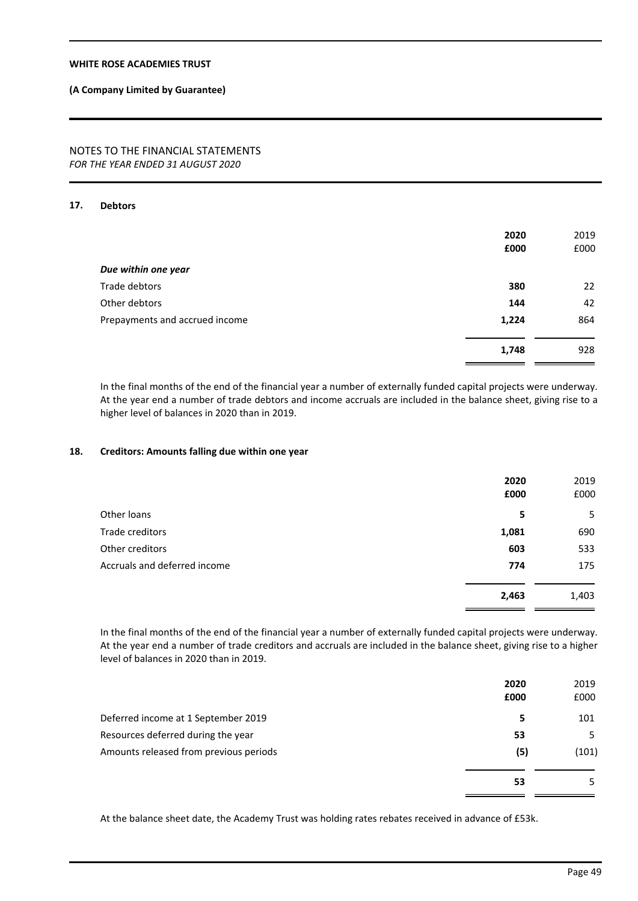#### **(A Company Limited by Guarantee)**

### NOTES TO THE FINANCIAL STATEMENTS *FOR THE YEAR ENDED 31 AUGUST 2020*

### **17. Debtors**

|                                | 2020<br>£000 | 2019<br>£000 |
|--------------------------------|--------------|--------------|
| Due within one year            |              |              |
| Trade debtors                  | 380          | 22           |
| Other debtors                  | 144          | 42           |
| Prepayments and accrued income | 1,224        | 864          |
|                                | 1,748        | 928          |

In the final months of the end of the financial year a number of externally funded capital projects were underway. At the year end a number of trade debtors and income accruals are included in the balance sheet, giving rise to a higher level of balances in 2020 than in 2019.

### **18. Creditors: Amounts falling due within one year**

|                              | 2020  | 2019  |
|------------------------------|-------|-------|
|                              | £000  | £000  |
| Other loans                  | 5     | 5     |
| Trade creditors              | 1,081 | 690   |
| Other creditors              | 603   | 533   |
| Accruals and deferred income | 774   | 175   |
|                              | 2,463 | 1,403 |

In the final months of the end of the financial year a number of externally funded capital projects were underway. At the year end a number of trade creditors and accruals are included in the balance sheet, giving rise to a higher level of balances in 2020 than in 2019.

|                                        | 2020<br>£000 | 2019<br>£000 |
|----------------------------------------|--------------|--------------|
| Deferred income at 1 September 2019    | 5            | 101          |
| Resources deferred during the year     | 53           | 5            |
| Amounts released from previous periods | (5)          | (101)        |
|                                        | 53           | 5.           |

At the balance sheet date, the Academy Trust was holding rates rebates received in advance of £53k.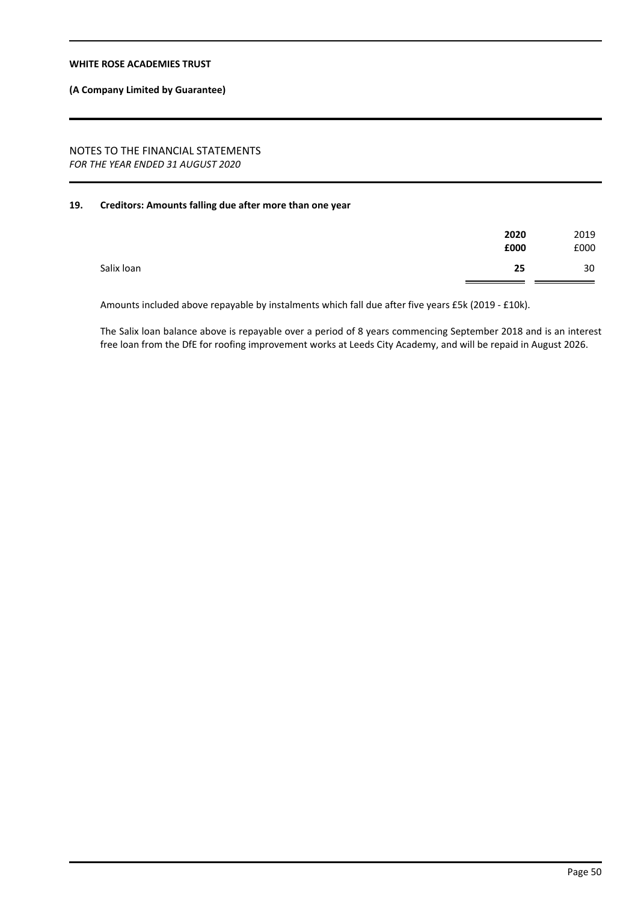**(A Company Limited by Guarantee)**

# NOTES TO THE FINANCIAL STATEMENTS *FOR THE YEAR ENDED 31 AUGUST 2020*

### **19. Creditors: Amounts falling due after more than one year**

|            | 2020<br>£000 | 2019<br>£000 |
|------------|--------------|--------------|
| Salix loan | 25           | 30           |

Amounts included above repayable by instalments which fall due after five years £5k (2019 - £10k).

The Salix loan balance above is repayable over a period of 8 years commencing September 2018 and is an interest free loan from the DfE for roofing improvement works at Leeds City Academy, and will be repaid in August 2026.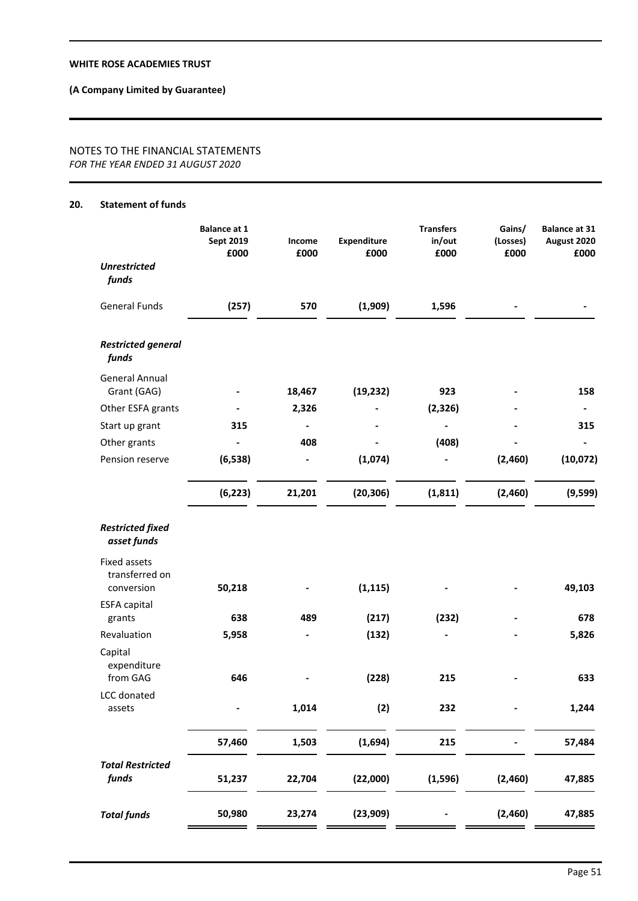**(A Company Limited by Guarantee)**

### NOTES TO THE FINANCIAL STATEMENTS *FOR THE YEAR ENDED 31 AUGUST 2020*

### **20. Statement of funds**

|                                                     | <b>Balance at 1</b><br><b>Sept 2019</b><br>£000 | Income<br>£000               | <b>Expenditure</b><br>£000 | <b>Transfers</b><br>in/out<br>£000 | Gains/<br>(Losses)<br>£000 | <b>Balance at 31</b><br>August 2020<br>£000 |
|-----------------------------------------------------|-------------------------------------------------|------------------------------|----------------------------|------------------------------------|----------------------------|---------------------------------------------|
| <b>Unrestricted</b><br>funds                        |                                                 |                              |                            |                                    |                            |                                             |
| <b>General Funds</b>                                | (257)                                           | 570                          | (1,909)                    | 1,596                              |                            |                                             |
| <b>Restricted general</b><br>funds                  |                                                 |                              |                            |                                    |                            |                                             |
| <b>General Annual</b><br>Grant (GAG)                |                                                 | 18,467                       | (19, 232)                  | 923                                |                            | 158                                         |
| Other ESFA grants                                   |                                                 | 2,326                        |                            | (2, 326)                           |                            |                                             |
| Start up grant                                      | 315                                             | $\overline{\phantom{a}}$     |                            |                                    |                            | 315                                         |
| Other grants                                        |                                                 | 408                          |                            | (408)                              |                            |                                             |
| Pension reserve                                     | (6, 538)                                        | $\qquad \qquad \blacksquare$ | (1,074)                    |                                    | (2,460)                    | (10, 072)                                   |
|                                                     | (6, 223)                                        | 21,201                       | (20, 306)                  | (1, 811)                           | (2,460)                    | (9,599)                                     |
| <b>Restricted fixed</b><br>asset funds              |                                                 |                              |                            |                                    |                            |                                             |
| <b>Fixed assets</b><br>transferred on<br>conversion | 50,218                                          |                              | (1, 115)                   |                                    |                            | 49,103                                      |
| <b>ESFA capital</b>                                 | 638                                             | 489                          |                            |                                    |                            | 678                                         |
| grants<br>Revaluation                               | 5,958                                           |                              | (217)<br>(132)             | (232)                              |                            | 5,826                                       |
| Capital                                             |                                                 |                              |                            |                                    |                            |                                             |
| expenditure<br>from GAG                             | 646                                             |                              | (228)                      | 215                                |                            | 633                                         |
| LCC donated                                         |                                                 |                              |                            |                                    |                            |                                             |
| assets                                              |                                                 | 1,014                        | (2)                        | 232                                |                            | 1,244                                       |
|                                                     | 57,460                                          | 1,503                        | (1,694)                    | 215                                |                            | 57,484                                      |
| <b>Total Restricted</b><br>funds                    | 51,237                                          | 22,704                       | (22,000)                   | (1, 596)                           | (2,460)                    | 47,885                                      |
| <b>Total funds</b>                                  | 50,980                                          | 23,274                       | (23,909)                   |                                    | (2,460)                    | 47,885                                      |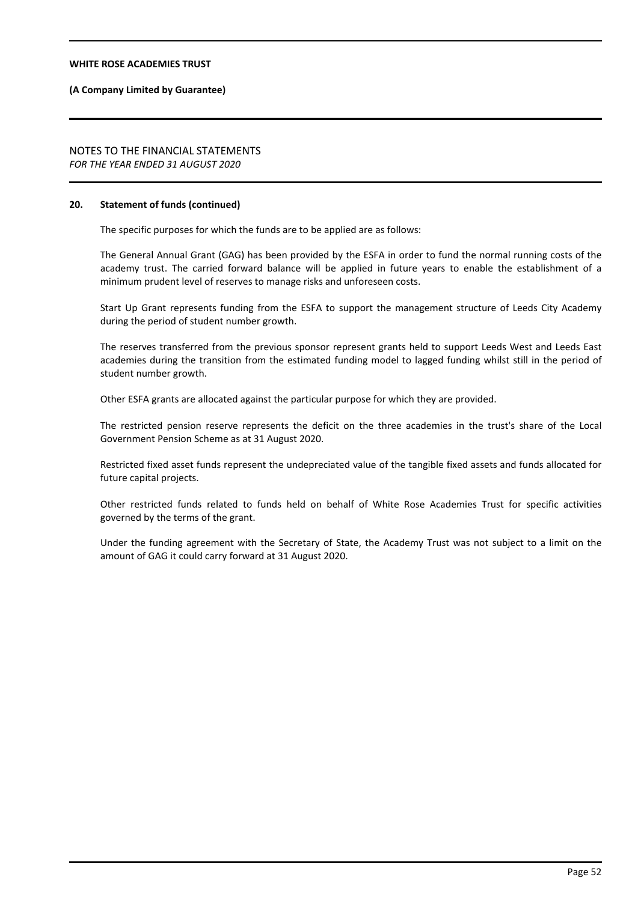**(A Company Limited by Guarantee)**

# NOTES TO THE FINANCIAL STATEMENTS *FOR THE YEAR ENDED 31 AUGUST 2020*

#### **20. Statement of funds (continued)**

The specific purposes for which the funds are to be applied are as follows:

The General Annual Grant (GAG) has been provided by the ESFA in order to fund the normal running costs of the academy trust. The carried forward balance will be applied in future years to enable the establishment of a minimum prudent level of reserves to manage risks and unforeseen costs.

Start Up Grant represents funding from the ESFA to support the management structure of Leeds City Academy during the period of student number growth.

The reserves transferred from the previous sponsor represent grants held to support Leeds West and Leeds East academies during the transition from the estimated funding model to lagged funding whilst still in the period of student number growth.

Other ESFA grants are allocated against the particular purpose for which they are provided.

The restricted pension reserve represents the deficit on the three academies in the trust's share of the Local Government Pension Scheme as at 31 August 2020.

Restricted fixed asset funds represent the undepreciated value of the tangible fixed assets and funds allocated for future capital projects.

Other restricted funds related to funds held on behalf of White Rose Academies Trust for specific activities governed by the terms of the grant.

Under the funding agreement with the Secretary of State, the Academy Trust was not subject to a limit on the amount of GAG it could carry forward at 31 August 2020.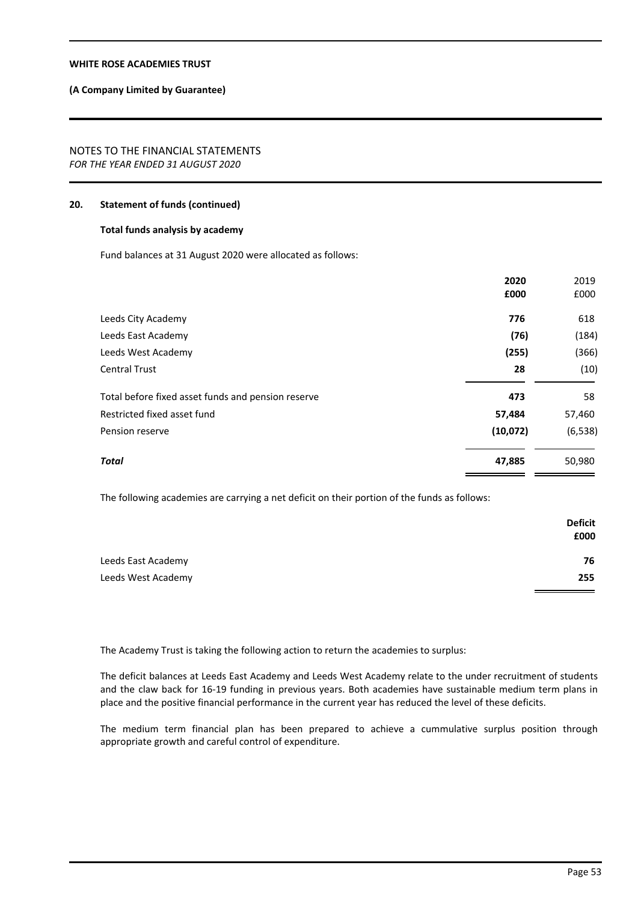#### **(A Company Limited by Guarantee)**

### NOTES TO THE FINANCIAL STATEMENTS *FOR THE YEAR ENDED 31 AUGUST 2020*

#### **20. Statement of funds (continued)**

### **Total funds analysis by academy**

Fund balances at 31 August 2020 were allocated as follows:

|                                                    | 2020     | 2019     |
|----------------------------------------------------|----------|----------|
|                                                    | £000     | £000     |
| Leeds City Academy                                 | 776      | 618      |
| Leeds East Academy                                 | (76)     | (184)    |
| Leeds West Academy                                 | (255)    | (366)    |
| <b>Central Trust</b>                               | 28       | (10)     |
| Total before fixed asset funds and pension reserve | 473      | 58       |
| Restricted fixed asset fund                        | 57,484   | 57,460   |
| Pension reserve                                    | (10,072) | (6, 538) |
| Total                                              | 47,885   | 50,980   |
|                                                    |          |          |

The following academies are carrying a net deficit on their portion of the funds as follows:

|                    | <b>Deficit</b> |
|--------------------|----------------|
|                    | £000           |
| Leeds East Academy | 76             |
| Leeds West Academy | 255            |

The Academy Trust is taking the following action to return the academies to surplus:

The deficit balances at Leeds East Academy and Leeds West Academy relate to the under recruitment of students and the claw back for 16-19 funding in previous years. Both academies have sustainable medium term plans in place and the positive financial performance in the current year has reduced the level of these deficits.

The medium term financial plan has been prepared to achieve a cummulative surplus position through appropriate growth and careful control of expenditure.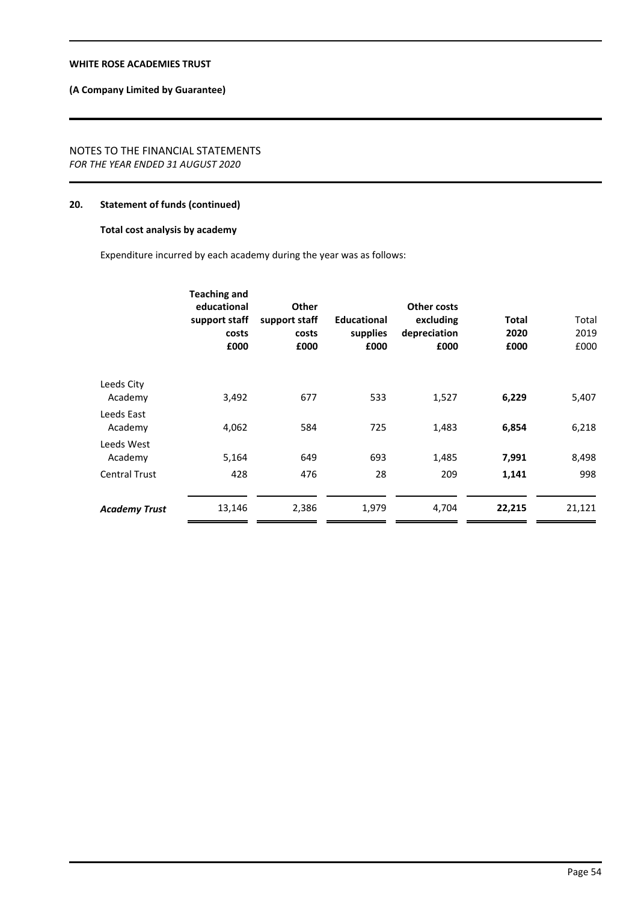### **(A Company Limited by Guarantee)**

### NOTES TO THE FINANCIAL STATEMENTS *FOR THE YEAR ENDED 31 AUGUST 2020*

### **20. Statement of funds (continued)**

### **Total cost analysis by academy**

Expenditure incurred by each academy during the year was as follows:

| <b>Teaching and</b><br>educational<br>support staff<br>costs<br>£000 | <b>Other</b><br>support staff<br>costs<br>£000 | <b>Educational</b><br>supplies<br>£000 | <b>Other costs</b><br>excluding<br>depreciation<br>£000 | <b>Total</b><br>2020<br>£000 | Total<br>2019<br>£000 |
|----------------------------------------------------------------------|------------------------------------------------|----------------------------------------|---------------------------------------------------------|------------------------------|-----------------------|
|                                                                      |                                                |                                        |                                                         |                              |                       |
|                                                                      |                                                |                                        |                                                         |                              | 5,407                 |
|                                                                      |                                                |                                        |                                                         |                              |                       |
| 4,062                                                                | 584                                            | 725                                    | 1,483                                                   | 6,854                        | 6,218                 |
|                                                                      |                                                |                                        |                                                         |                              |                       |
| 5,164                                                                | 649                                            | 693                                    | 1,485                                                   | 7,991                        | 8,498                 |
| 428                                                                  | 476                                            | 28                                     | 209                                                     | 1,141                        | 998                   |
| 13,146                                                               | 2,386                                          | 1,979                                  | 4,704                                                   | 22,215                       | 21,121                |
|                                                                      | 3,492                                          | 677                                    | 533                                                     | 1,527                        | 6,229                 |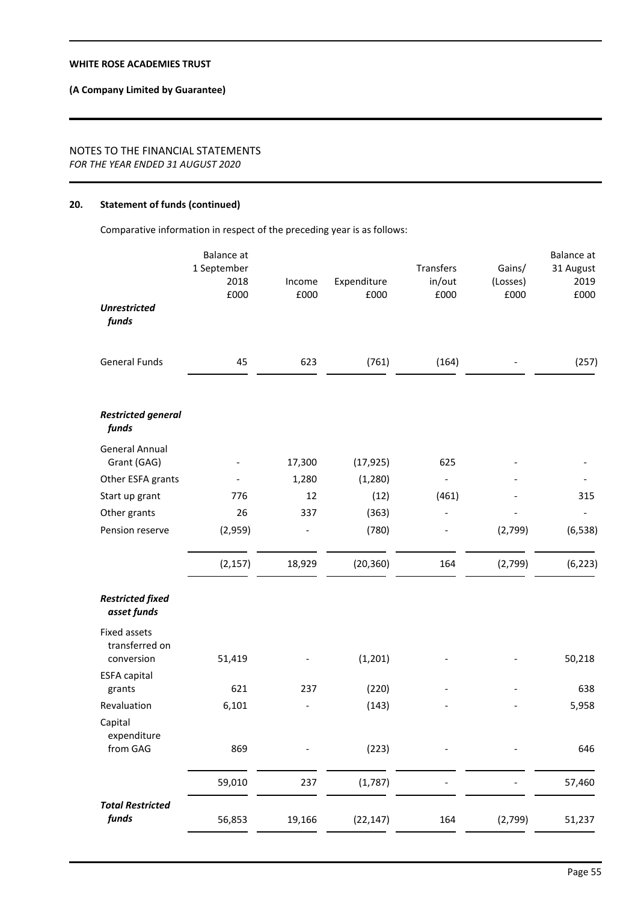# **(A Company Limited by Guarantee)**

# NOTES TO THE FINANCIAL STATEMENTS *FOR THE YEAR ENDED 31 AUGUST 2020*

### **20. Statement of funds (continued)**

Comparative information in respect of the preceding year is as follows:

|                                        | <b>Balance</b> at<br>1 September<br>2018<br>£000 | Income<br>£000               | Expenditure<br>£000 | Transfers<br>in/out<br>£000 | Gains/<br>(Losses)<br>£000 | Balance at<br>31 August<br>2019<br>£000 |
|----------------------------------------|--------------------------------------------------|------------------------------|---------------------|-----------------------------|----------------------------|-----------------------------------------|
| <b>Unrestricted</b><br>funds           |                                                  |                              |                     |                             |                            |                                         |
| <b>General Funds</b>                   | 45                                               | 623                          | (761)               | (164)                       |                            | (257)                                   |
| <b>Restricted general</b><br>funds     |                                                  |                              |                     |                             |                            |                                         |
| <b>General Annual</b>                  |                                                  |                              |                     |                             |                            |                                         |
| Grant (GAG)                            |                                                  | 17,300                       | (17, 925)           | 625                         |                            |                                         |
| Other ESFA grants                      |                                                  | 1,280                        | (1, 280)            |                             |                            |                                         |
| Start up grant                         | 776                                              | 12                           | (12)                | (461)                       |                            | 315                                     |
| Other grants                           | 26                                               | 337                          | (363)               |                             |                            |                                         |
| Pension reserve                        | (2,959)                                          | $\qquad \qquad \blacksquare$ | (780)               |                             | (2,799)                    | (6, 538)                                |
|                                        | (2, 157)                                         | 18,929                       | (20, 360)           | 164                         | (2,799)                    | (6, 223)                                |
| <b>Restricted fixed</b><br>asset funds |                                                  |                              |                     |                             |                            |                                         |
| Fixed assets<br>transferred on         |                                                  |                              |                     |                             |                            |                                         |
| conversion                             | 51,419                                           |                              | (1, 201)            |                             |                            | 50,218                                  |
| <b>ESFA capital</b><br>grants          | 621                                              | 237                          | (220)               |                             |                            | 638                                     |
| Revaluation                            | 6,101                                            |                              | (143)               |                             |                            | 5,958                                   |
| Capital<br>expenditure                 |                                                  |                              |                     |                             |                            |                                         |
| from GAG                               | 869                                              |                              | (223)               |                             |                            | 646                                     |
|                                        | 59,010                                           | 237                          | (1,787)             |                             |                            | 57,460                                  |
| <b>Total Restricted</b><br>funds       | 56,853                                           | 19,166                       | (22, 147)           | 164                         | (2,799)                    | 51,237                                  |
|                                        |                                                  |                              |                     |                             |                            |                                         |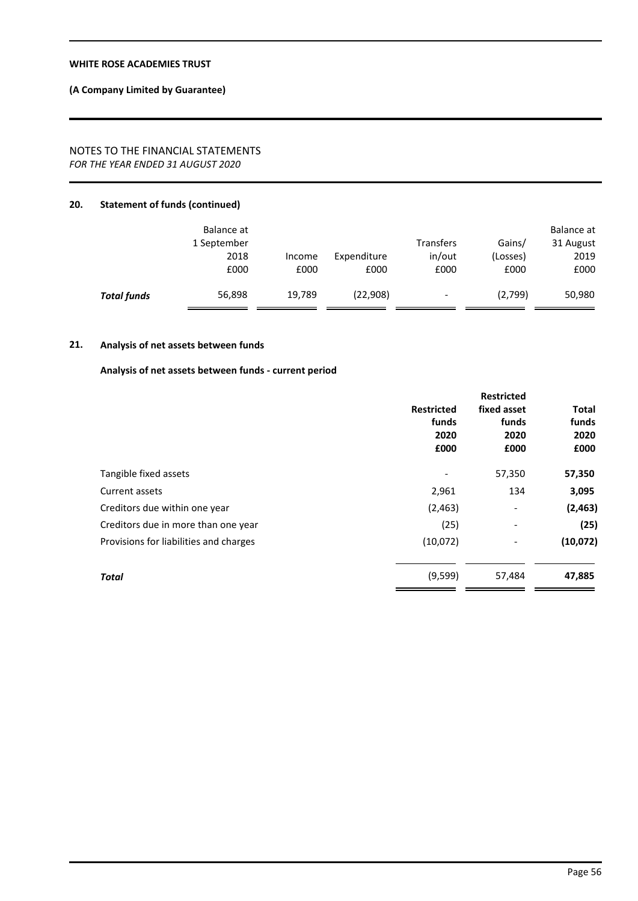### **(A Company Limited by Guarantee)**

### NOTES TO THE FINANCIAL STATEMENTS *FOR THE YEAR ENDED 31 AUGUST 2020*

### **20. Statement of funds (continued)**

|                    | Balance at<br>1 September<br>2018<br>£000 | Income<br>£000 | Expenditure<br>£000 | <b>Transfers</b><br>in/out<br>£000 | Gains/<br>(Losses)<br>£000 | Balance at<br>31 August<br>2019<br>£000 |
|--------------------|-------------------------------------------|----------------|---------------------|------------------------------------|----------------------------|-----------------------------------------|
| <b>Total funds</b> | 56,898                                    | 19,789         | (22,908)            | $\overline{\phantom{0}}$           | (2,799)                    | 50,980                                  |

# **21. Analysis of net assets between funds**

### **Analysis of net assets between funds - current period**

|                                        | <b>Restricted</b> | fixed asset              | <b>Total</b> |
|----------------------------------------|-------------------|--------------------------|--------------|
|                                        | funds             | funds                    | funds        |
|                                        | 2020              | 2020                     | 2020         |
|                                        | £000              | £000                     | £000         |
| Tangible fixed assets                  |                   | 57,350                   | 57,350       |
| Current assets                         | 2,961             | 134                      | 3,095        |
| Creditors due within one year          | (2,463)           | $\overline{\phantom{a}}$ | (2, 463)     |
| Creditors due in more than one year    | (25)              | $\overline{\phantom{a}}$ | (25)         |
| Provisions for liabilities and charges | (10,072)          | -                        | (10,072)     |
| <b>Total</b>                           | (9,599)           | 57,484                   | 47,885       |
|                                        |                   |                          |              |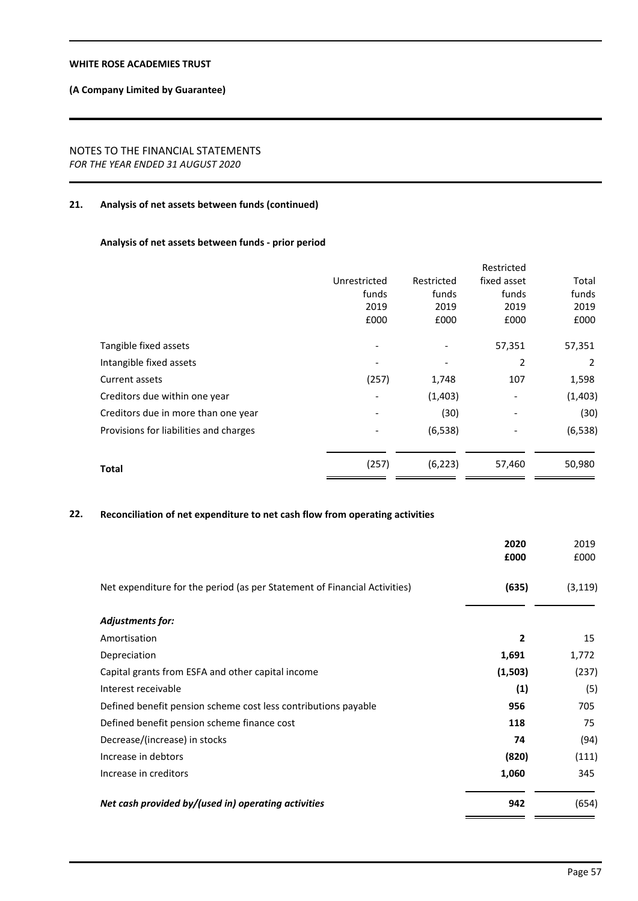### **(A Company Limited by Guarantee)**

### NOTES TO THE FINANCIAL STATEMENTS *FOR THE YEAR ENDED 31 AUGUST 2020*

### **21. Analysis of net assets between funds (continued)**

**Analysis of net assets between funds - prior period**

|                                        |              |            | Restricted               |          |
|----------------------------------------|--------------|------------|--------------------------|----------|
|                                        | Unrestricted | Restricted | fixed asset              | Total    |
|                                        | funds        | funds      | funds                    | funds    |
|                                        | 2019         | 2019       | 2019                     | 2019     |
|                                        | £000         | £000       | £000                     | £000     |
| Tangible fixed assets                  |              |            | 57,351                   | 57,351   |
| Intangible fixed assets                |              |            | 2                        | 2        |
| Current assets                         | (257)        | 1,748      | 107                      | 1,598    |
| Creditors due within one year          |              | (1,403)    | $\overline{\phantom{a}}$ | (1, 403) |
| Creditors due in more than one year    |              | (30)       | $\overline{\phantom{a}}$ | (30)     |
| Provisions for liabilities and charges |              | (6, 538)   |                          | (6, 538) |
| <b>Total</b>                           | (257)        | (6, 223)   | 57,460                   | 50,980   |
|                                        |              |            |                          |          |

### **22. Reconciliation of net expenditure to net cash flow from operating activities**

|                                                                           | 2020<br>£000 | 2019<br>£000 |
|---------------------------------------------------------------------------|--------------|--------------|
| Net expenditure for the period (as per Statement of Financial Activities) | (635)        | (3, 119)     |
| Adjustments for:                                                          |              |              |
| Amortisation                                                              | 2            | 15           |
| Depreciation                                                              | 1,691        | 1,772        |
| Capital grants from ESFA and other capital income                         | (1,503)      | (237)        |
| Interest receivable                                                       | (1)          | (5)          |
| Defined benefit pension scheme cost less contributions payable            | 956          | 705          |
| Defined benefit pension scheme finance cost                               | 118          | 75           |
| Decrease/(increase) in stocks                                             | 74           | (94)         |
| Increase in debtors                                                       | (820)        | (111)        |
| Increase in creditors                                                     | 1,060        | 345          |
| Net cash provided by/(used in) operating activities                       | 942          | (654)        |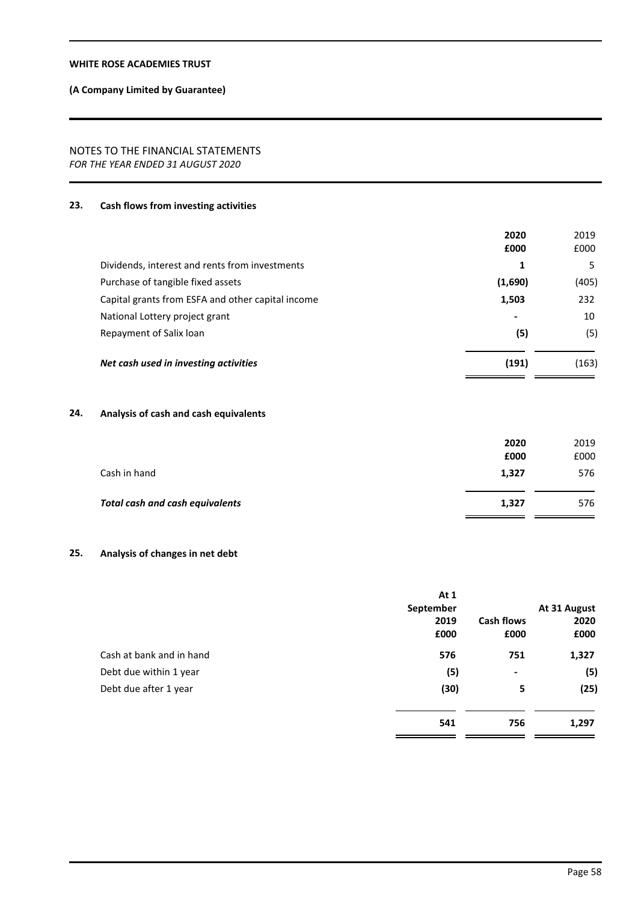### **(A Company Limited by Guarantee)**

### NOTES TO THE FINANCIAL STATEMENTS *FOR THE YEAR ENDED 31 AUGUST 2020*

# **23. Cash flows from investing activities**

|                                                   | 2020<br>£000   | 2019<br>£000 |
|---------------------------------------------------|----------------|--------------|
| Dividends, interest and rents from investments    | 1              | 5            |
| Purchase of tangible fixed assets                 | (1,690)        | (405)        |
| Capital grants from ESFA and other capital income | 1,503          | 232          |
| National Lottery project grant                    | $\blacksquare$ | 10           |
| Repayment of Salix loan                           | (5)            | (5)          |
| Net cash used in investing activities             | (191)          | (163)        |

# **24. Analysis of cash and cash equivalents**

|                                        | 2020  | 2019 |
|----------------------------------------|-------|------|
|                                        | £000  | £000 |
| Cash in hand                           | 1,327 | 576  |
| <b>Total cash and cash equivalents</b> | 1,327 | 576  |

# **25. Analysis of changes in net debt**

|                          | At 1      |                   |              |
|--------------------------|-----------|-------------------|--------------|
|                          | September |                   | At 31 August |
|                          | 2019      | <b>Cash flows</b> | 2020         |
|                          | £000      | £000              | £000         |
| Cash at bank and in hand | 576       | 751               | 1,327        |
| Debt due within 1 year   | (5)       | $\blacksquare$    | (5)          |
| Debt due after 1 year    | (30)      | 5                 | (25)         |
|                          |           |                   |              |
|                          | 541       | 756               | 1,297        |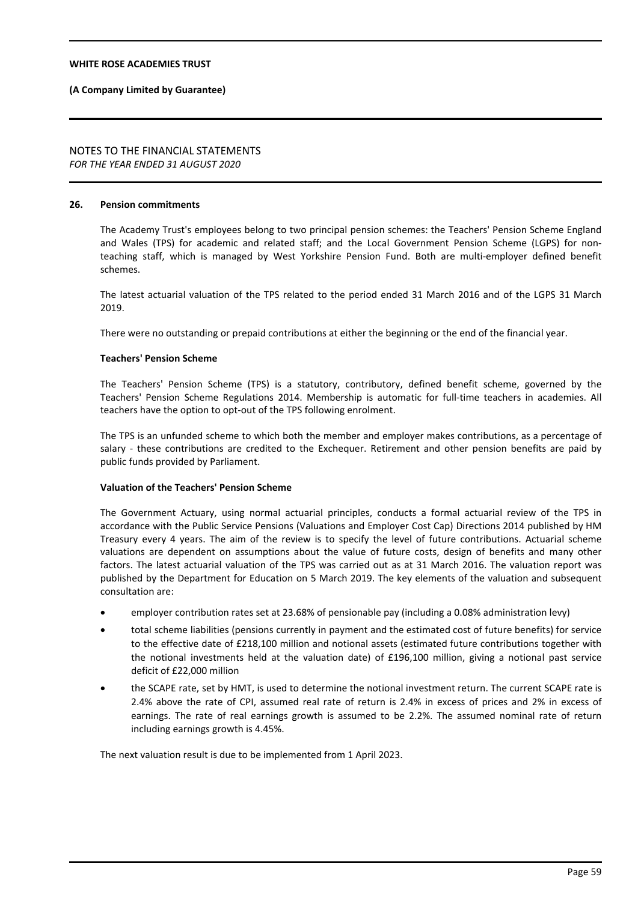#### **(A Company Limited by Guarantee)**

### NOTES TO THE FINANCIAL STATEMENTS *FOR THE YEAR ENDED 31 AUGUST 2020*

#### **26. Pension commitments**

The Academy Trust's employees belong to two principal pension schemes: the Teachers' Pension Scheme England and Wales (TPS) for academic and related staff; and the Local Government Pension Scheme (LGPS) for nonteaching staff, which is managed by West Yorkshire Pension Fund. Both are multi-employer defined benefit schemes.

The latest actuarial valuation of the TPS related to the period ended 31 March 2016 and of the LGPS 31 March 2019.

There were no outstanding or prepaid contributions at either the beginning or the end of the financial year.

#### **Teachers' Pension Scheme**

The Teachers' Pension Scheme (TPS) is a statutory, contributory, defined benefit scheme, governed by the Teachers' Pension Scheme Regulations 2014. Membership is automatic for full-time teachers in academies. All teachers have the option to opt-out of the TPS following enrolment.

The TPS is an unfunded scheme to which both the member and employer makes contributions, as a percentage of salary - these contributions are credited to the Exchequer. Retirement and other pension benefits are paid by public funds provided by Parliament.

#### **Valuation of the Teachers' Pension Scheme**

The Government Actuary, using normal actuarial principles, conducts a formal actuarial review of the TPS in accordance with the Public Service Pensions (Valuations and Employer Cost Cap) Directions 2014 published by HM Treasury every 4 years. The aim of the review is to specify the level of future contributions. Actuarial scheme valuations are dependent on assumptions about the value of future costs, design of benefits and many other factors. The latest actuarial valuation of the TPS was carried out as at 31 March 2016. The valuation report was published by the Department for Education on 5 March 2019. The key elements of the valuation and subsequent consultation are:

- employer contribution rates set at 23.68% of pensionable pay (including a 0.08% administration levy)
- total scheme liabilities (pensions currently in payment and the estimated cost of future benefits) for service to the effective date of £218,100 million and notional assets (estimated future contributions together with the notional investments held at the valuation date) of £196,100 million, giving a notional past service deficit of £22,000 million
- the SCAPE rate, set by HMT, is used to determine the notional investment return. The current SCAPE rate is 2.4% above the rate of CPI, assumed real rate of return is 2.4% in excess of prices and 2% in excess of earnings. The rate of real earnings growth is assumed to be 2.2%. The assumed nominal rate of return including earnings growth is 4.45%.

The next valuation result is due to be implemented from 1 April 2023.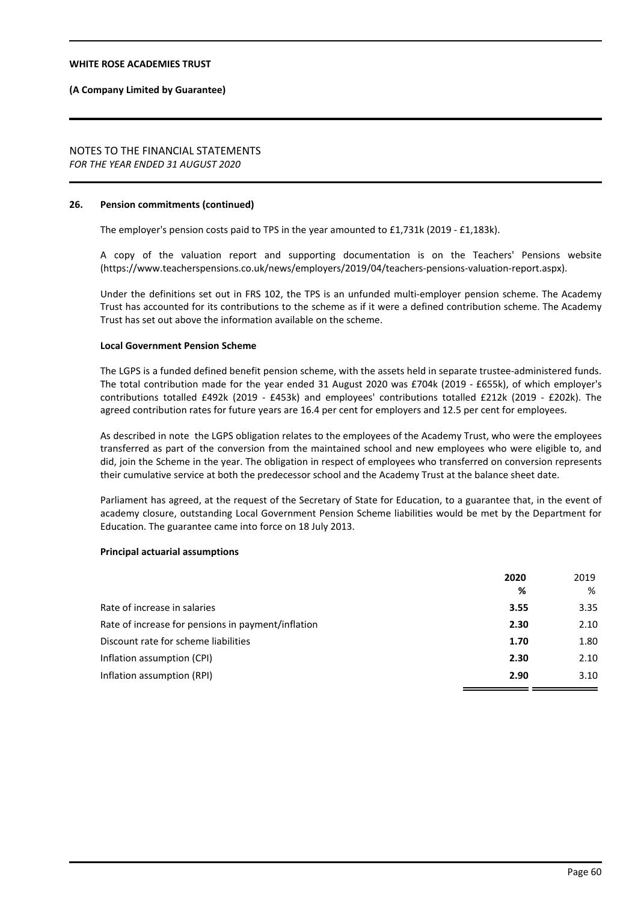#### **(A Company Limited by Guarantee)**

# NOTES TO THE FINANCIAL STATEMENTS *FOR THE YEAR ENDED 31 AUGUST 2020*

#### **26. Pension commitments (continued)**

The employer's pension costs paid to TPS in the year amounted to £1,731k (2019 - £1,183k).

A copy of the valuation report and supporting documentation is on the Teachers' Pensions website (https://www.teacherspensions.co.uk/news/employers/2019/04/teachers-pensions-valuation-report.aspx).

Under the definitions set out in FRS 102, the TPS is an unfunded multi-employer pension scheme. The Academy Trust has accounted for its contributions to the scheme as if it were a defined contribution scheme. The Academy Trust has set out above the information available on the scheme.

#### **Local Government Pension Scheme**

The LGPS is a funded defined benefit pension scheme, with the assets held in separate trustee-administered funds. The total contribution made for the year ended 31 August 2020 was £704k (2019 - £655k), of which employer's contributions totalled £492k (2019 - £453k) and employees' contributions totalled £212k (2019 - £202k). The agreed contribution rates for future years are 16.4 per cent for employers and 12.5 per cent for employees.

As described in note the LGPS obligation relates to the employees of the Academy Trust, who were the employees transferred as part of the conversion from the maintained school and new employees who were eligible to, and did, join the Scheme in the year. The obligation in respect of employees who transferred on conversion represents their cumulative service at both the predecessor school and the Academy Trust at the balance sheet date.

Parliament has agreed, at the request of the Secretary of State for Education, to a guarantee that, in the event of academy closure, outstanding Local Government Pension Scheme liabilities would be met by the Department for Education. The guarantee came into force on 18 July 2013.

#### **Principal actuarial assumptions**

|                                                    | 2020 | 2019 |
|----------------------------------------------------|------|------|
|                                                    | %    | %    |
| Rate of increase in salaries                       | 3.55 | 3.35 |
| Rate of increase for pensions in payment/inflation | 2.30 | 2.10 |
| Discount rate for scheme liabilities               | 1.70 | 1.80 |
| Inflation assumption (CPI)                         | 2.30 | 2.10 |
| Inflation assumption (RPI)                         | 2.90 | 3.10 |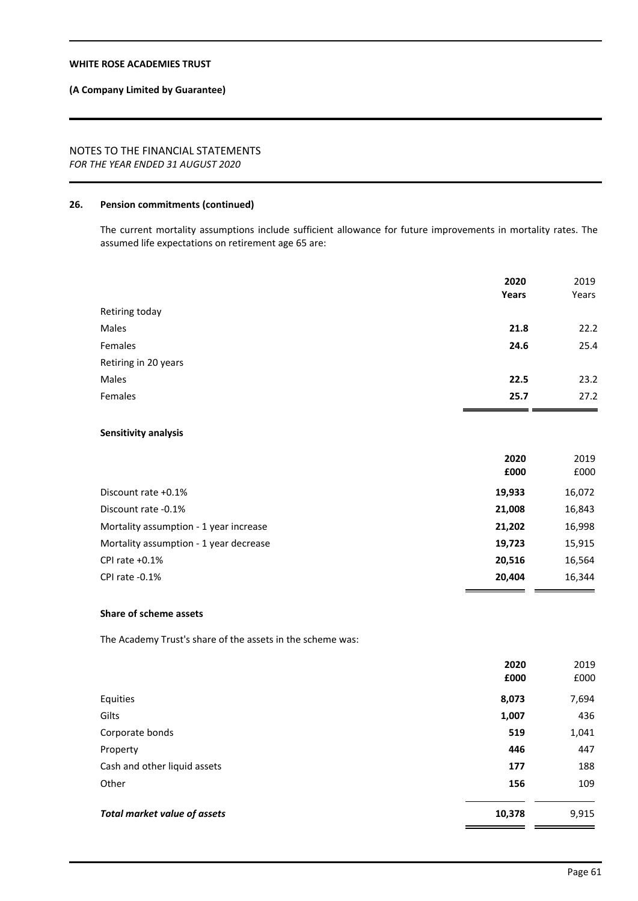#### **(A Company Limited by Guarantee)**

### NOTES TO THE FINANCIAL STATEMENTS *FOR THE YEAR ENDED 31 AUGUST 2020*

#### **26. Pension commitments (continued)**

The current mortality assumptions include sufficient allowance for future improvements in mortality rates. The assumed life expectations on retirement age 65 are:

|                      | 2020<br>Years | 2019<br>Years |
|----------------------|---------------|---------------|
| Retiring today       |               |               |
| Males                | 21.8          | 22.2          |
| Females              | 24.6          | 25.4          |
| Retiring in 20 years |               |               |
| Males                | 22.5          | 23.2          |
| Females              | 25.7          | 27.2          |
|                      |               |               |

#### **Sensitivity analysis**

|                                        | 2020   | 2019   |
|----------------------------------------|--------|--------|
|                                        | £000   | £000   |
| Discount rate +0.1%                    | 19,933 | 16,072 |
| Discount rate -0.1%                    | 21,008 | 16,843 |
| Mortality assumption - 1 year increase | 21,202 | 16,998 |
| Mortality assumption - 1 year decrease | 19,723 | 15,915 |
| CPI rate $+0.1\%$                      | 20,516 | 16,564 |
| CPI rate $-0.1\%$                      | 20.404 | 16,344 |

### **Share of scheme assets**

The Academy Trust's share of the assets in the scheme was:

|                                     | 2020<br>£000 | 2019<br>£000 |
|-------------------------------------|--------------|--------------|
| Equities                            | 8,073        | 7,694        |
| Gilts                               | 1,007        | 436          |
| Corporate bonds                     | 519          | 1,041        |
| Property                            | 446          | 447          |
| Cash and other liquid assets        | 177          | 188          |
| Other                               | 156          | 109          |
| <b>Total market value of assets</b> | 10,378       | 9,915        |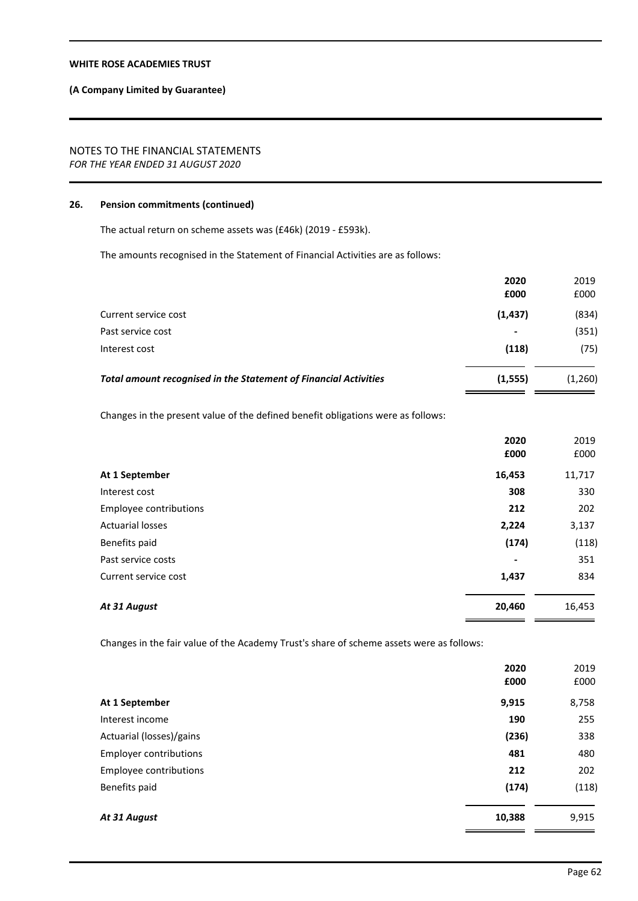#### **(A Company Limited by Guarantee)**

### NOTES TO THE FINANCIAL STATEMENTS *FOR THE YEAR ENDED 31 AUGUST 2020*

### **26. Pension commitments (continued)**

The actual return on scheme assets was (£46k) (2019 - £593k).

The amounts recognised in the Statement of Financial Activities are as follows:

| £000     |
|----------|
|          |
| (834)    |
| (351)    |
| (75)     |
| (1, 260) |
|          |

Changes in the present value of the defined benefit obligations were as follows:

|                         | 2020<br>£000                 | 2019<br>£000 |
|-------------------------|------------------------------|--------------|
| At 1 September          | 16,453                       | 11,717       |
| Interest cost           | 308                          | 330          |
| Employee contributions  | 212                          | 202          |
| <b>Actuarial losses</b> | 2,224                        | 3,137        |
| Benefits paid           | (174)                        | (118)        |
| Past service costs      | $\qquad \qquad \blacksquare$ | 351          |
| Current service cost    | 1,437                        | 834          |
| At 31 August            | 20,460                       | 16,453       |

Changes in the fair value of the Academy Trust's share of scheme assets were as follows:

|                               | 2020<br>£000 | 2019<br>£000 |
|-------------------------------|--------------|--------------|
| At 1 September                | 9,915        | 8,758        |
| Interest income               | 190          | 255          |
| Actuarial (losses)/gains      | (236)        | 338          |
| <b>Employer contributions</b> | 481          | 480          |
| Employee contributions        | 212          | 202          |
| Benefits paid                 | (174)        | (118)        |
| At 31 August                  | 10,388       | 9,915        |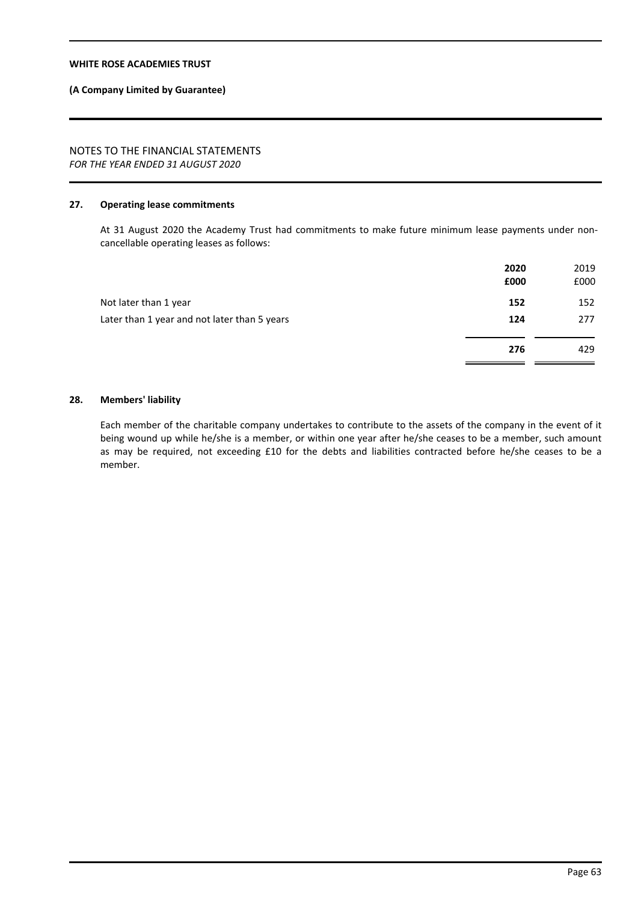#### **(A Company Limited by Guarantee)**

### NOTES TO THE FINANCIAL STATEMENTS *FOR THE YEAR ENDED 31 AUGUST 2020*

#### **27. Operating lease commitments**

At 31 August 2020 the Academy Trust had commitments to make future minimum lease payments under noncancellable operating leases as follows:

|                                              | 2020<br>£000 | 2019<br>£000 |
|----------------------------------------------|--------------|--------------|
| Not later than 1 year                        | 152          | 152          |
| Later than 1 year and not later than 5 years | 124          | 277          |
|                                              | 276          | 429          |

#### **28. Members' liability**

Each member of the charitable company undertakes to contribute to the assets of the company in the event of it being wound up while he/she is a member, or within one year after he/she ceases to be a member, such amount as may be required, not exceeding £10 for the debts and liabilities contracted before he/she ceases to be a member.